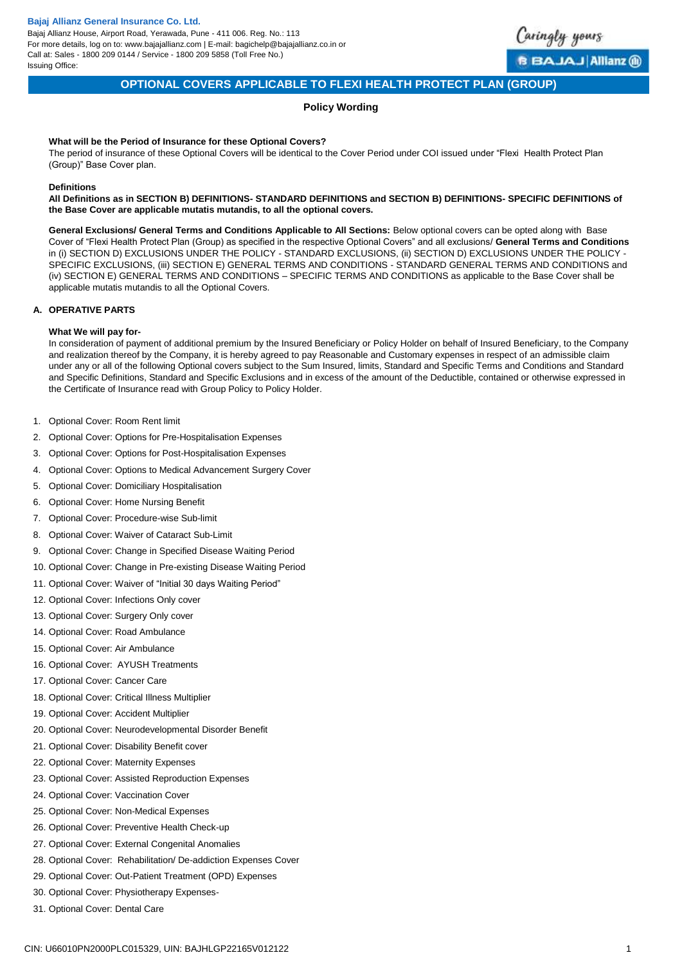Bajaj Allianz House, Airport Road, Yerawada, Pune - 411 006. Reg. No.: 113 For more details, log on to: www.bajajallianz.com | E-mail: bagichelp@bajajallianz.co.in or Call at: Sales - 1800 209 0144 / Service - 1800 209 5858 (Toll Free No.) Issuing Office:



# **OPTIONAL COVERS APPLICABLE TO FLEXI HEALTH PROTECT PLAN (GROUP)**

# **Policy Wording**

### **What will be the Period of Insurance for these Optional Covers?**

The period of insurance of these Optional Covers will be identical to the Cover Period under COI issued under "Flexi Health Protect Plan (Group)" Base Cover plan.

### **Definitions**

**All Definitions as in SECTION B) DEFINITIONS- STANDARD DEFINITIONS and SECTION B) DEFINITIONS- SPECIFIC DEFINITIONS of the Base Cover are applicable mutatis mutandis, to all the optional covers.** 

**General Exclusions/ General Terms and Conditions Applicable to All Sections:** Below optional covers can be opted along with Base Cover of "Flexi Health Protect Plan (Group) as specified in the respective Optional Covers" and all exclusions/ **General Terms and Conditions**  in (i) SECTION D) EXCLUSIONS UNDER THE POLICY - STANDARD EXCLUSIONS, (ii) SECTION D) EXCLUSIONS UNDER THE POLICY -SPECIFIC EXCLUSIONS, (iii) SECTION E) GENERAL TERMS AND CONDITIONS - STANDARD GENERAL TERMS AND CONDITIONS and (iv) SECTION E) GENERAL TERMS AND CONDITIONS – SPECIFIC TERMS AND CONDITIONS as applicable to the Base Cover shall be applicable mutatis mutandis to all the Optional Covers.

### **A. OPERATIVE PARTS**

### **What We will pay for-**

In consideration of payment of additional premium by the Insured Beneficiary or Policy Holder on behalf of Insured Beneficiary, to the Company and realization thereof by the Company, it is hereby agreed to pay Reasonable and Customary expenses in respect of an admissible claim under any or all of the following Optional covers subject to the Sum Insured, limits, Standard and Specific Terms and Conditions and Standard and Specific Definitions, Standard and Specific Exclusions and in excess of the amount of the Deductible, contained or otherwise expressed in the Certificate of Insurance read with Group Policy to Policy Holder.

- 1. [Optional Cover: Room Rent limit](#page-1-0)
- 2. [Optional Cover: Options for Pre-Hospitalisation Expenses](#page-3-0)
- 3. [Optional Cover: Options for Post-Hospitalisation Expenses](#page-3-1)
- 4. [Optional Cover: Options to Medical Advancement Surgery Cover](#page-4-0)
- 5. [Optional Cover: Domiciliary Hospitalisation](#page-5-0)
- 6. [Optional Cover: Home Nursing Benefit](#page-6-0)
- 7. [Optional Cover: Procedure-wise Sub-limit](#page-7-0)
- 8. [Optional Cover: Waiver of Cataract Sub-Limit](#page-8-0)
- 9. [Optional Cover: Change in Specified Disease Waiting Period](#page-9-0)
- 10. [Optional Cover: Change in Pre-existing Disease Waiting Period](#page-10-0)
- 11. [Optional Cover: Waiver of "Initial 30 days Waiting Period"](#page-12-0)
- 12. [Optional Cover: Infections Only cover](#page-12-1)
- 13. [Optional Cover: Surgery Only cover](#page-13-0)
- 14. [Optional Cover: Road Ambulance](#page-14-0)
- 15. [Optional Cover: Air Ambulance](#page-15-0)
- 16. [Optional Cover: AYUSH Treatments](#page-16-0)
- 17. [Optional Cover: Cancer Care](#page-17-0)
- 18. [Optional Cover: Critical Illness Multiplier](#page-18-0)
- 19. [Optional Cover: Accident Multiplier](#page-23-0)
- 20. [Optional Cover: Neurodevelopmental Disorder Benefit](#page-24-0)
- 21. [Optional Cover: Disability Benefit cover](#page-25-0)
- 22. [Optional Cover: Maternity Expenses](#page-26-0)
- 23. [Optional Cover: Assisted Reproduction Expenses](#page-28-0)
- 24. [Optional Cover: Vaccination Cover](#page-28-1)
- 25. [Optional Cover: Non-Medical Expenses](#page-29-0)
- 26. [Optional Cover: Preventive Health Check-up](#page-32-0)
- 27. [Optional Cover: External Congenital Anomalies](#page-33-0)
- 28. [Optional Cover: Rehabilitation/ De-addiction Expenses Cover](#page-34-0)
- 29. [Optional Cover: Out-Patient Treatment \(OPD\) Expenses](#page-35-0)
- 30. [Optional Cover: Physiotherapy Expenses-](#page-36-0)
- 31. [Optional Cover: Dental Care](#page-37-0)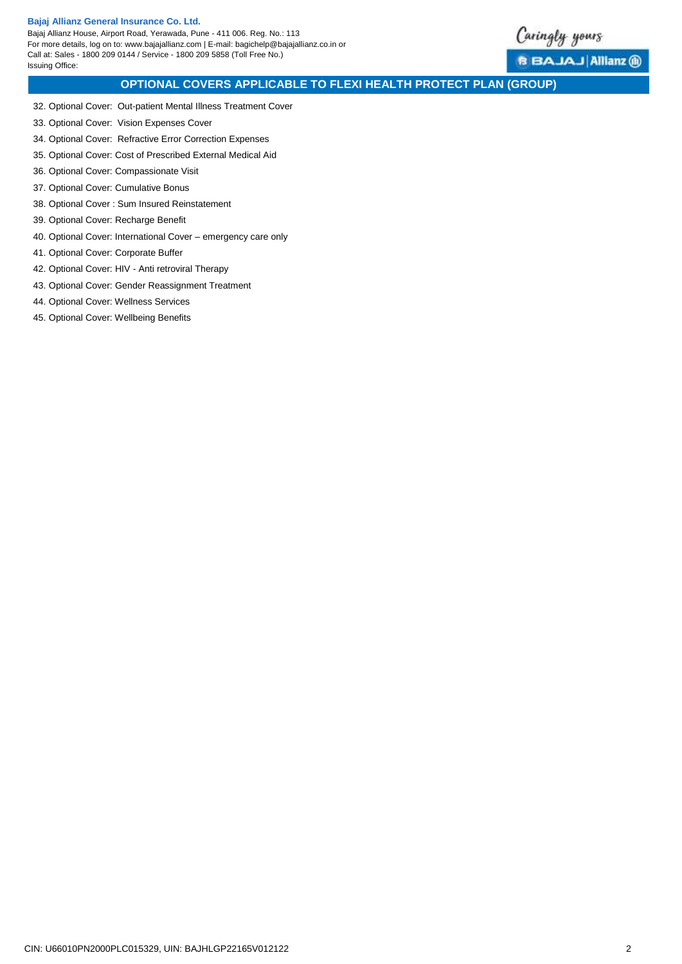Bajaj Allianz House, Airport Road, Yerawada, Pune - 411 006. Reg. No.: 113 For more details, log on to: www.bajajallianz.com | E-mail: bagichelp@bajajallianz.co.in or Call at: Sales - 1800 209 0144 / Service - 1800 209 5858 (Toll Free No.) Issuing Office:



**B BAJAJ Allianz @** 

# **OPTIONAL COVERS APPLICABLE TO FLEXI HEALTH PROTECT PLAN (GROUP)**

- 32. Optional Cover: Out-patient [Mental Illness Treatment Cover](#page-38-0)
- 33. [Optional Cover: Vision Expenses Cover](#page-39-0)
- 34. [Optional Cover: Refractive Error Correction Expenses](#page-40-0)
- 35. [Optional Cover: Cost of Prescribed External Medical Aid](#page-41-0)
- 36. [Optional Cover: Compassionate Visit](#page-42-0)
- 37. [Optional Cover: Cumulative Bonus](#page-43-0)
- 38. [Optional Cover : Sum Insured Reinstatement](#page-44-0)
- 39. [Optional Cover: Recharge Benefit](#page-45-0)
- 40. [Optional Cover: International Cover –](#page-46-0) emergency care only
- 41. [Optional Cover: Corporate Buffer](#page-47-0)
- 42. Optional Cover: HIV [Anti retroviral Therapy](#page-48-0)
- 43. [Optional Cover: Gender Reassignment Treatment](#page-49-0)
- 44. [Optional Cover: Wellness Services](#page-50-0)
- <span id="page-1-0"></span>45. [Optional Cover: Wellbeing Benefits](#page-52-0)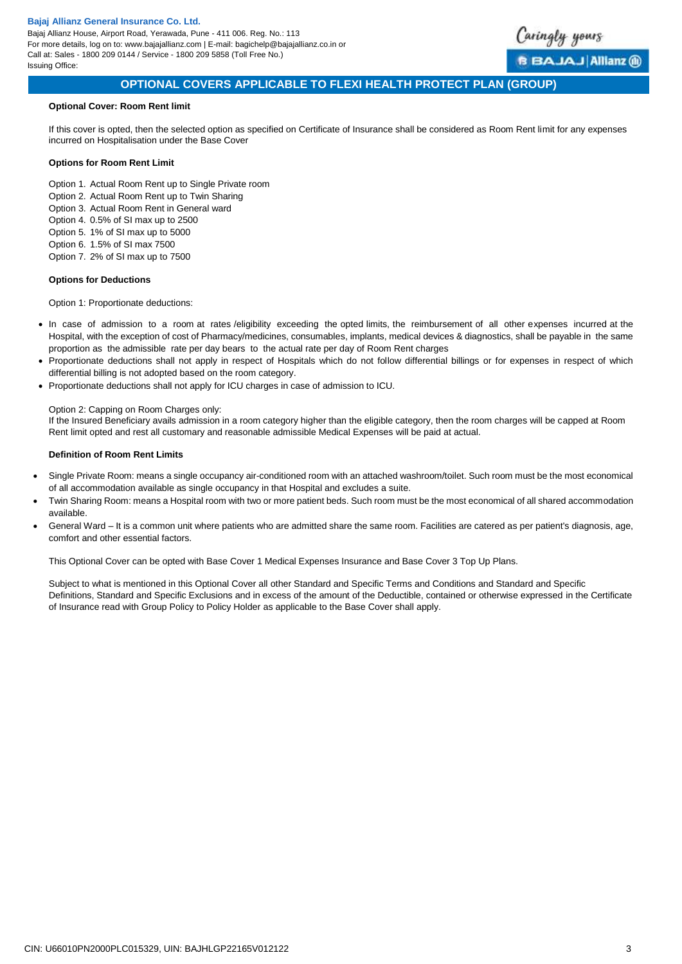

# **OPTIONAL COVERS APPLICABLE TO FLEXI HEALTH PROTECT PLAN (GROUP)**

### **Optional Cover: Room Rent limit**

If this cover is opted, then the selected option as specified on Certificate of Insurance shall be considered as Room Rent limit for any expenses incurred on Hospitalisation under the Base Cover

### **Options for Room Rent Limit**

Option 1. Actual Room Rent up to Single Private room

- Option 2. Actual Room Rent up to Twin Sharing
- Option 3. Actual Room Rent in General ward
- Option 4. 0.5% of SI max up to 2500
- Option 5. 1% of SI max up to 5000
- Option 6. 1.5% of SI max 7500 Option 7. 2% of SI max up to 7500

# **Options for Deductions**

Option 1: Proportionate deductions:

- In case of admission to a room at rates /eligibility exceeding the opted limits, the reimbursement of all other expenses incurred at the Hospital, with the exception of cost of Pharmacy/medicines, consumables, implants, medical devices & diagnostics, shall be payable in the same proportion as the admissible rate per day bears to the actual rate per day of Room Rent charges
- Proportionate deductions shall not apply in respect of Hospitals which do not follow differential billings or for expenses in respect of which differential billing is not adopted based on the room category.
- Proportionate deductions shall not apply for ICU charges in case of admission to ICU.

### Option 2: Capping on Room Charges only:

If the Insured Beneficiary avails admission in a room category higher than the eligible category, then the room charges will be capped at Room Rent limit opted and rest all customary and reasonable admissible Medical Expenses will be paid at actual.

### **Definition of Room Rent Limits**

- Single Private Room: means a single occupancy air-conditioned room with an attached washroom/toilet. Such room must be the most economical of all accommodation available as single occupancy in that Hospital and excludes a suite.
- Twin Sharing Room: means a Hospital room with two or more patient beds. Such room must be the most economical of all shared accommodation available.
- General Ward It is a common unit where patients who are admitted share the same room. Facilities are catered as per patient's diagnosis, age, comfort and other essential factors.

This Optional Cover can be opted with Base Cover 1 Medical Expenses Insurance and Base Cover 3 Top Up Plans.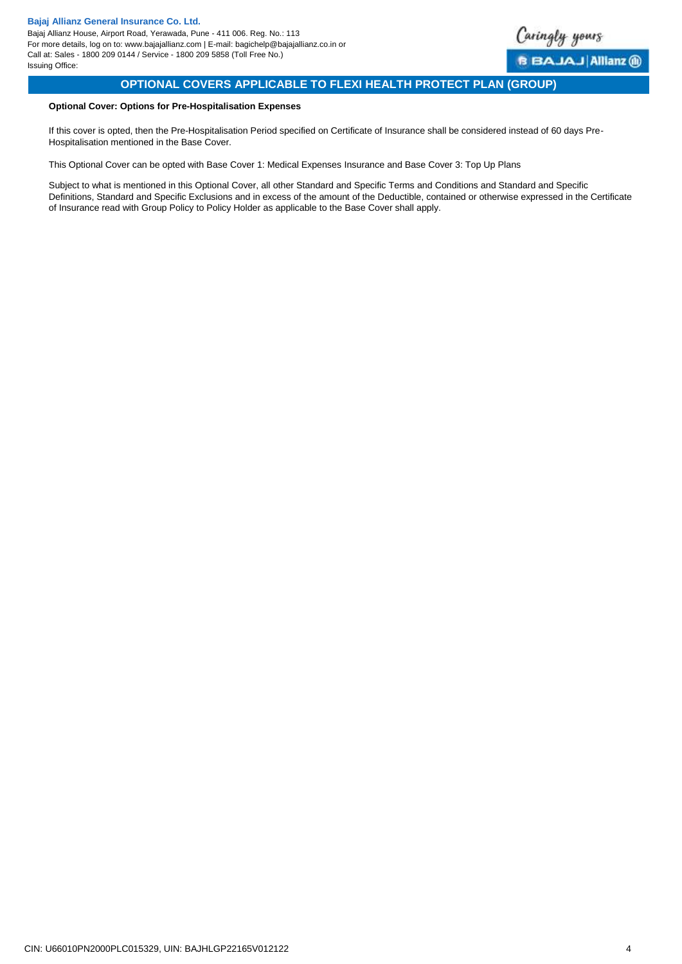

# **OPTIONAL COVERS APPLICABLE TO FLEXI HEALTH PROTECT PLAN (GROUP)**

### <span id="page-3-0"></span>**Optional Cover: Options for Pre-Hospitalisation Expenses**

If this cover is opted, then the Pre-Hospitalisation Period specified on Certificate of Insurance shall be considered instead of 60 days Pre-Hospitalisation mentioned in the Base Cover.

<span id="page-3-1"></span>This Optional Cover can be opted with Base Cover 1: Medical Expenses Insurance and Base Cover 3: Top Up Plans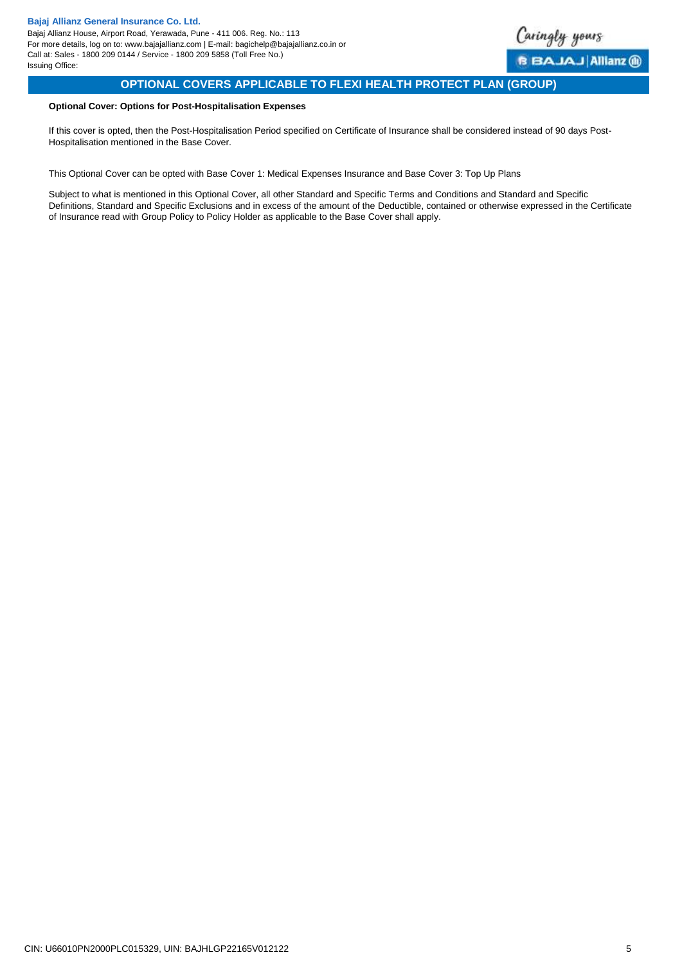

# **OPTIONAL COVERS APPLICABLE TO FLEXI HEALTH PROTECT PLAN (GROUP)**

# **Optional Cover: Options for Post-Hospitalisation Expenses**

If this cover is opted, then the Post-Hospitalisation Period specified on Certificate of Insurance shall be considered instead of 90 days Post-Hospitalisation mentioned in the Base Cover.

<span id="page-4-0"></span>This Optional Cover can be opted with Base Cover 1: Medical Expenses Insurance and Base Cover 3: Top Up Plans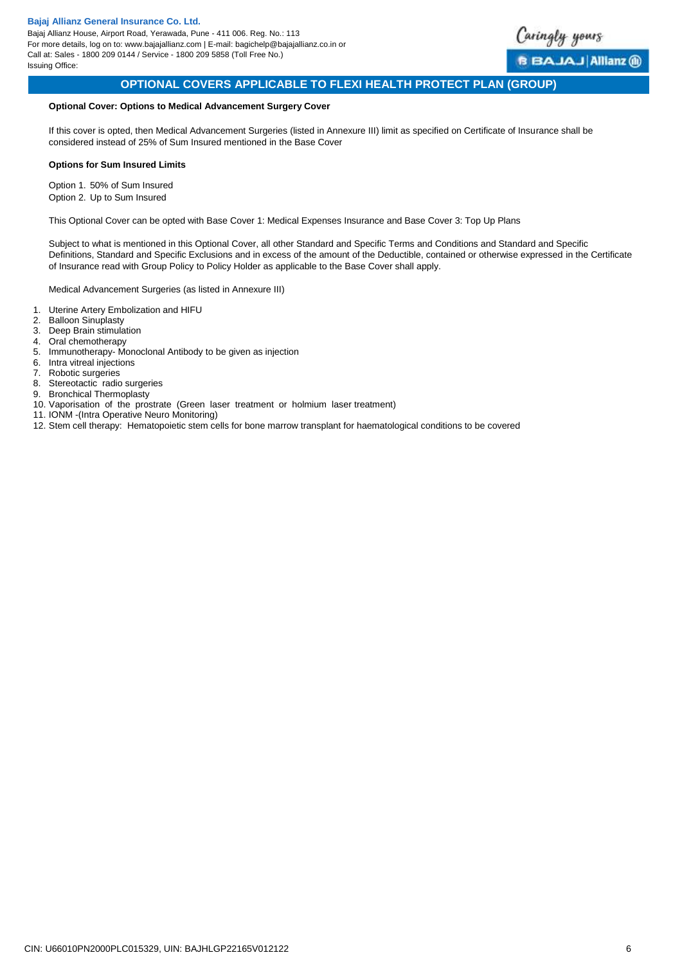

# **OPTIONAL COVERS APPLICABLE TO FLEXI HEALTH PROTECT PLAN (GROUP)**

### **Optional Cover: Options to Medical Advancement Surgery Cover**

If this cover is opted, then Medical Advancement Surgeries (listed in Annexure III) limit as specified on Certificate of Insurance shall be considered instead of 25% of Sum Insured mentioned in the Base Cover

#### **Options for Sum Insured Limits**

Option 1. 50% of Sum Insured Option 2. Up to Sum Insured

This Optional Cover can be opted with Base Cover 1: Medical Expenses Insurance and Base Cover 3: Top Up Plans

Subject to what is mentioned in this Optional Cover, all other Standard and Specific Terms and Conditions and Standard and Specific Definitions, Standard and Specific Exclusions and in excess of the amount of the Deductible, contained or otherwise expressed in the Certificate of Insurance read with Group Policy to Policy Holder as applicable to the Base Cover shall apply.

Medical Advancement Surgeries (as listed in Annexure III)

- 1. Uterine Artery Embolization and HIFU
- 2. Balloon Sinuplasty
- 3. Deep Brain stimulation
- 4. Oral chemotherapy
- 5. Immunotherapy- Monoclonal Antibody to be given as injection
- 6. Intra vitreal injections<br>7. Robotic surgeries
- Robotic surgeries
- 8. Stereotactic radio surgeries
- 9. Bronchical Thermoplasty
- 10. Vaporisation of the prostrate (Green laser treatment or holmium laser treatment)
- 11. IONM -(Intra Operative Neuro Monitoring)
- <span id="page-5-0"></span>12. Stem cell therapy: Hematopoietic stem cells for bone marrow transplant for haematological conditions to be covered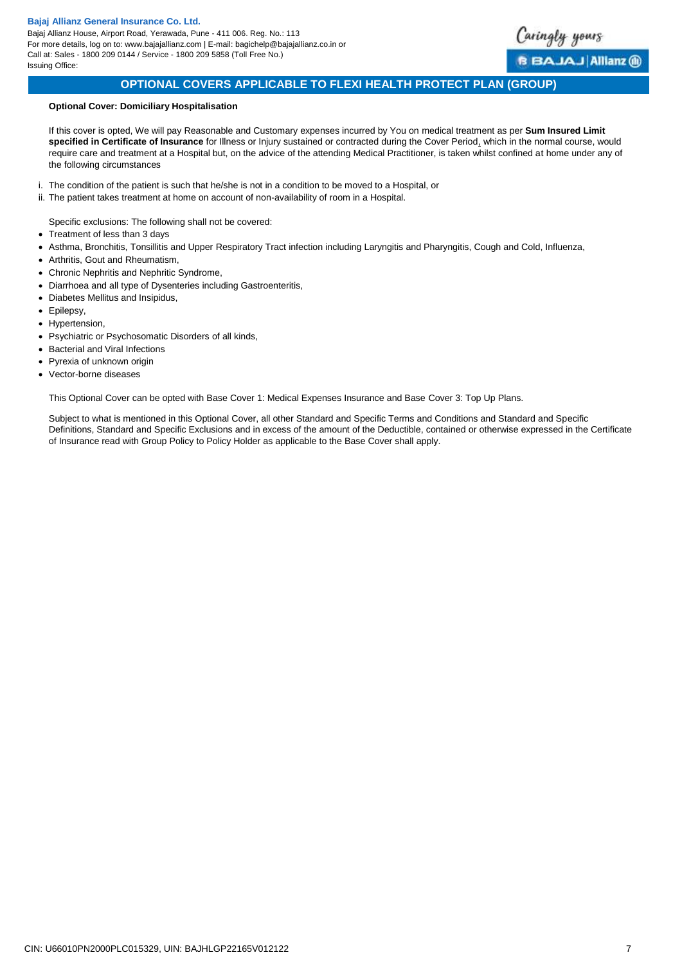Bajaj Allianz House, Airport Road, Yerawada, Pune - 411 006. Reg. No.: 113 For more details, log on to: www.bajajallianz.com | E-mail: bagichelp@bajajallianz.co.in or Call at: Sales - 1800 209 0144 / Service - 1800 209 5858 (Toll Free No.) Issuing Office:



# **OPTIONAL COVERS APPLICABLE TO FLEXI HEALTH PROTECT PLAN (GROUP)**

### **Optional Cover: Domiciliary Hospitalisation**

If this cover is opted, We will pay Reasonable and Customary expenses incurred by You on medical treatment as per **Sum Insured Limit specified in Certificate of Insurance** for Illness or Injury sustained or contracted during the Cover Period, which in the normal course, would require care and treatment at a Hospital but, on the advice of the attending Medical Practitioner, is taken whilst confined at home under any of the following circumstances

- i. The condition of the patient is such that he/she is not in a condition to be moved to a Hospital, or
- ii. The patient takes treatment at home on account of non-availability of room in a Hospital.

Specific exclusions: The following shall not be covered:

- Treatment of less than 3 days
- Asthma, Bronchitis, Tonsillitis and Upper Respiratory Tract infection including Laryngitis and Pharyngitis, Cough and Cold, Influenza,
- Arthritis, Gout and Rheumatism,
- Chronic Nephritis and Nephritic Syndrome,
- Diarrhoea and all type of Dysenteries including Gastroenteritis,
- Diabetes Mellitus and Insipidus,
- Epilepsy,
- Hypertension,
- Psychiatric or Psychosomatic Disorders of all kinds,
- Bacterial and Viral Infections
- Pyrexia of unknown origin
- Vector-borne diseases

<span id="page-6-0"></span>This Optional Cover can be opted with Base Cover 1: Medical Expenses Insurance and Base Cover 3: Top Up Plans.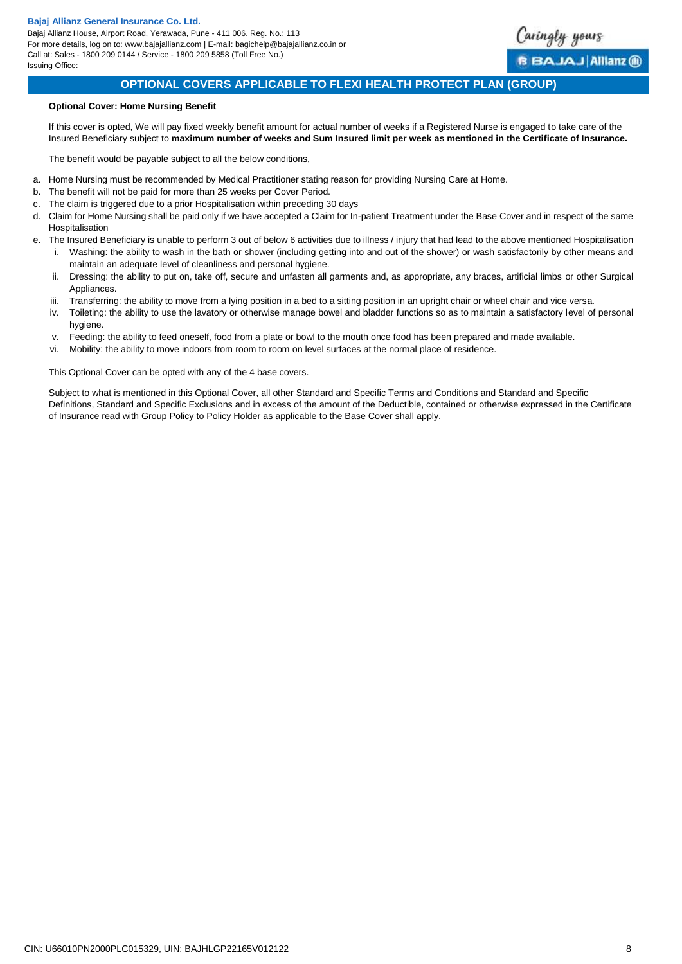Bajaj Allianz House, Airport Road, Yerawada, Pune - 411 006. Reg. No.: 113 For more details, log on to: www.bajajallianz.com | E-mail: bagichelp@bajajallianz.co.in or Call at: Sales - 1800 209 0144 / Service - 1800 209 5858 (Toll Free No.) Issuing Office:



# **OPTIONAL COVERS APPLICABLE TO FLEXI HEALTH PROTECT PLAN (GROUP)**

### **Optional Cover: Home Nursing Benefit**

If this cover is opted, We will pay fixed weekly benefit amount for actual number of weeks if a Registered Nurse is engaged to take care of the Insured Beneficiary subject to **maximum number of weeks and Sum Insured limit per week as mentioned in the Certificate of Insurance.**

The benefit would be payable subject to all the below conditions,

- a. Home Nursing must be recommended by Medical Practitioner stating reason for providing Nursing Care at Home.
- b. The benefit will not be paid for more than 25 weeks per Cover Period.
- c. The claim is triggered due to a prior Hospitalisation within preceding 30 days
- d. Claim for Home Nursing shall be paid only if we have accepted a Claim for In-patient Treatment under the Base Cover and in respect of the same Hospitalisation
- e. The Insured Beneficiary is unable to perform 3 out of below 6 activities due to illness / injury that had lead to the above mentioned Hospitalisation i. Washing: the ability to wash in the bath or shower (including getting into and out of the shower) or wash satisfactorily by other means and maintain an adequate level of cleanliness and personal hygiene.
	- ii. Dressing: the ability to put on, take off, secure and unfasten all garments and, as appropriate, any braces, artificial limbs or other Surgical **Appliances**
	- iii. Transferring: the ability to move from a lying position in a bed to a sitting position in an upright chair or wheel chair and vice versa.
	- iv. Toileting: the ability to use the lavatory or otherwise manage bowel and bladder functions so as to maintain a satisfactory level of personal hygiene.
	- v. Feeding: the ability to feed oneself, food from a plate or bowl to the mouth once food has been prepared and made available.
	- vi. Mobility: the ability to move indoors from room to room on level surfaces at the normal place of residence.

<span id="page-7-0"></span>This Optional Cover can be opted with any of the 4 base covers.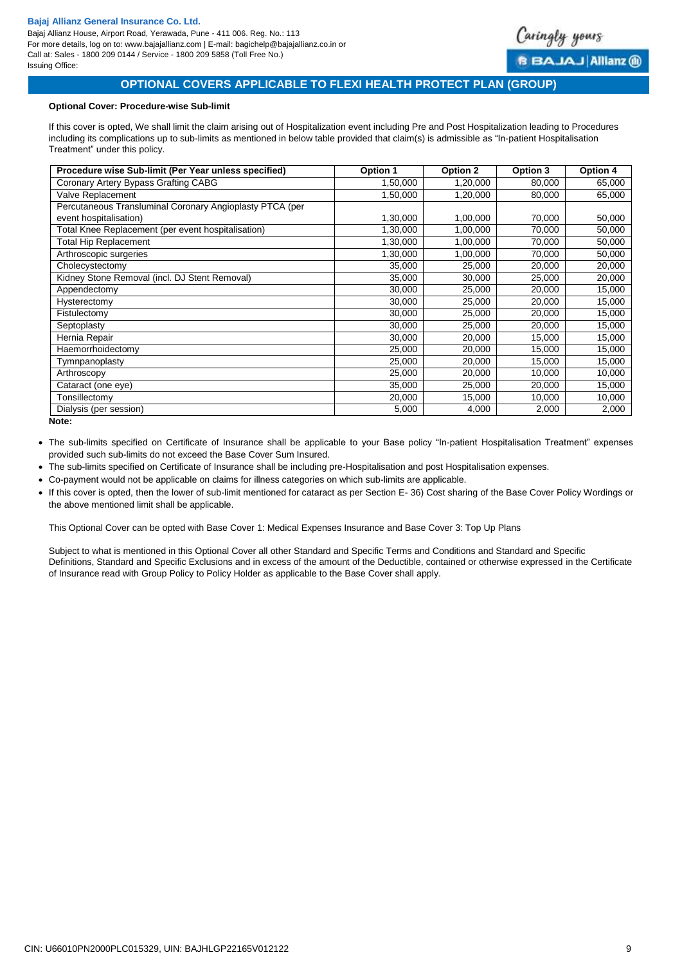Bajaj Allianz House, Airport Road, Yerawada, Pune - 411 006. Reg. No.: 113 For more details, log on to: www.bajajallianz.com | E-mail: bagichelp@bajajallianz.co.in or Call at: Sales - 1800 209 0144 / Service - 1800 209 5858 (Toll Free No.) Issuing Office:



# **OPTIONAL COVERS APPLICABLE TO FLEXI HEALTH PROTECT PLAN (GROUP)**

### **Optional Cover: Procedure-wise Sub-limit**

If this cover is opted, We shall limit the claim arising out of Hospitalization event including Pre and Post Hospitalization leading to Procedures including its complications up to sub-limits as mentioned in below table provided that claim(s) is admissible as "In-patient Hospitalisation Treatment" under this policy.

| Procedure wise Sub-limit (Per Year unless specified)     | Option 1 | Option 2 | Option 3 | Option 4 |
|----------------------------------------------------------|----------|----------|----------|----------|
| Coronary Artery Bypass Grafting CABG                     | 1,50,000 | 1,20,000 | 80,000   | 65,000   |
| Valve Replacement                                        | 1,50,000 | 1,20,000 | 80,000   | 65,000   |
| Percutaneous Transluminal Coronary Angioplasty PTCA (per |          |          |          |          |
| event hospitalisation)                                   | 1,30,000 | 1,00,000 | 70,000   | 50,000   |
| Total Knee Replacement (per event hospitalisation)       | 1,30,000 | 1,00,000 | 70,000   | 50,000   |
| <b>Total Hip Replacement</b>                             | 1,30,000 | 1,00,000 | 70,000   | 50,000   |
| Arthroscopic surgeries                                   | 1,30,000 | 1,00,000 | 70,000   | 50,000   |
| Cholecystectomy                                          | 35,000   | 25,000   | 20,000   | 20,000   |
| Kidney Stone Removal (incl. DJ Stent Removal)            | 35,000   | 30,000   | 25,000   | 20,000   |
| Appendectomy                                             | 30,000   | 25,000   | 20,000   | 15,000   |
| Hysterectomy                                             | 30,000   | 25,000   | 20,000   | 15,000   |
| Fistulectomy                                             | 30,000   | 25,000   | 20,000   | 15,000   |
| Septoplasty                                              | 30,000   | 25,000   | 20,000   | 15,000   |
| Hernia Repair                                            | 30,000   | 20,000   | 15,000   | 15,000   |
| Haemorrhoidectomy                                        | 25,000   | 20,000   | 15,000   | 15,000   |
| Tymnpanoplasty                                           | 25,000   | 20,000   | 15,000   | 15,000   |
| Arthroscopy                                              | 25,000   | 20,000   | 10,000   | 10,000   |
| Cataract (one eye)                                       | 35,000   | 25,000   | 20,000   | 15,000   |
| Tonsillectomy                                            | 20,000   | 15,000   | 10,000   | 10,000   |
| Dialysis (per session)                                   | 5,000    | 4,000    | 2,000    | 2,000    |

**Note:**

 The sub-limits specified on Certificate of Insurance shall be applicable to your Base policy "In-patient Hospitalisation Treatment" expenses provided such sub-limits do not exceed the Base Cover Sum Insured.

- The sub-limits specified on Certificate of Insurance shall be including pre-Hospitalisation and post Hospitalisation expenses.
- Co-payment would not be applicable on claims for illness categories on which sub-limits are applicable.
- If this cover is opted, then the lower of sub-limit mentioned for cataract as per Section E- 36) Cost sharing of the Base Cover Policy Wordings or the above mentioned limit shall be applicable.

<span id="page-8-0"></span>This Optional Cover can be opted with Base Cover 1: Medical Expenses Insurance and Base Cover 3: Top Up Plans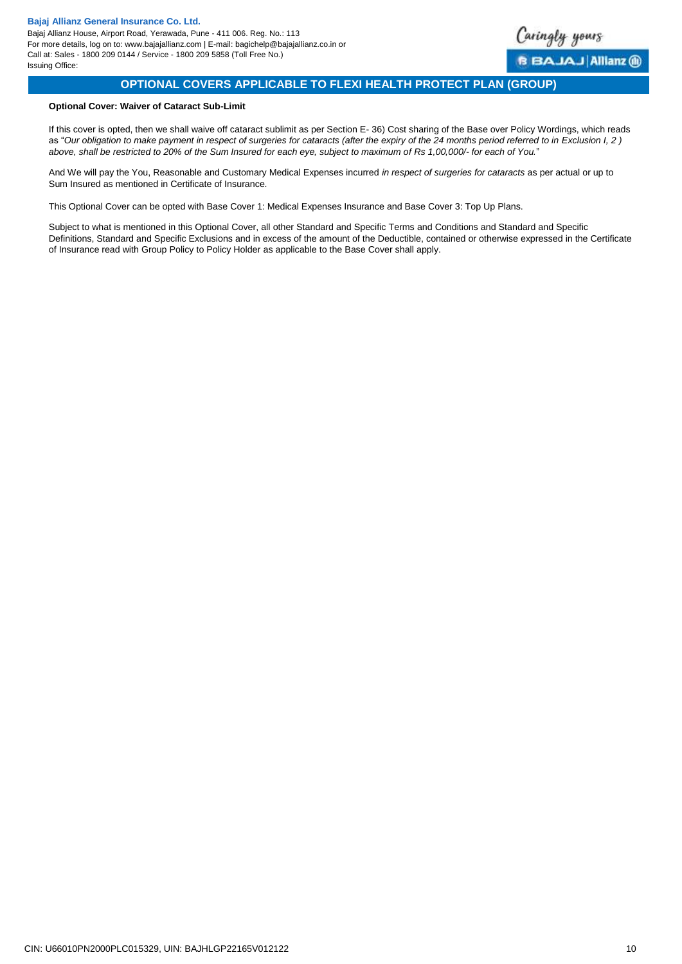<span id="page-9-0"></span>

# **OPTIONAL COVERS APPLICABLE TO FLEXI HEALTH PROTECT PLAN (GROUP)**

### **Optional Cover: Waiver of Cataract Sub-Limit**

If this cover is opted, then we shall waive off cataract sublimit as per Section E- 36) Cost sharing of the Base over Policy Wordings, which reads as "Our obligation to make payment in respect of surgeries for cataracts (after the expiry of the 24 months period referred to in *Exclusion I, 2*) *above, shall be restricted to 20% of the Sum Insured for each eye, subject to maximum of Rs 1,00,000/- for each of You.*"

And We will pay the You, Reasonable and Customary Medical Expenses incurred *in respect of surgeries for cataracts* as per actual or up to Sum Insured as mentioned in Certificate of Insurance.

This Optional Cover can be opted with Base Cover 1: Medical Expenses Insurance and Base Cover 3: Top Up Plans.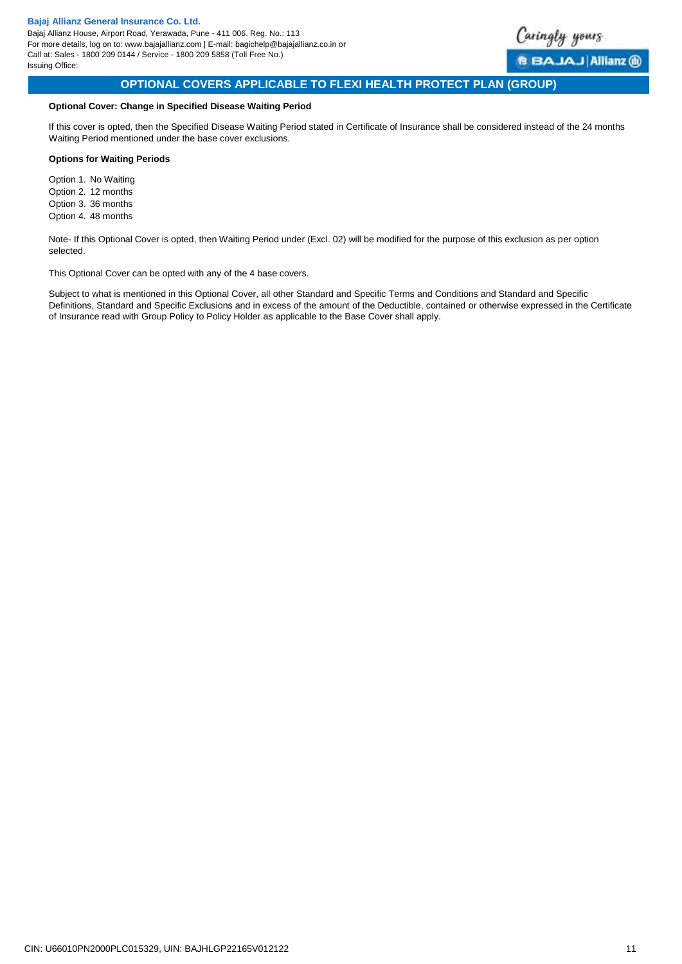

<span id="page-10-0"></span>BAJAJ Allianz (ii)

# **OPTIONAL COVERS APPLICABLE TO FLEXI HEALTH PROTECT PLAN (GROUP)**

# **Optional Cover: Change in Specified Disease Waiting Period**

If this cover is opted, then the Specified Disease Waiting Period stated in Certificate of Insurance shall be considered instead of the 24 months Waiting Period mentioned under the base cover exclusions.

#### **Options for Waiting Periods**

Option 1. No Waiting Option 2. 12 months Option 3. 36 months Option 4. 48 months

Note- If this Optional Cover is opted, then Waiting Period under (Excl. 02) will be modified for the purpose of this exclusion as per option selected.

This Optional Cover can be opted with any of the 4 base covers.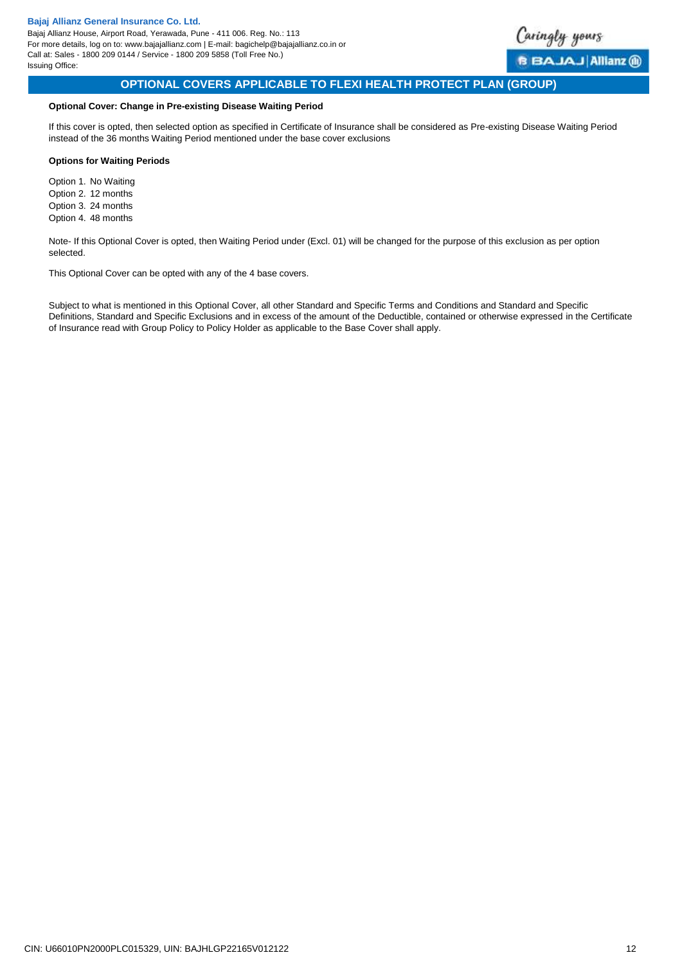

**BBAJAJAIIianz** @

# **OPTIONAL COVERS APPLICABLE TO FLEXI HEALTH PROTECT PLAN (GROUP)**

# **Optional Cover: Change in Pre-existing Disease Waiting Period**

If this cover is opted, then selected option as specified in Certificate of Insurance shall be considered as Pre-existing Disease Waiting Period instead of the 36 months Waiting Period mentioned under the base cover exclusions

### **Options for Waiting Periods**

Option 1. No Waiting Option 2. 12 months Option 3. 24 months Option 4. 48 months

Note- If this Optional Cover is opted, then Waiting Period under (Excl. 01) will be changed for the purpose of this exclusion as per option selected.

This Optional Cover can be opted with any of the 4 base covers.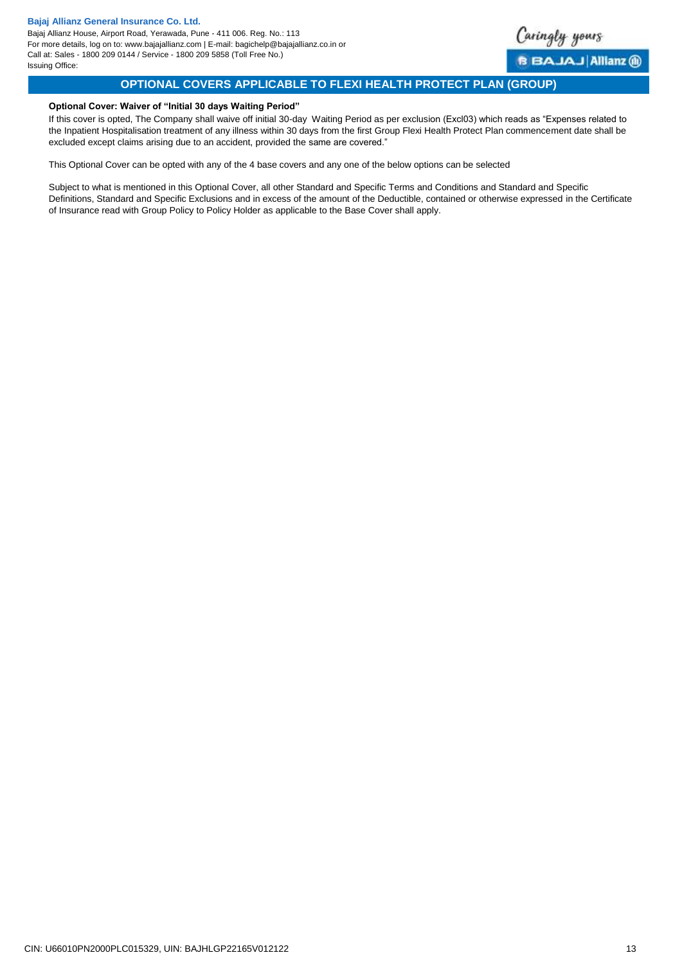Bajaj Allianz House, Airport Road, Yerawada, Pune - 411 006. Reg. No.: 113 For more details, log on to: www.bajajallianz.com | E-mail: bagichelp@bajajallianz.co.in or Call at: Sales - 1800 209 0144 / Service - 1800 209 5858 (Toll Free No.) Issuing Office:

<span id="page-12-1"></span>

# **OPTIONAL COVERS APPLICABLE TO FLEXI HEALTH PROTECT PLAN (GROUP)**

### <span id="page-12-0"></span>**Optional Cover: Waiver of "Initial 30 days Waiting Period"**

If this cover is opted, The Company shall waive off initial 30-day Waiting Period as per exclusion (Excl03) which reads as "Expenses related to the Inpatient Hospitalisation treatment of any illness within 30 days from the first Group Flexi Health Protect Plan commencement date shall be excluded except claims arising due to an accident, provided the same are covered."

This Optional Cover can be opted with any of the 4 base covers and any one of the below options can be selected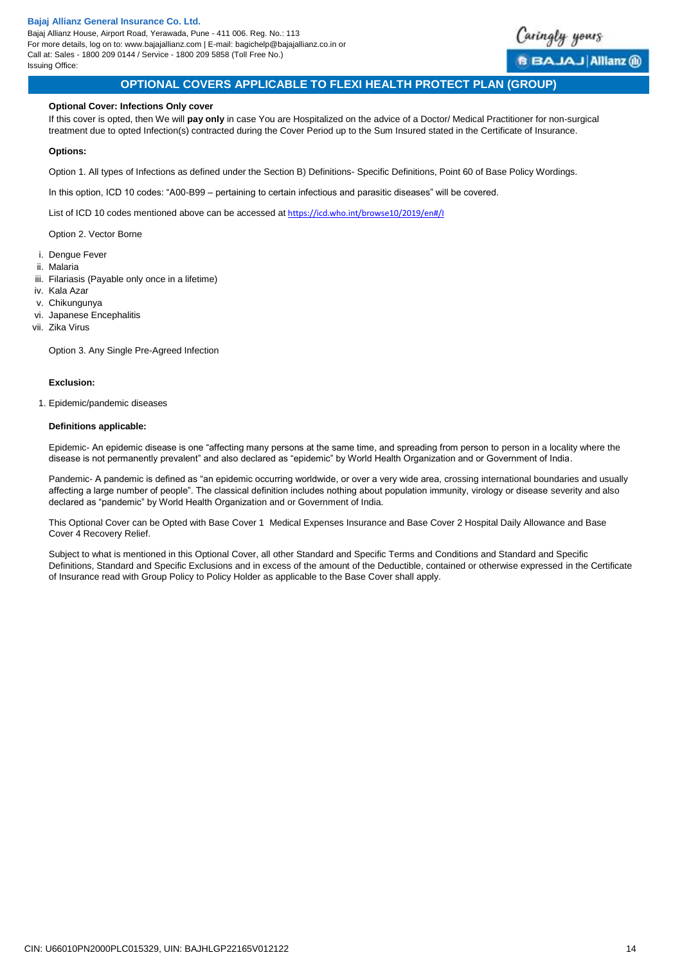Bajaj Allianz House, Airport Road, Yerawada, Pune - 411 006. Reg. No.: 113 For more details, log on to: www.bajajallianz.com | E-mail: bagichelp@bajajallianz.co.in or Call at: Sales - 1800 209 0144 / Service - 1800 209 5858 (Toll Free No.) Issuing Office:



# **OPTIONAL COVERS APPLICABLE TO FLEXI HEALTH PROTECT PLAN (GROUP)**

### **Optional Cover: Infections Only cover**

If this cover is opted, then We will **pay only** in case You are Hospitalized on the advice of a Doctor/ Medical Practitioner for non-surgical treatment due to opted Infection(s) contracted during the Cover Period up to the Sum Insured stated in the Certificate of Insurance.

#### **Options:**

Option 1. All types of Infections as defined under the Section B) Definitions- Specific Definitions, Point 60 of Base Policy Wordings.

In this option, ICD 10 codes: "A00-B99 – pertaining to certain infectious and parasitic diseases" will be covered.

List of ICD 10 codes mentioned above can be accessed at <https://icd.who.int/browse10/2019/en#/I>

Option 2. Vector Borne

- i. Dengue Fever
- ii. Malaria
- iii. Filariasis (Payable only once in a lifetime)
- iv. Kala Azar
- v. Chikungunya
- vi. Japanese Encephalitis
- vii. Zika Virus

Option 3. Any Single Pre-Agreed Infection

### **Exclusion:**

1. Epidemic/pandemic diseases

#### **Definitions applicable:**

Epidemic- An epidemic disease is one "affecting many persons at the same time, and spreading from person to person in a locality where the disease is not permanently prevalent" and also declared as "epidemic" by World Health Organization and or Government of India.

Pandemic- A pandemic is defined as "an epidemic occurring worldwide, or over a very wide area, crossing international boundaries and usually affecting a large number of people". The classical definition includes nothing about population immunity, virology or disease severity and also declared as "pandemic" by World Health Organization and or Government of India.

<span id="page-13-0"></span>This Optional Cover can be Opted with Base Cover 1 Medical Expenses Insurance and Base Cover 2 Hospital Daily Allowance and Base Cover 4 Recovery Relief.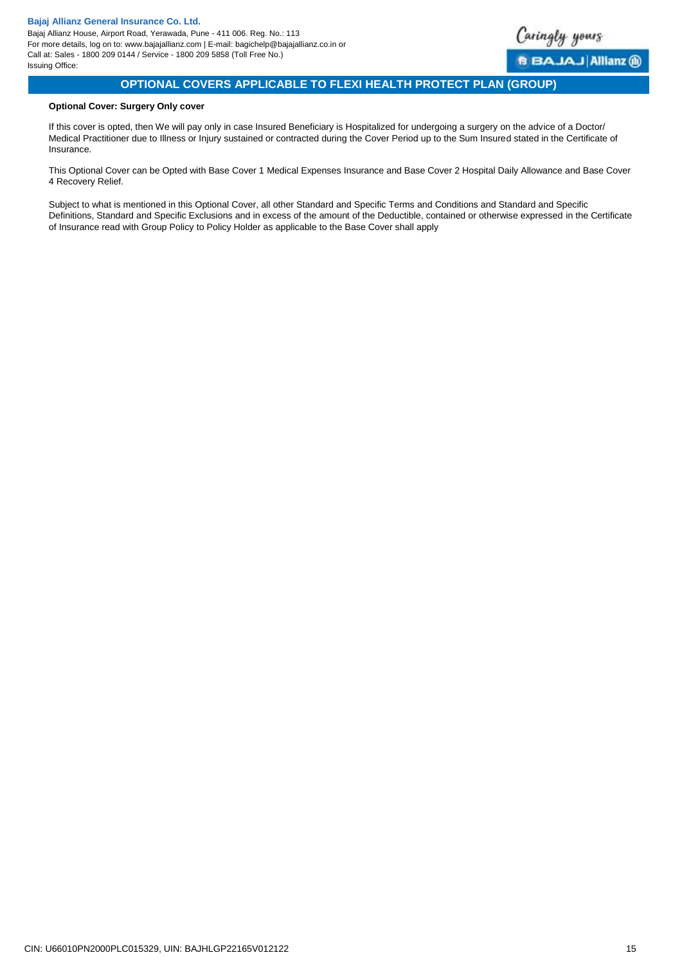

# **OPTIONAL COVERS APPLICABLE TO FLEXI HEALTH PROTECT PLAN (GROUP)**

### **Optional Cover: Surgery Only cover**

If this cover is opted, then We will pay only in case Insured Beneficiary is Hospitalized for undergoing a surgery on the advice of a Doctor/ Medical Practitioner due to Illness or Injury sustained or contracted during the Cover Period up to the Sum Insured stated in the Certificate of Insurance.

<span id="page-14-0"></span>This Optional Cover can be Opted with Base Cover 1 Medical Expenses Insurance and Base Cover 2 Hospital Daily Allowance and Base Cover 4 Recovery Relief.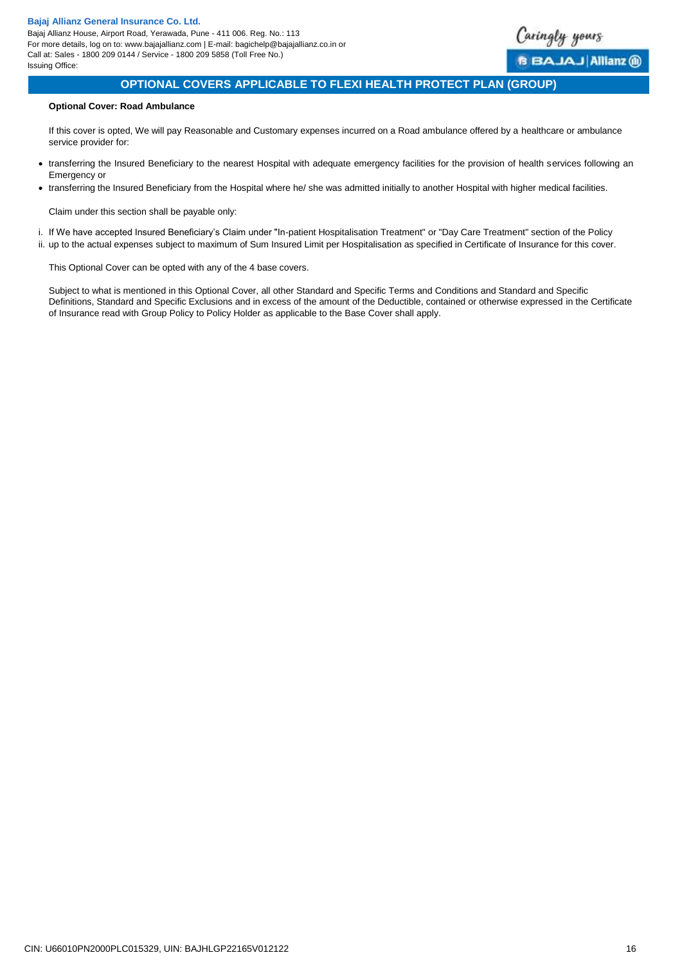

# **OPTIONAL COVERS APPLICABLE TO FLEXI HEALTH PROTECT PLAN (GROUP)**

### **Optional Cover: Road Ambulance**

If this cover is opted, We will pay Reasonable and Customary expenses incurred on a Road ambulance offered by a healthcare or ambulance service provider for:

- transferring the Insured Beneficiary to the nearest Hospital with adequate emergency facilities for the provision of health services following an Emergency or
- transferring the Insured Beneficiary from the Hospital where he/ she was admitted initially to another Hospital with higher medical facilities.

Claim under this section shall be payable only:

- i. If We have accepted Insured Beneficiary's Claim under "In-patient Hospitalisation Treatment" or "Day Care Treatment" section of the Policy
- ii. up to the actual expenses subject to maximum of Sum Insured Limit per Hospitalisation as specified in Certificate of Insurance for this cover.

<span id="page-15-0"></span>This Optional Cover can be opted with any of the 4 base covers.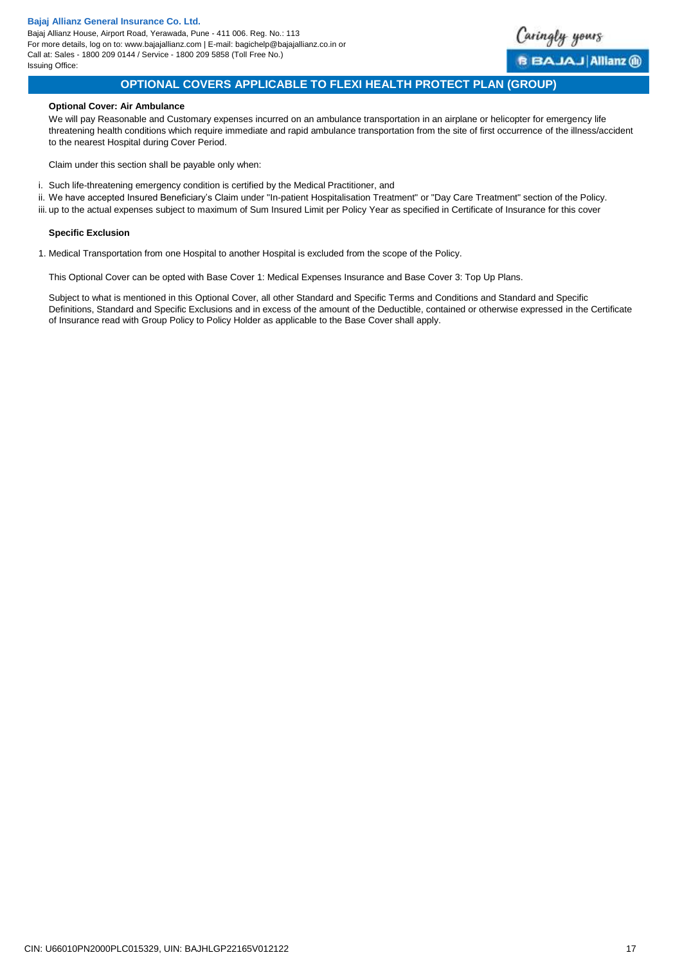Bajaj Allianz House, Airport Road, Yerawada, Pune - 411 006. Reg. No.: 113 For more details, log on to: www.bajajallianz.com | E-mail: bagichelp@bajajallianz.co.in or Call at: Sales - 1800 209 0144 / Service - 1800 209 5858 (Toll Free No.) Issuing Office:

<span id="page-16-0"></span>

# **OPTIONAL COVERS APPLICABLE TO FLEXI HEALTH PROTECT PLAN (GROUP)**

### **Optional Cover: Air Ambulance**

We will pay Reasonable and Customary expenses incurred on an ambulance transportation in an airplane or helicopter for emergency life threatening health conditions which require immediate and rapid ambulance transportation from the site of first occurrence of the illness/accident to the nearest Hospital during Cover Period.

Claim under this section shall be payable only when:

- i. Such life-threatening emergency condition is certified by the Medical Practitioner, and
- ii. We have accepted Insured Beneficiary's Claim under "In-patient Hospitalisation Treatment" or "Day Care Treatment" section of the Policy.
- iii. up to the actual expenses subject to maximum of Sum Insured Limit per Policy Year as specified in Certificate of Insurance for this cover

### **Specific Exclusion**

1. Medical Transportation from one Hospital to another Hospital is excluded from the scope of the Policy.

This Optional Cover can be opted with Base Cover 1: Medical Expenses Insurance and Base Cover 3: Top Up Plans.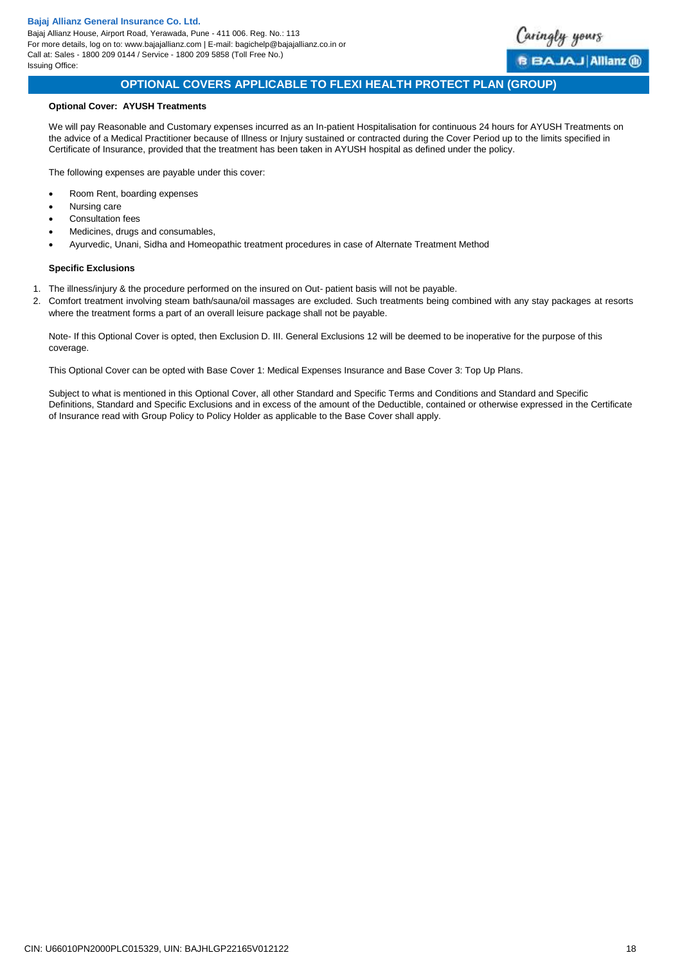Bajaj Allianz House, Airport Road, Yerawada, Pune - 411 006. Reg. No.: 113 For more details, log on to: www.bajajallianz.com | E-mail: bagichelp@bajajallianz.co.in or Call at: Sales - 1800 209 0144 / Service - 1800 209 5858 (Toll Free No.) Issuing Office:



# **OPTIONAL COVERS APPLICABLE TO FLEXI HEALTH PROTECT PLAN (GROUP)**

### **Optional Cover: AYUSH Treatments**

We will pay Reasonable and Customary expenses incurred as an In-patient Hospitalisation for continuous 24 hours for AYUSH Treatments on the advice of a Medical Practitioner because of Illness or Injury sustained or contracted during the Cover Period up to the limits specified in Certificate of Insurance, provided that the treatment has been taken in AYUSH hospital as defined under the policy.

The following expenses are payable under this cover:

- Room Rent, boarding expenses
- Nursing care
- Consultation fees
- Medicines, drugs and consumables,
- Ayurvedic, Unani, Sidha and Homeopathic treatment procedures in case of Alternate Treatment Method

### **Specific Exclusions**

- 1. The illness/injury & the procedure performed on the insured on Out- patient basis will not be payable.
- 2. Comfort treatment involving steam bath/sauna/oil massages are excluded. Such treatments being combined with any stay packages at resorts where the treatment forms a part of an overall leisure package shall not be payable.

Note- If this Optional Cover is opted, then Exclusion D. III. General Exclusions 12 will be deemed to be inoperative for the purpose of this coverage.

<span id="page-17-0"></span>This Optional Cover can be opted with Base Cover 1: Medical Expenses Insurance and Base Cover 3: Top Up Plans.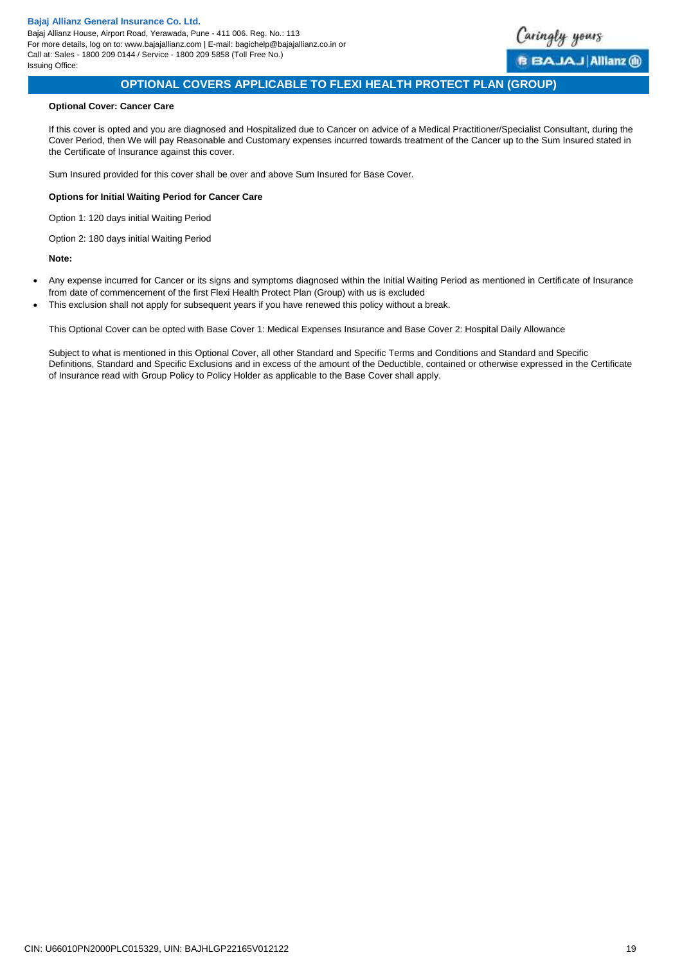<span id="page-18-0"></span>

# **OPTIONAL COVERS APPLICABLE TO FLEXI HEALTH PROTECT PLAN (GROUP)**

### **Optional Cover: Cancer Care**

If this cover is opted and you are diagnosed and Hospitalized due to Cancer on advice of a Medical Practitioner/Specialist Consultant, during the Cover Period, then We will pay Reasonable and Customary expenses incurred towards treatment of the Cancer up to the Sum Insured stated in the Certificate of Insurance against this cover.

Sum Insured provided for this cover shall be over and above Sum Insured for Base Cover.

### **Options for Initial Waiting Period for Cancer Care**

Option 1: 120 days initial Waiting Period

Option 2: 180 days initial Waiting Period

**Note:** 

- Any expense incurred for Cancer or its signs and symptoms diagnosed within the Initial Waiting Period as mentioned in Certificate of Insurance from date of commencement of the first Flexi Health Protect Plan (Group) with us is excluded
- This exclusion shall not apply for subsequent years if you have renewed this policy without a break.

This Optional Cover can be opted with Base Cover 1: Medical Expenses Insurance and Base Cover 2: Hospital Daily Allowance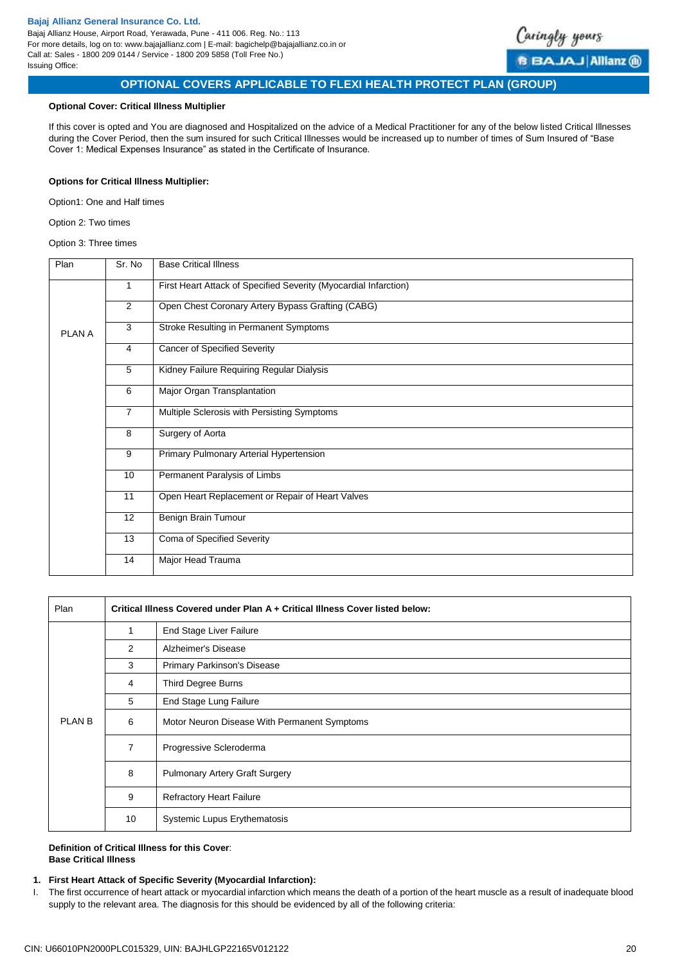

# **OPTIONAL COVERS APPLICABLE TO FLEXI HEALTH PROTECT PLAN (GROUP)**

### **Optional Cover: Critical Illness Multiplier**

If this cover is opted and You are diagnosed and Hospitalized on the advice of a Medical Practitioner for any of the below listed Critical Illnesses during the Cover Period, then the sum insured for such Critical Illnesses would be increased up to number of times of Sum Insured of "Base Cover 1: Medical Expenses Insurance" as stated in the Certificate of Insurance.

# **Options for Critical Illness Multiplier:**

Option1: One and Half times

Option 2: Two times

### Option 3: Three times

| Plan                                                          | Sr. No         | <b>Base Critical Illness</b>                                     |
|---------------------------------------------------------------|----------------|------------------------------------------------------------------|
|                                                               | 1              | First Heart Attack of Specified Severity (Myocardial Infarction) |
|                                                               | $\overline{2}$ | Open Chest Coronary Artery Bypass Grafting (CABG)                |
| PLAN A                                                        | 3              | Stroke Resulting in Permanent Symptoms                           |
|                                                               | $\overline{4}$ | <b>Cancer of Specified Severity</b>                              |
|                                                               | 5              | Kidney Failure Requiring Regular Dialysis                        |
|                                                               | 6              | Major Organ Transplantation                                      |
| $\overline{7}$<br>Multiple Sclerosis with Persisting Symptoms |                |                                                                  |
|                                                               | 8              | Surgery of Aorta                                                 |
|                                                               | 9              | Primary Pulmonary Arterial Hypertension                          |
|                                                               | 10             | Permanent Paralysis of Limbs                                     |
|                                                               | 11             | Open Heart Replacement or Repair of Heart Valves                 |
|                                                               | 12             | Benign Brain Tumour                                              |
|                                                               | 13             | Coma of Specified Severity                                       |
|                                                               | 14             | Major Head Trauma                                                |

| Plan              | Critical Illness Covered under Plan A + Critical Illness Cover listed below: |                                              |  |  |
|-------------------|------------------------------------------------------------------------------|----------------------------------------------|--|--|
|                   | 1                                                                            | End Stage Liver Failure                      |  |  |
|                   | 2                                                                            | Alzheimer's Disease                          |  |  |
|                   | 3                                                                            | <b>Primary Parkinson's Disease</b>           |  |  |
|                   | 4                                                                            | Third Degree Burns                           |  |  |
|                   | 5                                                                            | End Stage Lung Failure                       |  |  |
| PLAN <sub>B</sub> | 6                                                                            | Motor Neuron Disease With Permanent Symptoms |  |  |
|                   | 7                                                                            | Progressive Scleroderma                      |  |  |
|                   | 8                                                                            | <b>Pulmonary Artery Graft Surgery</b>        |  |  |
|                   | 9                                                                            | <b>Refractory Heart Failure</b>              |  |  |
|                   | 10                                                                           | <b>Systemic Lupus Erythematosis</b>          |  |  |

### **Definition of Critical Illness for this Cover**: **Base Critical Illness**

### **1. First Heart Attack of Specific Severity (Myocardial Infarction):**

I. The first occurrence of heart attack or myocardial infarction which means the death of a portion of the heart muscle as a result of inadequate blood supply to the relevant area. The diagnosis for this should be evidenced by all of the following criteria: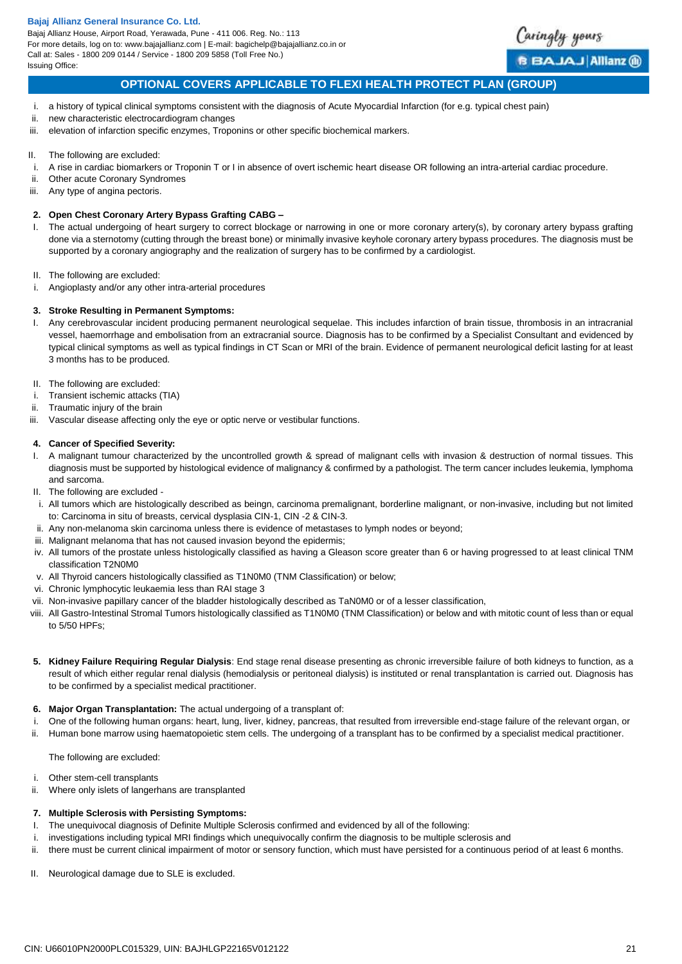Bajaj Allianz House, Airport Road, Yerawada, Pune - 411 006. Reg. No.: 113 For more details, log on to: www.bajajallianz.com | E-mail: bagichelp@bajajallianz.co.in or Call at: Sales - 1800 209 0144 / Service - 1800 209 5858 (Toll Free No.) Issuing Office:



# **OPTIONAL COVERS APPLICABLE TO FLEXI HEALTH PROTECT PLAN (GROUP)**

- i. a history of typical clinical symptoms consistent with the diagnosis of Acute Myocardial Infarction (for e.g. typical chest pain)
- ii. new characteristic electrocardiogram changes
- iii. elevation of infarction specific enzymes, Troponins or other specific biochemical markers.
- II. The following are excluded:
- i. A rise in cardiac biomarkers or Troponin T or I in absence of overt ischemic heart disease OR following an intra-arterial cardiac procedure.
- ii. Other acute Coronary Syndromes
- iii. Any type of angina pectoris.

### **2. Open Chest Coronary Artery Bypass Grafting CABG –**

- I. The actual undergoing of heart surgery to correct blockage or narrowing in one or more coronary artery(s), by coronary artery bypass grafting done via a sternotomy (cutting through the breast bone) or minimally invasive keyhole coronary artery bypass procedures. The diagnosis must be supported by a coronary angiography and the realization of surgery has to be confirmed by a cardiologist.
- II. The following are excluded:
- i. Angioplasty and/or any other intra-arterial procedures

### **3. Stroke Resulting in Permanent Symptoms:**

- I. Any cerebrovascular incident producing permanent neurological sequelae. This includes infarction of brain tissue, thrombosis in an intracranial vessel, haemorrhage and embolisation from an extracranial source. Diagnosis has to be confirmed by a Specialist Consultant and evidenced by typical clinical symptoms as well as typical findings in CT Scan or MRI of the brain. Evidence of permanent neurological deficit lasting for at least 3 months has to be produced.
- II. The following are excluded:
- i. Transient ischemic attacks (TIA)
- ii. Traumatic injury of the brain
- iii. Vascular disease affecting only the eye or optic nerve or vestibular functions.

### **4. Cancer of Specified Severity:**

- I. A malignant tumour characterized by the uncontrolled growth & spread of malignant cells with invasion & destruction of normal tissues. This diagnosis must be supported by histological evidence of malignancy & confirmed by a pathologist. The term cancer includes leukemia, lymphoma and sarcoma.
- II. The following are excluded -
- i. All tumors which are histologically described as beingn, carcinoma premalignant, borderline malignant, or non-invasive, including but not limited to: Carcinoma in situ of breasts, cervical dysplasia CIN-1, CIN -2 & CIN-3.
- ii. Any non-melanoma skin carcinoma unless there is evidence of metastases to lymph nodes or beyond;
- iii. Malignant melanoma that has not caused invasion beyond the epidermis:
- iv. All tumors of the prostate unless histologically classified as having a Gleason score greater than 6 or having progressed to at least clinical TNM classification T2N0M0
- v. All Thyroid cancers histologically classified as T1N0M0 (TNM Classification) or below;
- vi. Chronic lymphocytic leukaemia less than RAI stage 3
- vii. Non-invasive papillary cancer of the bladder histologically described as TaN0M0 or of a lesser classification,
- viii. All Gastro-Intestinal Stromal Tumors histologically classified as T1N0M0 (TNM Classification) or below and with mitotic count of less than or equal to 5/50 HPFs;
- **5. Kidney Failure Requiring Regular Dialysis**: End stage renal disease presenting as chronic irreversible failure of both kidneys to function, as a result of which either regular renal dialysis (hemodialysis or peritoneal dialysis) is instituted or renal transplantation is carried out. Diagnosis has to be confirmed by a specialist medical practitioner.
- **6. Major Organ Transplantation:** The actual undergoing of a transplant of:
- i. One of the following human organs: heart, lung, liver, kidney, pancreas, that resulted from irreversible end-stage failure of the relevant organ, or
- ii. Human bone marrow using haematopoietic stem cells. The undergoing of a transplant has to be confirmed by a specialist medical practitioner.

The following are excluded:

- i. Other stem-cell transplants
- ii. Where only islets of langerhans are transplanted

### **7. Multiple Sclerosis with Persisting Symptoms:**

- I. The unequivocal diagnosis of Definite Multiple Sclerosis confirmed and evidenced by all of the following:
- i. investigations including typical MRI findings which unequivocally confirm the diagnosis to be multiple sclerosis and
- ii. there must be current clinical impairment of motor or sensory function, which must have persisted for a continuous period of at least 6 months.
- II. Neurological damage due to SLE is excluded.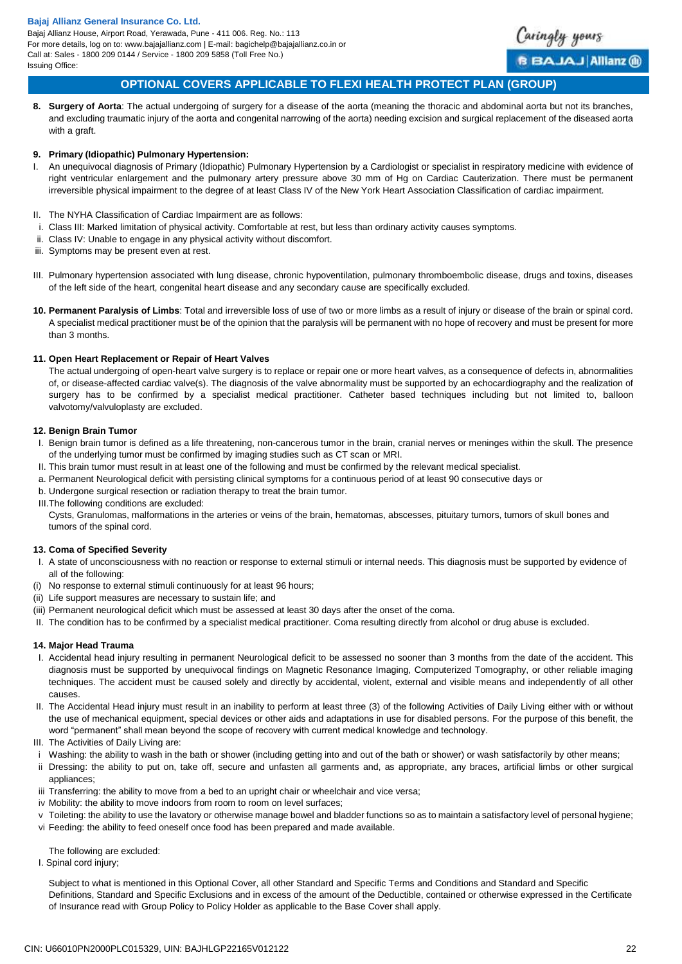Bajaj Allianz House, Airport Road, Yerawada, Pune - 411 006. Reg. No.: 113 For more details, log on to: www.bajajallianz.com | E-mail: bagichelp@bajajallianz.co.in or Call at: Sales - 1800 209 0144 / Service - 1800 209 5858 (Toll Free No.) Issuing Office:



BAJAJ Allianz @

# **OPTIONAL COVERS APPLICABLE TO FLEXI HEALTH PROTECT PLAN (GROUP)**

**8. Surgery of Aorta**: The actual undergoing of surgery for a disease of the aorta (meaning the thoracic and abdominal aorta but not its branches, and excluding traumatic injury of the aorta and congenital narrowing of the aorta) needing excision and surgical replacement of the diseased aorta with a graft.

### **9. Primary (Idiopathic) Pulmonary Hypertension:**

- I. An unequivocal diagnosis of Primary (Idiopathic) Pulmonary Hypertension by a Cardiologist or specialist in respiratory medicine with evidence of right ventricular enlargement and the pulmonary artery pressure above 30 mm of Hg on Cardiac Cauterization. There must be permanent irreversible physical impairment to the degree of at least Class IV of the New York Heart Association Classification of cardiac impairment.
- II. The NYHA Classification of Cardiac Impairment are as follows:
- i. Class III: Marked limitation of physical activity. Comfortable at rest, but less than ordinary activity causes symptoms.
- ii. Class IV: Unable to engage in any physical activity without discomfort.
- iii. Symptoms may be present even at rest.

III. Pulmonary hypertension associated with lung disease, chronic hypoventilation, pulmonary thromboembolic disease, drugs and toxins, diseases of the left side of the heart, congenital heart disease and any secondary cause are specifically excluded.

**10. Permanent Paralysis of Limbs**: Total and irreversible loss of use of two or more limbs as a result of injury or disease of the brain or spinal cord. A specialist medical practitioner must be of the opinion that the paralysis will be permanent with no hope of recovery and must be present for more than 3 months.

### **11. Open Heart Replacement or Repair of Heart Valves**

The actual undergoing of open-heart valve surgery is to replace or repair one or more heart valves, as a consequence of defects in, abnormalities of, or disease-affected cardiac valve(s). The diagnosis of the valve abnormality must be supported by an echocardiography and the realization of surgery has to be confirmed by a specialist medical practitioner. Catheter based techniques including but not limited to, balloon valvotomy/valvuloplasty are excluded.

### **12. Benign Brain Tumor**

- I. Benign brain tumor is defined as a life threatening, non-cancerous tumor in the brain, cranial nerves or meninges within the skull. The presence of the underlying tumor must be confirmed by imaging studies such as CT scan or MRI.
- II. This brain tumor must result in at least one of the following and must be confirmed by the relevant medical specialist.
- a. Permanent Neurological deficit with persisting clinical symptoms for a continuous period of at least 90 consecutive days or
- b. Undergone surgical resection or radiation therapy to treat the brain tumor.
- III.The following conditions are excluded:

Cysts, Granulomas, malformations in the arteries or veins of the brain, hematomas, abscesses, pituitary tumors, tumors of skull bones and tumors of the spinal cord.

### **13. Coma of Specified Severity**

- I. A state of unconsciousness with no reaction or response to external stimuli or internal needs. This diagnosis must be supported by evidence of all of the following:
- (i) No response to external stimuli continuously for at least 96 hours;
- (ii) Life support measures are necessary to sustain life; and
- (iii) Permanent neurological deficit which must be assessed at least 30 days after the onset of the coma.
- II. The condition has to be confirmed by a specialist medical practitioner. Coma resulting directly from alcohol or drug abuse is excluded.

### **14. Major Head Trauma**

- I. Accidental head injury resulting in permanent Neurological deficit to be assessed no sooner than 3 months from the date of the accident. This diagnosis must be supported by unequivocal findings on Magnetic Resonance Imaging, Computerized Tomography, or other reliable imaging techniques. The accident must be caused solely and directly by accidental, violent, external and visible means and independently of all other causes.
- II. The Accidental Head injury must result in an inability to perform at least three (3) of the following Activities of Daily Living either with or without the use of mechanical equipment, special devices or other aids and adaptations in use for disabled persons. For the purpose of this benefit, the word "permanent" shall mean beyond the scope of recovery with current medical knowledge and technology.
- III. The Activities of Daily Living are:
- i Washing: the ability to wash in the bath or shower (including getting into and out of the bath or shower) or wash satisfactorily by other means;
- ii Dressing: the ability to put on, take off, secure and unfasten all garments and, as appropriate, any braces, artificial limbs or other surgical appliances;
- iii Transferring: the ability to move from a bed to an upright chair or wheelchair and vice versa;
- iv Mobility: the ability to move indoors from room to room on level surfaces;
- v Toileting: the ability to use the lavatory or otherwise manage bowel and bladder functions so as to maintain a satisfactory level of personal hygiene;
- vi Feeding: the ability to feed oneself once food has been prepared and made available.

The following are excluded:

I. Spinal cord injury;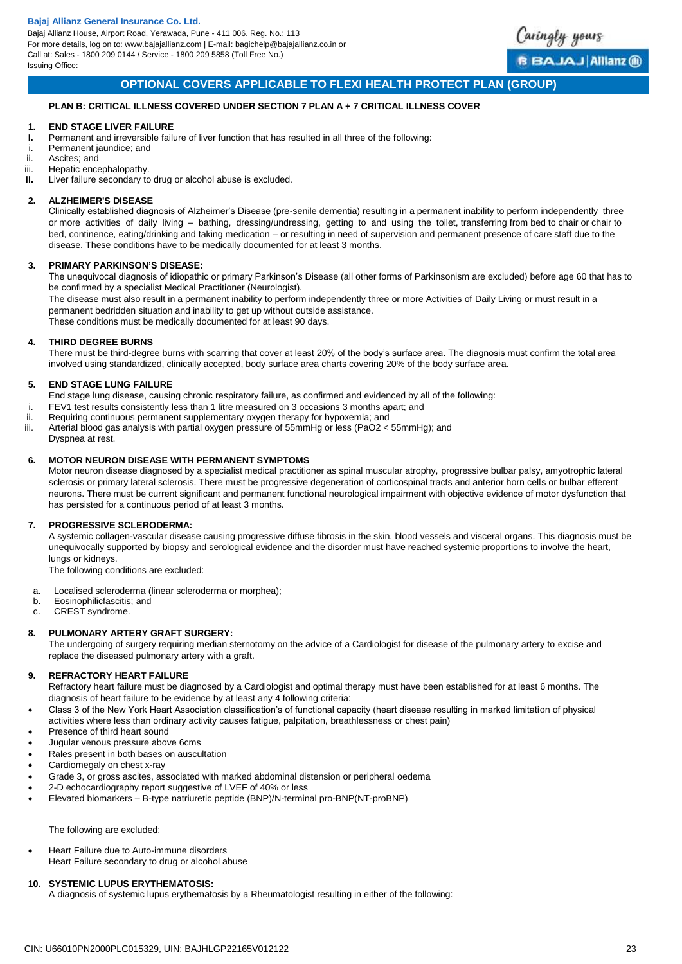

# **OPTIONAL COVERS APPLICABLE TO FLEXI HEALTH PROTECT PLAN (GROUP)**

### **PLAN B: CRITICAL ILLNESS COVERED UNDER SECTION 7 PLAN A + 7 CRITICAL ILLNESS COVER**

### **1. END STAGE LIVER FAILURE**

- **I.** Permanent and irreversible failure of liver function that has resulted in all three of the following:<br>Permanent jaundice: and
- Permanent jaundice; and
- ii. Ascites; and<br>iii. Henatic ence
- iii. Hepatic encephalopathy.<br>II. Liver failure secondary to
- Liver failure secondary to drug or alcohol abuse is excluded.

#### **2. ALZHEIMER'S DISEASE**

Clinically established diagnosis of Alzheimer's Disease (pre-senile dementia) resulting in a permanent inability to perform independently three or more activities of daily living – bathing, dressing/undressing, getting to and using the toilet, transferring from bed to chair or chair to bed, continence, eating/drinking and taking medication – or resulting in need of supervision and permanent presence of care staff due to the disease. These conditions have to be medically documented for at least 3 months.

#### **3. PRIMARY PARKINSON'S DISEASE:**

The unequivocal diagnosis of idiopathic or primary Parkinson's Disease (all other forms of Parkinsonism are excluded) before age 60 that has to be confirmed by a specialist Medical Practitioner (Neurologist).

The disease must also result in a permanent inability to perform independently three or more Activities of Daily Living or must result in a permanent bedridden situation and inability to get up without outside assistance.

These conditions must be medically documented for at least 90 days.

### **4. THIRD DEGREE BURNS**

There must be third-degree burns with scarring that cover at least 20% of the body's surface area. The diagnosis must confirm the total area involved using standardized, clinically accepted, body surface area charts covering 20% of the body surface area.

#### **5. END STAGE LUNG FAILURE**

- End stage lung disease, causing chronic respiratory failure, as confirmed and evidenced by all of the following:
- i. FEV1 test results consistently less than 1 litre measured on 3 occasions 3 months apart; and
- ii. Requiring continuous permanent supplementary oxygen therapy for hypoxemia; and<br>iii. Arterial blood gas analysis with partial oxygen pressure of 55mmHg or less (PaO2 <
- Arterial blood gas analysis with partial oxygen pressure of 55mmHg or less (PaO2 < 55mmHg); and

### Dyspnea at rest.

### **6. MOTOR NEURON DISEASE WITH PERMANENT SYMPTOMS**

Motor neuron disease diagnosed by a specialist medical practitioner as spinal muscular atrophy, progressive bulbar palsy, amyotrophic lateral sclerosis or primary lateral sclerosis. There must be progressive degeneration of corticospinal tracts and anterior horn cells or bulbar efferent neurons. There must be current significant and permanent functional neurological impairment with objective evidence of motor dysfunction that has persisted for a continuous period of at least 3 months.

### **7. PROGRESSIVE SCLERODERMA:**

A systemic collagen-vascular disease causing progressive diffuse fibrosis in the skin, blood vessels and visceral organs. This diagnosis must be unequivocally supported by biopsy and serological evidence and the disorder must have reached systemic proportions to involve the heart, lungs or kidneys.

The following conditions are excluded:

- a. Localised scleroderma (linear scleroderma or morphea);
- b. Eosinophilicfascitis; and
- c. CREST syndrome.

### **8. PULMONARY ARTERY GRAFT SURGERY:**

The undergoing of surgery requiring median sternotomy on the advice of a Cardiologist for disease of the pulmonary artery to excise and replace the diseased pulmonary artery with a graft.

#### **9. REFRACTORY HEART FAILURE**

Refractory heart failure must be diagnosed by a Cardiologist and optimal therapy must have been established for at least 6 months. The diagnosis of heart failure to be evidence by at least any 4 following criteria:

- Class 3 of the New York Heart Association classification's of functional capacity (heart disease resulting in marked limitation of physical activities where less than ordinary activity causes fatigue, palpitation, breathlessness or chest pain)
- Presence of third heart sound
- Jugular venous pressure above 6cms
- Rales present in both bases on auscultation
- Cardiomegaly on chest x-ray
- Grade 3, or gross ascites, associated with marked abdominal distension or peripheral oedema
- 2-D echocardiography report suggestive of LVEF of 40% or less
- Elevated biomarkers B-type natriuretic peptide (BNP)/N-terminal pro-BNP(NT-proBNP)

# The following are excluded:

 Heart Failure due to Auto-immune disorders Heart Failure secondary to drug or alcohol abuse

# **10. SYSTEMIC LUPUS ERYTHEMATOSIS:**

A diagnosis of systemic lupus erythematosis by a Rheumatologist resulting in either of the following: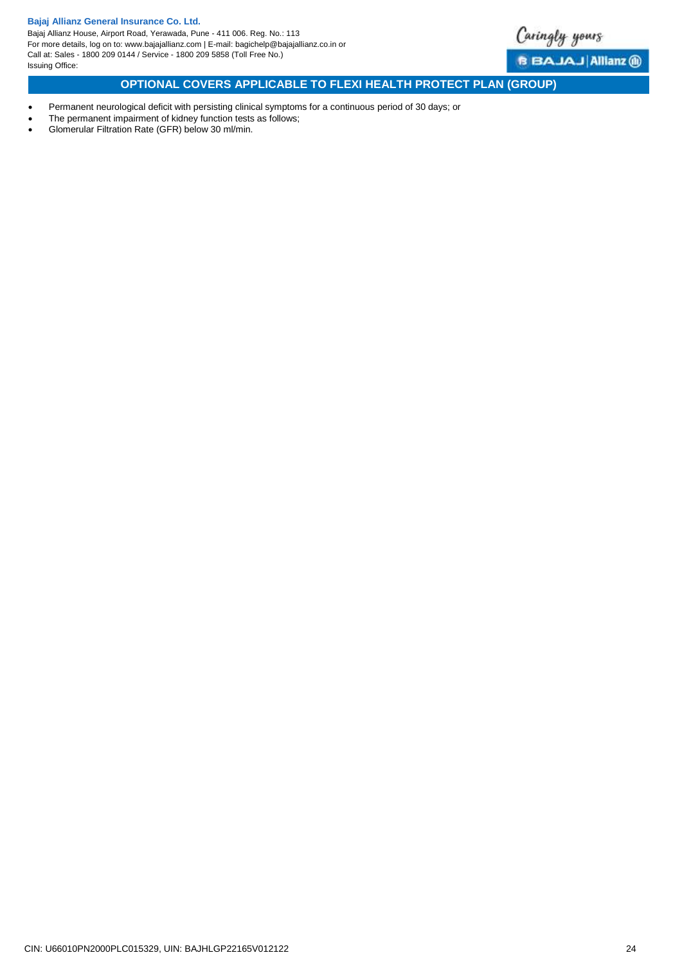

**B BAJAJ Allianz ®** 

# <span id="page-23-0"></span>**OPTIONAL COVERS APPLICABLE TO FLEXI HEALTH PROTECT PLAN (GROUP)**

- Permanent neurological deficit with persisting clinical symptoms for a continuous period of 30 days; or
- The permanent impairment of kidney function tests as follows;
- Glomerular Filtration Rate (GFR) below 30 ml/min.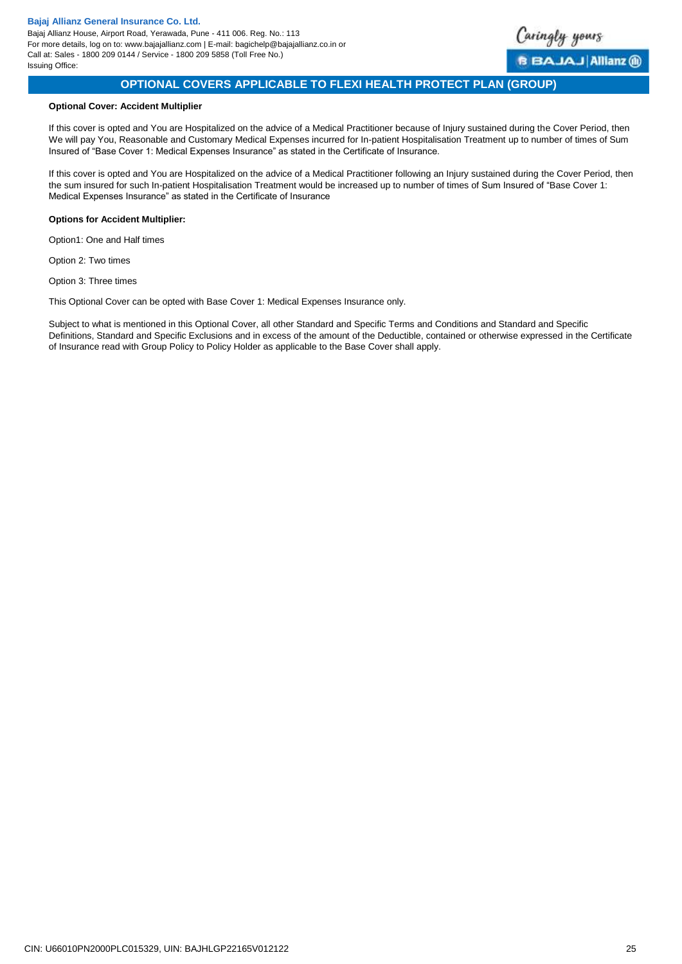<span id="page-24-0"></span>

# **OPTIONAL COVERS APPLICABLE TO FLEXI HEALTH PROTECT PLAN (GROUP)**

### **Optional Cover: Accident Multiplier**

If this cover is opted and You are Hospitalized on the advice of a Medical Practitioner because of Injury sustained during the Cover Period, then We will pay You, Reasonable and Customary Medical Expenses incurred for In-patient Hospitalisation Treatment up to number of times of Sum Insured of "Base Cover 1: Medical Expenses Insurance" as stated in the Certificate of Insurance.

If this cover is opted and You are Hospitalized on the advice of a Medical Practitioner following an Injury sustained during the Cover Period, then the sum insured for such In-patient Hospitalisation Treatment would be increased up to number of times of Sum Insured of "Base Cover 1: Medical Expenses Insurance" as stated in the Certificate of Insurance

### **Options for Accident Multiplier:**

Option1: One and Half times

Option 2: Two times

Option 3: Three times

This Optional Cover can be opted with Base Cover 1: Medical Expenses Insurance only.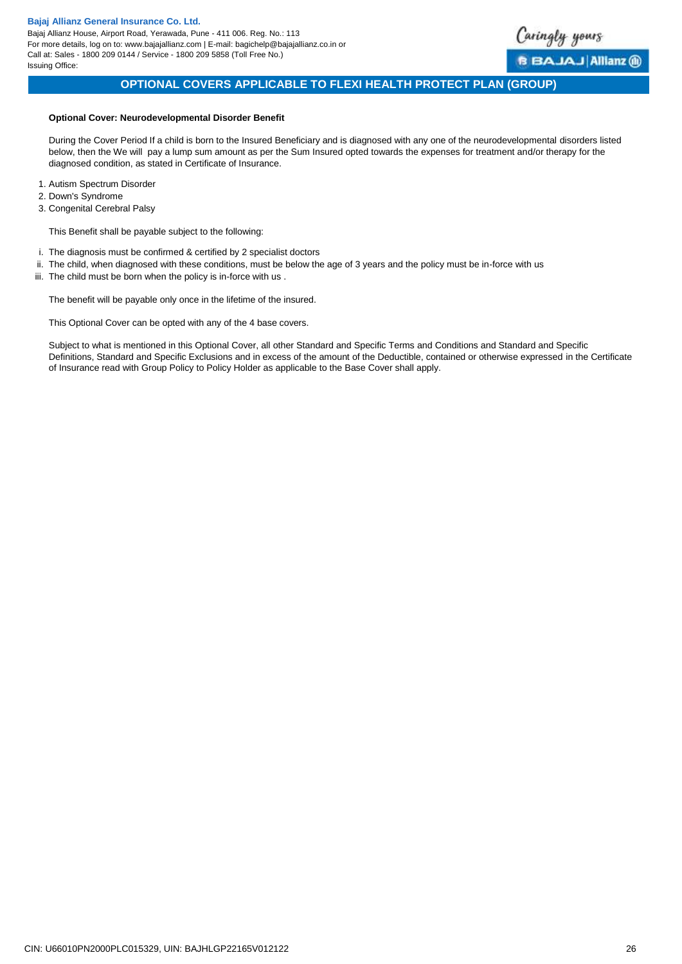<span id="page-25-0"></span>

# **OPTIONAL COVERS APPLICABLE TO FLEXI HEALTH PROTECT PLAN (GROUP)**

### **Optional Cover: Neurodevelopmental Disorder Benefit**

During the Cover Period If a child is born to the Insured Beneficiary and is diagnosed with any one of the neurodevelopmental disorders listed below, then the We will pay a lump sum amount as per the Sum Insured opted towards the expenses for treatment and/or therapy for the diagnosed condition, as stated in Certificate of Insurance.

- 1. Autism Spectrum Disorder
- 2. Down's Syndrome
- 3. Congenital Cerebral Palsy

This Benefit shall be payable subject to the following:

- i. The diagnosis must be confirmed & certified by 2 specialist doctors
- ii. The child, when diagnosed with these conditions, must be below the age of 3 years and the policy must be in-force with us
- iii. The child must be born when the policy is in-force with us.

The benefit will be payable only once in the lifetime of the insured.

This Optional Cover can be opted with any of the 4 base covers.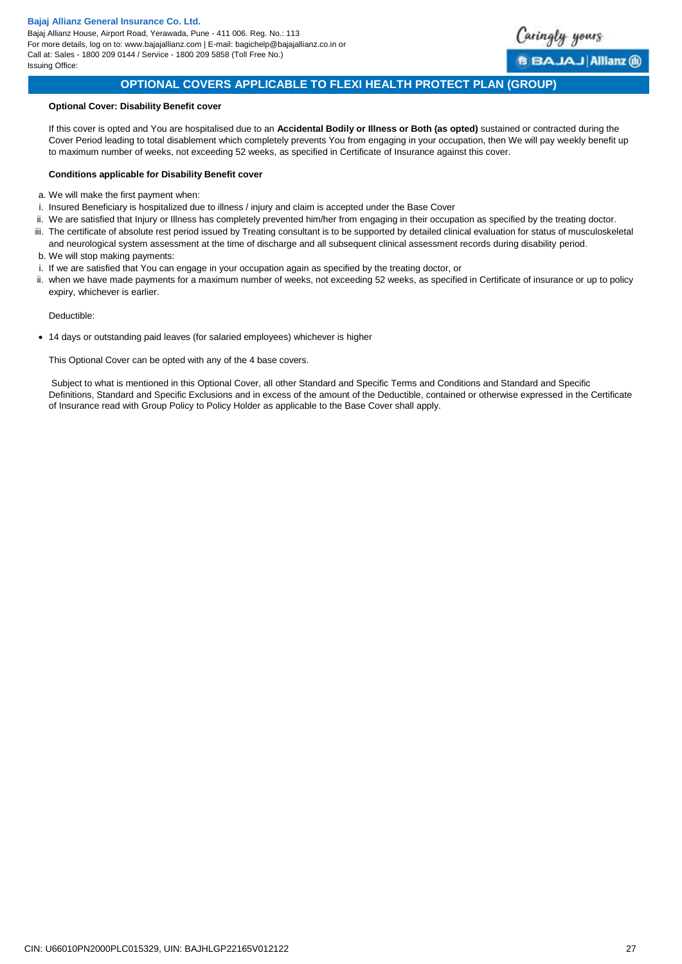Bajaj Allianz House, Airport Road, Yerawada, Pune - 411 006. Reg. No.: 113 For more details, log on to: www.bajajallianz.com | E-mail: bagichelp@bajajallianz.co.in or Call at: Sales - 1800 209 0144 / Service - 1800 209 5858 (Toll Free No.) Issuing Office:

<span id="page-26-0"></span>

# **OPTIONAL COVERS APPLICABLE TO FLEXI HEALTH PROTECT PLAN (GROUP)**

### **Optional Cover: Disability Benefit cover**

If this cover is opted and You are hospitalised due to an **Accidental Bodily or Illness or Both (as opted)** sustained or contracted during the Cover Period leading to total disablement which completely prevents You from engaging in your occupation, then We will pay weekly benefit up to maximum number of weeks, not exceeding 52 weeks, as specified in Certificate of Insurance against this cover.

### **Conditions applicable for Disability Benefit cover**

- a. We will make the first payment when:
- i. Insured Beneficiary is hospitalized due to illness / injury and claim is accepted under the Base Cover
- ii. We are satisfied that Injury or Illness has completely prevented him/her from engaging in their occupation as specified by the treating doctor.
- iii. The certificate of absolute rest period issued by Treating consultant is to be supported by detailed clinical evaluation for status of musculoskeletal
- and neurological system assessment at the time of discharge and all subsequent clinical assessment records during disability period. b. We will stop making payments:
- i. If we are satisfied that You can engage in your occupation again as specified by the treating doctor, or
- ii. when we have made payments for a maximum number of weeks, not exceeding 52 weeks, as specified in Certificate of insurance or up to policy expiry, whichever is earlier.

Deductible:

14 days or outstanding paid leaves (for salaried employees) whichever is higher

This Optional Cover can be opted with any of the 4 base covers.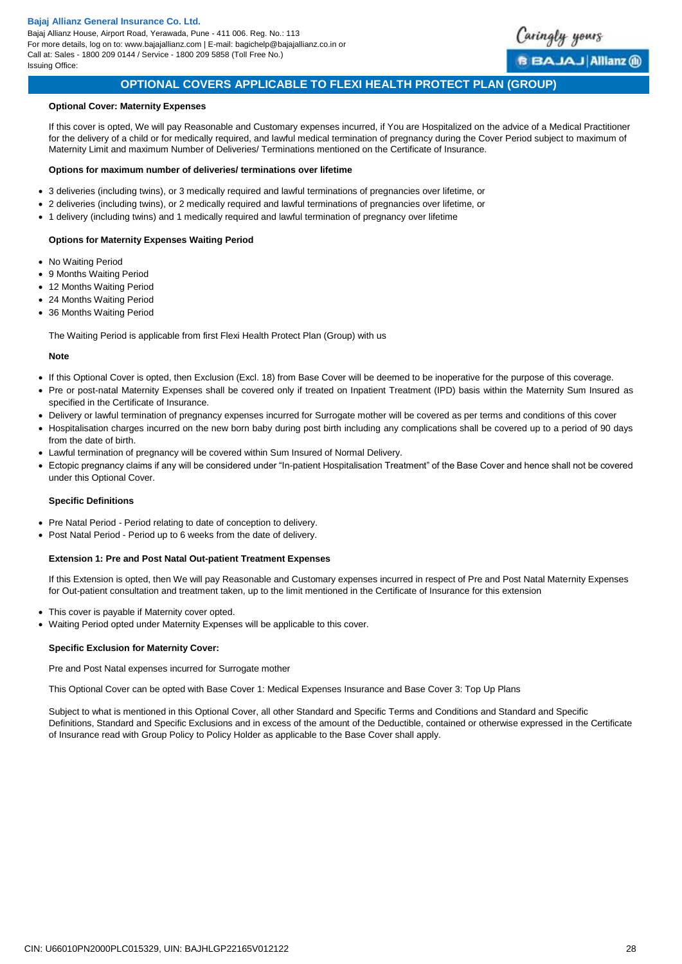

# **OPTIONAL COVERS APPLICABLE TO FLEXI HEALTH PROTECT PLAN (GROUP)**

### **Optional Cover: Maternity Expenses**

If this cover is opted, We will pay Reasonable and Customary expenses incurred, if You are Hospitalized on the advice of a Medical Practitioner for the delivery of a child or for medically required, and lawful medical termination of pregnancy during the Cover Period subject to maximum of Maternity Limit and maximum Number of Deliveries/ Terminations mentioned on the Certificate of Insurance.

#### **Options for maximum number of deliveries/ terminations over lifetime**

- 3 deliveries (including twins), or 3 medically required and lawful terminations of pregnancies over lifetime, or
- 2 deliveries (including twins), or 2 medically required and lawful terminations of pregnancies over lifetime, or
- 1 delivery (including twins) and 1 medically required and lawful termination of pregnancy over lifetime

#### **Options for Maternity Expenses Waiting Period**

- No Waiting Period
- 9 Months Waiting Period
- 12 Months Waiting Period
- 24 Months Waiting Period
- 36 Months Waiting Period

The Waiting Period is applicable from first Flexi Health Protect Plan (Group) with us

#### **Note**

- If this Optional Cover is opted, then Exclusion (Excl. 18) from Base Cover will be deemed to be inoperative for the purpose of this coverage.
- Pre or post-natal Maternity Expenses shall be covered only if treated on Inpatient Treatment (IPD) basis within the Maternity Sum Insured as specified in the Certificate of Insurance.
- Delivery or lawful termination of pregnancy expenses incurred for Surrogate mother will be covered as per terms and conditions of this cover
- Hospitalisation charges incurred on the new born baby during post birth including any complications shall be covered up to a period of 90 days from the date of birth.
- Lawful termination of pregnancy will be covered within Sum Insured of Normal Delivery.
- Ectopic pregnancy claims if any will be considered under "In-patient Hospitalisation Treatment" of the Base Cover and hence shall not be covered under this Optional Cover.

#### **Specific Definitions**

- Pre Natal Period Period relating to date of conception to delivery.
- Post Natal Period Period up to 6 weeks from the date of delivery.

### **Extension 1: Pre and Post Natal Out-patient Treatment Expenses**

If this Extension is opted, then We will pay Reasonable and Customary expenses incurred in respect of Pre and Post Natal Maternity Expenses for Out-patient consultation and treatment taken, up to the limit mentioned in the Certificate of Insurance for this extension

- This cover is payable if Maternity cover opted.
- Waiting Period opted under Maternity Expenses will be applicable to this cover.

### **Specific Exclusion for Maternity Cover:**

Pre and Post Natal expenses incurred for Surrogate mother

This Optional Cover can be opted with Base Cover 1: Medical Expenses Insurance and Base Cover 3: Top Up Plans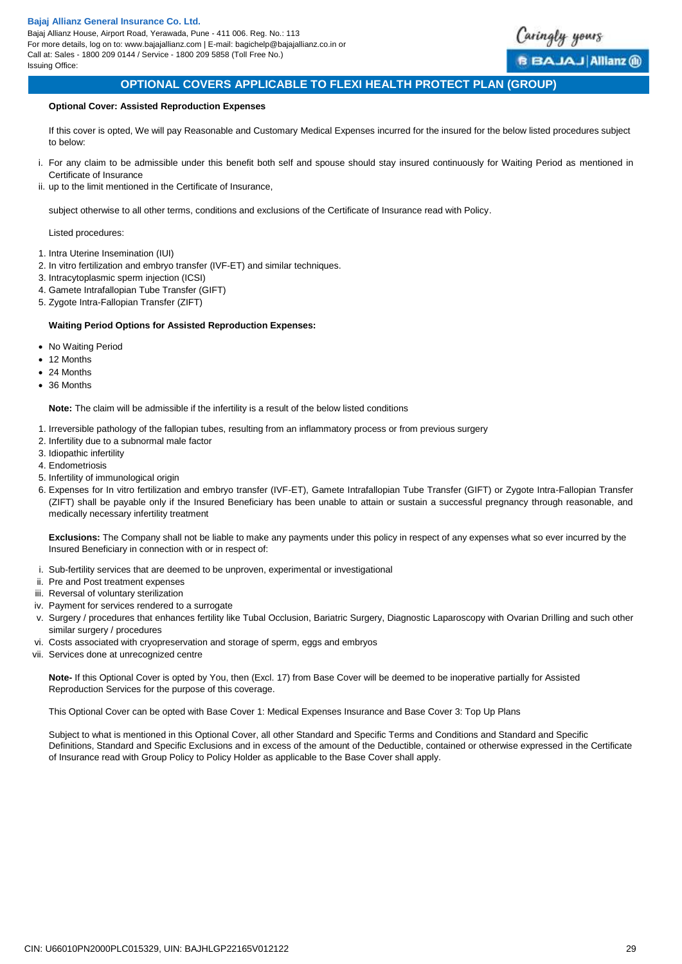

# **OPTIONAL COVERS APPLICABLE TO FLEXI HEALTH PROTECT PLAN (GROUP)**

### <span id="page-28-0"></span>**Optional Cover: Assisted Reproduction Expenses**

If this cover is opted, We will pay Reasonable and Customary Medical Expenses incurred for the insured for the below listed procedures subject to below:

- i. For any claim to be admissible under this benefit both self and spouse should stay insured continuously for Waiting Period as mentioned in Certificate of Insurance
- ii. up to the limit mentioned in the Certificate of Insurance,

subject otherwise to all other terms, conditions and exclusions of the Certificate of Insurance read with Policy.

Listed procedures:

- 1. Intra Uterine Insemination (IUI)
- 2. In vitro fertilization and embryo transfer (IVF-ET) and similar techniques.
- 3. Intracytoplasmic sperm injection (ICSI)
- 4. Gamete Intrafallopian Tube Transfer (GIFT)
- 5. Zygote Intra-Fallopian Transfer (ZIFT)

### **Waiting Period Options for Assisted Reproduction Expenses:**

- No Waiting Period
- 12 Months
- 24 Months
- 36 Months

**Note:** The claim will be admissible if the infertility is a result of the below listed conditions

- 1. Irreversible pathology of the fallopian tubes, resulting from an inflammatory process or from previous surgery
- 2. Infertility due to a subnormal male factor
- 3. Idiopathic infertility
- 4. Endometriosis
- 5. Infertility of immunological origin
- 6. Expenses for In vitro fertilization and embryo transfer (IVF-ET), Gamete Intrafallopian Tube Transfer (GIFT) or Zygote Intra-Fallopian Transfer (ZIFT) shall be payable only if the Insured Beneficiary has been unable to attain or sustain a successful pregnancy through reasonable, and medically necessary infertility treatment

**Exclusions:** The Company shall not be liable to make any payments under this policy in respect of any expenses what so ever incurred by the Insured Beneficiary in connection with or in respect of:

- i. Sub-fertility services that are deemed to be unproven, experimental or investigational
- ii. Pre and Post treatment expenses
- iii. Reversal of voluntary sterilization
- iv. Payment for services rendered to a surrogate
- v. Surgery / procedures that enhances fertility like Tubal Occlusion, Bariatric Surgery, Diagnostic Laparoscopy with Ovarian Drilling and such other similar surgery / procedures
- vi. Costs associated with cryopreservation and storage of sperm, eggs and embryos
- vii. Services done at unrecognized centre

**Note-** If this Optional Cover is opted by You, then (Excl. 17) from Base Cover will be deemed to be inoperative partially for Assisted Reproduction Services for the purpose of this coverage.

<span id="page-28-1"></span>This Optional Cover can be opted with Base Cover 1: Medical Expenses Insurance and Base Cover 3: Top Up Plans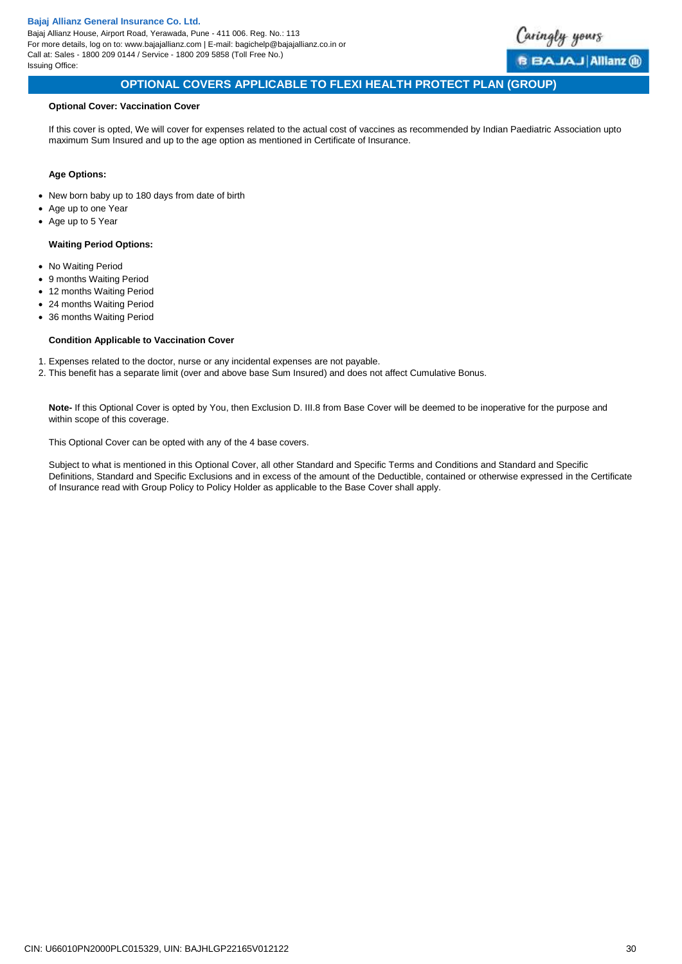Bajaj Allianz House, Airport Road, Yerawada, Pune - 411 006. Reg. No.: 113 For more details, log on to: www.bajajallianz.com | E-mail: bagichelp@bajajallianz.co.in or Call at: Sales - 1800 209 0144 / Service - 1800 209 5858 (Toll Free No.) Issuing Office:



# **OPTIONAL COVERS APPLICABLE TO FLEXI HEALTH PROTECT PLAN (GROUP)**

### **Optional Cover: Vaccination Cover**

If this cover is opted, We will cover for expenses related to the actual cost of vaccines as recommended by Indian Paediatric Association upto maximum Sum Insured and up to the age option as mentioned in Certificate of Insurance.

### **Age Options:**

- New born baby up to 180 days from date of birth
- Age up to one Year
- Age up to 5 Year

### **Waiting Period Options:**

- No Waiting Period
- 9 months Waiting Period
- 12 months Waiting Period
- 24 months Waiting Period
- 36 months Waiting Period

### **Condition Applicable to Vaccination Cover**

- 1. Expenses related to the doctor, nurse or any incidental expenses are not payable.
- 2. This benefit has a separate limit (over and above base Sum Insured) and does not affect Cumulative Bonus.

**Note-** If this Optional Cover is opted by You, then Exclusion D. III.8 from Base Cover will be deemed to be inoperative for the purpose and within scope of this coverage.

<span id="page-29-0"></span>This Optional Cover can be opted with any of the 4 base covers.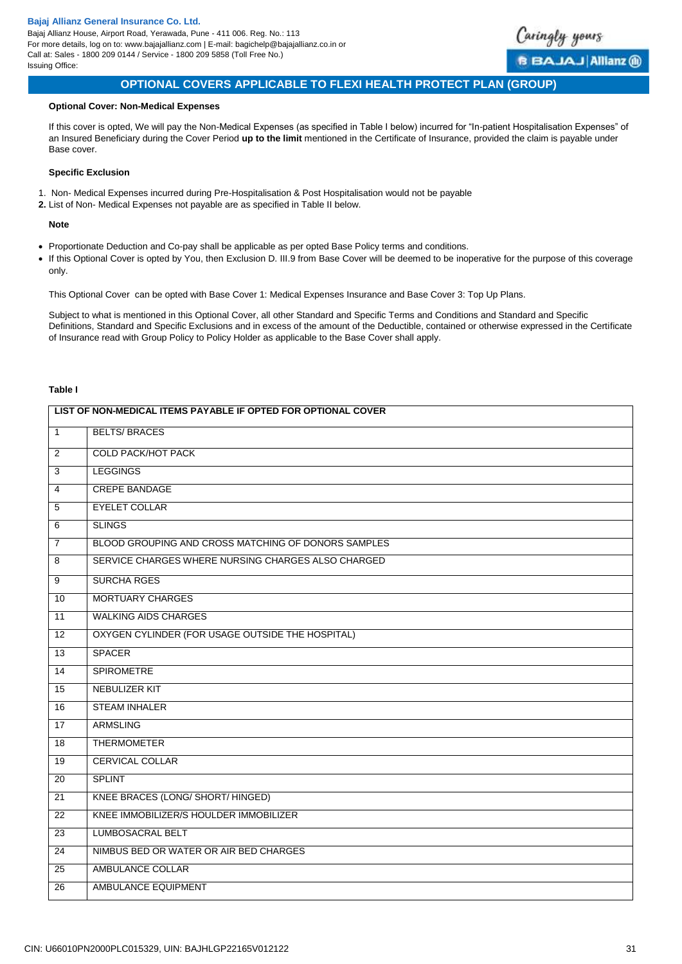Bajaj Allianz House, Airport Road, Yerawada, Pune - 411 006. Reg. No.: 113 For more details, log on to: www.bajajallianz.com | E-mail: bagichelp@bajajallianz.co.in or Call at: Sales - 1800 209 0144 / Service - 1800 209 5858 (Toll Free No.) Issuing Office:



### **OPTIONAL COVERS APPLICABLE TO FLEXI HEALTH PROTECT PLAN (GROUP)**

### **Optional Cover: Non-Medical Expenses**

If this cover is opted, We will pay the Non-Medical Expenses (as specified in Table I below) incurred for "In-patient Hospitalisation Expenses" of an Insured Beneficiary during the Cover Period **up to the limit** mentioned in the Certificate of Insurance, provided the claim is payable under Base cover.

#### **Specific Exclusion**

- 1. Non- Medical Expenses incurred during Pre-Hospitalisation & Post Hospitalisation would not be payable
- **2.** List of Non- Medical Expenses not payable are as specified in Table II below.

### **Note**

- Proportionate Deduction and Co-pay shall be applicable as per opted Base Policy terms and conditions.
- If this Optional Cover is opted by You, then Exclusion D. III.9 from Base Cover will be deemed to be inoperative for the purpose of this coverage only.

This Optional Cover can be opted with Base Cover 1: Medical Expenses Insurance and Base Cover 3: Top Up Plans.

Subject to what is mentioned in this Optional Cover, all other Standard and Specific Terms and Conditions and Standard and Specific Definitions, Standard and Specific Exclusions and in excess of the amount of the Deductible, contained or otherwise expressed in the Certificate of Insurance read with Group Policy to Policy Holder as applicable to the Base Cover shall apply.

## **Table I**

| LIST OF NON-MEDICAL ITEMS PAYABLE IF OPTED FOR OPTIONAL COVER |                                                     |  |
|---------------------------------------------------------------|-----------------------------------------------------|--|
| $\overline{1}$                                                | <b>BELTS/BRACES</b>                                 |  |
| $\overline{2}$                                                | <b>COLD PACK/HOT PACK</b>                           |  |
| $\overline{3}$                                                | <b>LEGGINGS</b>                                     |  |
| $\overline{4}$                                                | <b>CREPE BANDAGE</b>                                |  |
| $\overline{5}$                                                | <b>EYELET COLLAR</b>                                |  |
| $\overline{6}$                                                | <b>SLINGS</b>                                       |  |
| $\overline{7}$                                                | BLOOD GROUPING AND CROSS MATCHING OF DONORS SAMPLES |  |
| $\overline{\mathbf{8}}$                                       | SERVICE CHARGES WHERE NURSING CHARGES ALSO CHARGED  |  |
| $\overline{9}$                                                | <b>SURCHA RGES</b>                                  |  |
| 10                                                            | <b>MORTUARY CHARGES</b>                             |  |
| 11                                                            | <b>WALKING AIDS CHARGES</b>                         |  |
| $\overline{12}$                                               | OXYGEN CYLINDER (FOR USAGE OUTSIDE THE HOSPITAL)    |  |
| 13                                                            | <b>SPACER</b>                                       |  |
| 14                                                            | <b>SPIROMETRE</b>                                   |  |
| 15                                                            | NEBULIZER KIT                                       |  |
| 16                                                            | <b>STEAM INHALER</b>                                |  |
| 17                                                            | <b>ARMSLING</b>                                     |  |
| $\overline{18}$                                               | <b>THERMOMETER</b>                                  |  |
| 19                                                            | CERVICAL COLLAR                                     |  |
| $\overline{20}$                                               | <b>SPLINT</b>                                       |  |
| 21                                                            | <b>KNEE BRACES (LONG/ SHORT/ HINGED)</b>            |  |
| 22                                                            | KNEE IMMOBILIZER/S HOULDER IMMOBILIZER              |  |
| 23                                                            | <b>LUMBOSACRAL BELT</b>                             |  |
| 24                                                            | NIMBUS BED OR WATER OR AIR BED CHARGES              |  |
| $\overline{25}$                                               | <b>AMBULANCE COLLAR</b>                             |  |
| 26                                                            | <b>AMBULANCE EQUIPMENT</b>                          |  |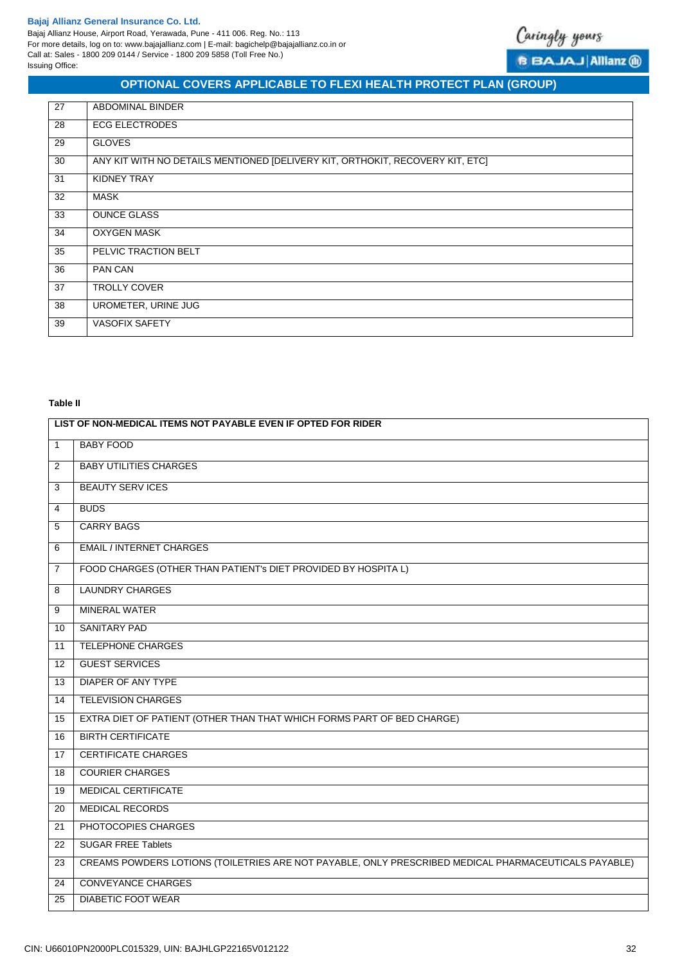

**B BAJAJ Allianz ®** 

# **OPTIONAL COVERS APPLICABLE TO FLEXI HEALTH PROTECT PLAN (GROUP)**

| 27 | <b>ABDOMINAL BINDER</b>                                                       |
|----|-------------------------------------------------------------------------------|
| 28 | <b>ECG ELECTRODES</b>                                                         |
| 29 | <b>GLOVES</b>                                                                 |
| 30 | ANY KIT WITH NO DETAILS MENTIONED [DELIVERY KIT, ORTHOKIT, RECOVERY KIT, ETC] |
| 31 | KIDNEY TRAY                                                                   |
| 32 | <b>MASK</b>                                                                   |
| 33 | <b>OUNCE GLASS</b>                                                            |
| 34 | <b>OXYGEN MASK</b>                                                            |
| 35 | PELVIC TRACTION BELT                                                          |
| 36 | PAN CAN                                                                       |
| 37 | <b>TROLLY COVER</b>                                                           |
| 38 | UROMETER, URINE JUG                                                           |
| 39 | <b>VASOFIX SAFETY</b>                                                         |

# **Table II**

|                | LIST OF NON-MEDICAL ITEMS NOT PAYABLE EVEN IF OPTED FOR RIDER                                        |
|----------------|------------------------------------------------------------------------------------------------------|
| $\mathbf{1}$   | <b>BABY FOOD</b>                                                                                     |
| $\overline{2}$ | <b>BABY UTILITIES CHARGES</b>                                                                        |
| 3              | <b>BEAUTY SERV ICES</b>                                                                              |
| 4              | <b>BUDS</b>                                                                                          |
| 5              | <b>CARRY BAGS</b>                                                                                    |
| 6              | <b>EMAIL / INTERNET CHARGES</b>                                                                      |
| $\overline{7}$ | FOOD CHARGES (OTHER THAN PATIENT'S DIET PROVIDED BY HOSPITA L)                                       |
| 8              | <b>LAUNDRY CHARGES</b>                                                                               |
| 9              | <b>MINERAL WATER</b>                                                                                 |
| 10             | <b>SANITARY PAD</b>                                                                                  |
| 11             | <b>TELEPHONE CHARGES</b>                                                                             |
| 12             | <b>GUEST SERVICES</b>                                                                                |
| 13             | <b>DIAPER OF ANY TYPE</b>                                                                            |
| 14             | <b>TELEVISION CHARGES</b>                                                                            |
| 15             | EXTRA DIET OF PATIENT (OTHER THAN THAT WHICH FORMS PART OF BED CHARGE)                               |
| 16             | <b>BIRTH CERTIFICATE</b>                                                                             |
| 17             | <b>CERTIFICATE CHARGES</b>                                                                           |
| 18             | <b>COURIER CHARGES</b>                                                                               |
| 19             | MEDICAL CERTIFICATE                                                                                  |
| 20             | MEDICAL RECORDS                                                                                      |
| 21             | PHOTOCOPIES CHARGES                                                                                  |
| 22             | <b>SUGAR FREE Tablets</b>                                                                            |
| 23             | CREAMS POWDERS LOTIONS (TOILETRIES ARE NOT PAYABLE, ONLY PRESCRIBED MEDICAL PHARMACEUTICALS PAYABLE) |
| 24             | <b>CONVEYANCE CHARGES</b>                                                                            |
| 25             | DIABETIC FOOT WEAR                                                                                   |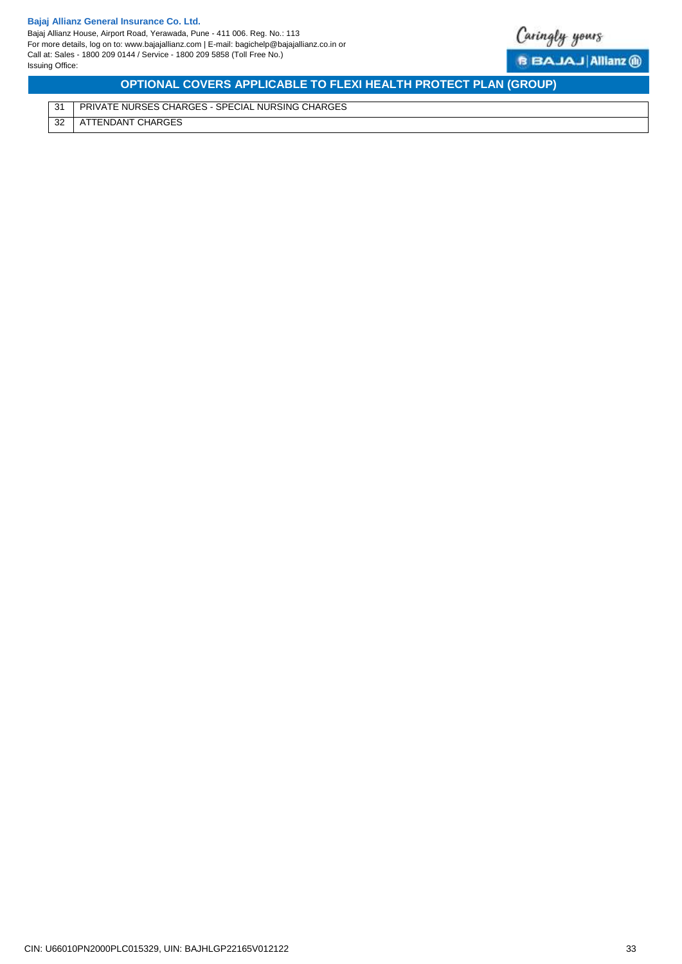

**B BAJAJ Allianz ®** 

**OPTIONAL COVERS APPLICABLE TO FLEXI HEALTH PROTECT PLAN (GROUP)**

<span id="page-32-0"></span>31 PRIVATE NURSES CHARGES - SPECIAL NURSING CHARGES 32 ATTENDANT CHARGES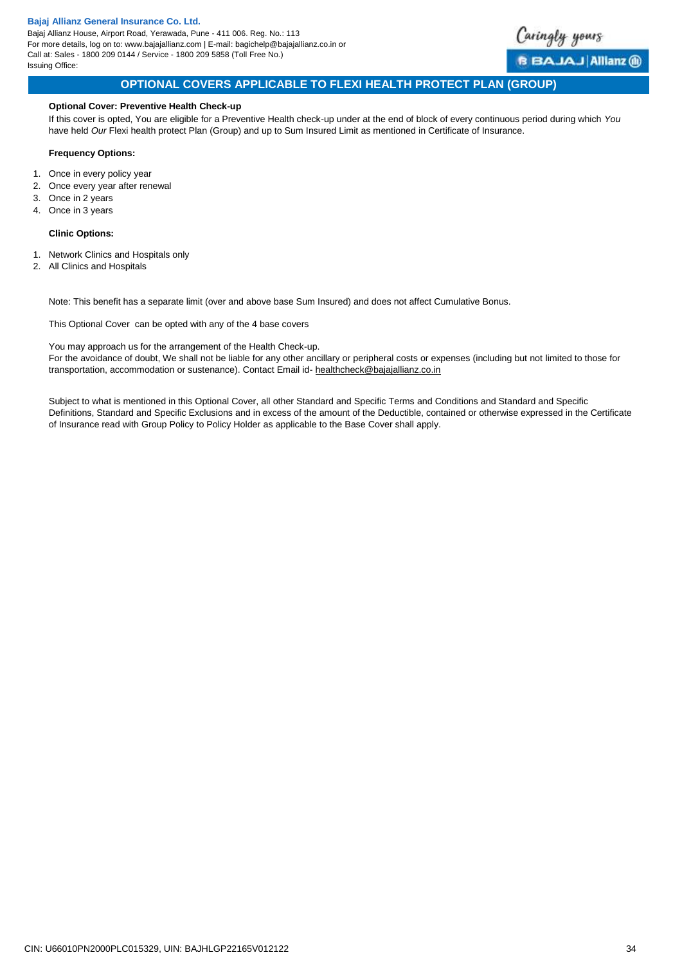Bajaj Allianz House, Airport Road, Yerawada, Pune - 411 006. Reg. No.: 113 For more details, log on to: www.bajajallianz.com | E-mail: bagichelp@bajajallianz.co.in or Call at: Sales - 1800 209 0144 / Service - 1800 209 5858 (Toll Free No.) Issuing Office:



# **OPTIONAL COVERS APPLICABLE TO FLEXI HEALTH PROTECT PLAN (GROUP)**

### **Optional Cover: Preventive Health Check-up**

If this cover is opted, You are eligible for a Preventive Health check-up under at the end of block of every continuous period during which *You* have held *Our* Flexi health protect Plan (Group) and up to Sum Insured Limit as mentioned in Certificate of Insurance.

### **Frequency Options:**

- 1. Once in every policy year
- 2. Once every year after renewal
- 3. Once in 2 years
- 4. Once in 3 years

### **Clinic Options:**

- 1. Network Clinics and Hospitals only
- 2. All Clinics and Hospitals

Note: This benefit has a separate limit (over and above base Sum Insured) and does not affect Cumulative Bonus.

This Optional Cover can be opted with any of the 4 base covers

You may approach us for the arrangement of the Health Check-up.

<span id="page-33-0"></span>For the avoidance of doubt, We shall not be liable for any other ancillary or peripheral costs or expenses (including but not limited to those for transportation, accommodation or sustenance). Contact Email id- [healthcheck@bajajallianz.co.in](mailto:healthcheck@bajajallianz.co.in)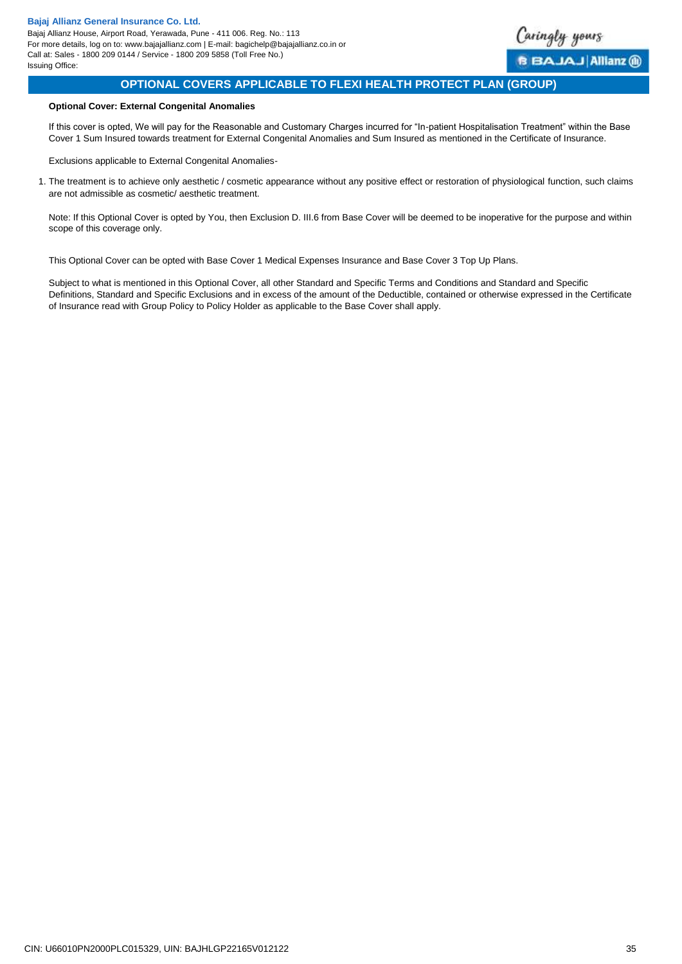<span id="page-34-0"></span>

# **OPTIONAL COVERS APPLICABLE TO FLEXI HEALTH PROTECT PLAN (GROUP)**

# **Optional Cover: External Congenital Anomalies**

If this cover is opted, We will pay for the Reasonable and Customary Charges incurred for "In-patient Hospitalisation Treatment" within the Base Cover 1 Sum Insured towards treatment for External Congenital Anomalies and Sum Insured as mentioned in the Certificate of Insurance.

Exclusions applicable to External Congenital Anomalies-

1. The treatment is to achieve only aesthetic / cosmetic appearance without any positive effect or restoration of physiological function, such claims are not admissible as cosmetic/ aesthetic treatment.

Note: If this Optional Cover is opted by You, then Exclusion D. III.6 from Base Cover will be deemed to be inoperative for the purpose and within scope of this coverage only.

This Optional Cover can be opted with Base Cover 1 Medical Expenses Insurance and Base Cover 3 Top Up Plans.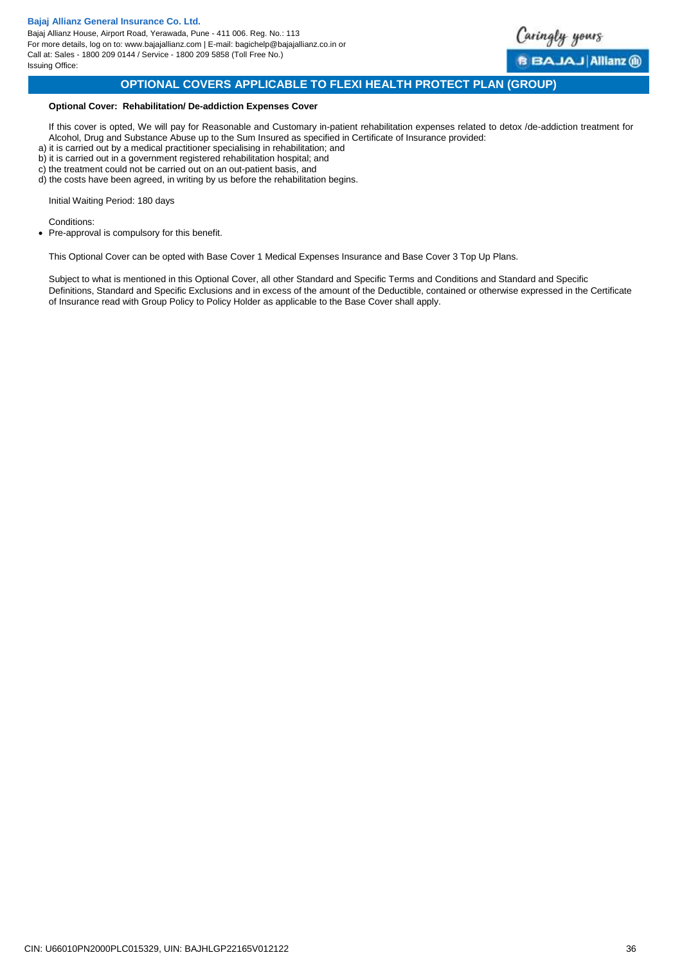

<span id="page-35-0"></span>BAJAJ Allianz (ii)

# **OPTIONAL COVERS APPLICABLE TO FLEXI HEALTH PROTECT PLAN (GROUP)**

### **Optional Cover: Rehabilitation/ De-addiction Expenses Cover**

If this cover is opted, We will pay for Reasonable and Customary in-patient rehabilitation expenses related to detox /de-addiction treatment for Alcohol, Drug and Substance Abuse up to the Sum Insured as specified in Certificate of Insurance provided:

- a) it is carried out by a medical practitioner specialising in rehabilitation; and
- b) it is carried out in a government registered rehabilitation hospital; and
- c) the treatment could not be carried out on an out-patient basis, and
- d) the costs have been agreed, in writing by us before the rehabilitation begins.

Initial Waiting Period: 180 days

Conditions:

• Pre-approval is compulsory for this benefit.

This Optional Cover can be opted with Base Cover 1 Medical Expenses Insurance and Base Cover 3 Top Up Plans.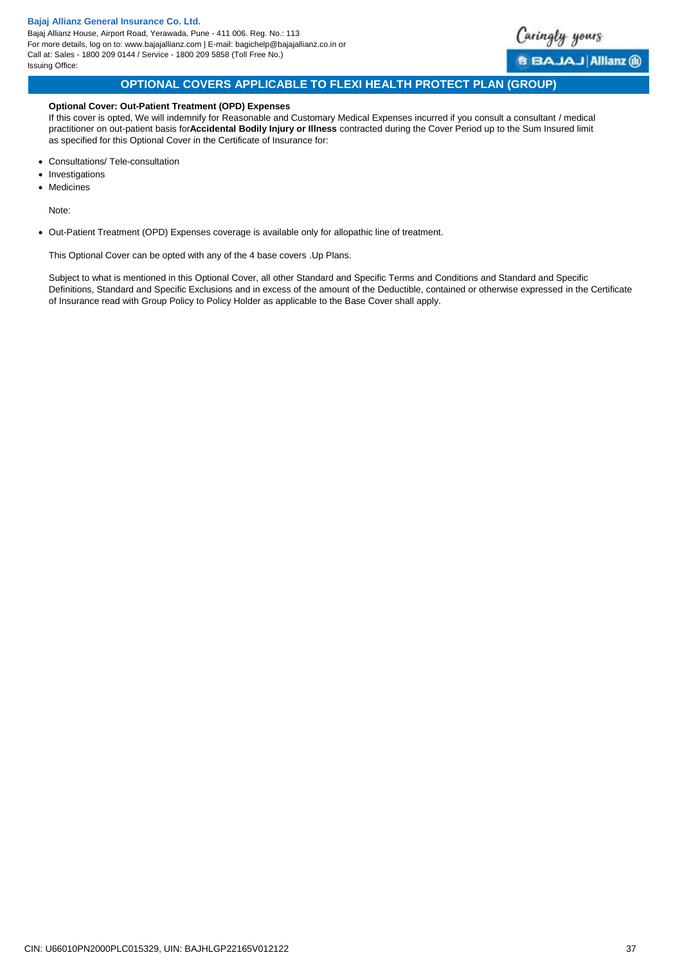<span id="page-36-0"></span>

# **OPTIONAL COVERS APPLICABLE TO FLEXI HEALTH PROTECT PLAN (GROUP)**

### **Optional Cover: Out-Patient Treatment (OPD) Expenses**

If this cover is opted, We will indemnify for Reasonable and Customary Medical Expenses incurred if you consult a consultant / medical practitioner on out-patient basis for**Accidental Bodily Injury or Illness** contracted during the Cover Period up to the Sum Insured limit as specified for this Optional Cover in the Certificate of Insurance for:

- Consultations/ Tele-consultation
- Investigations
- Medicines

Note:

Out-Patient Treatment (OPD) Expenses coverage is available only for allopathic line of treatment.

This Optional Cover can be opted with any of the 4 base covers .Up Plans.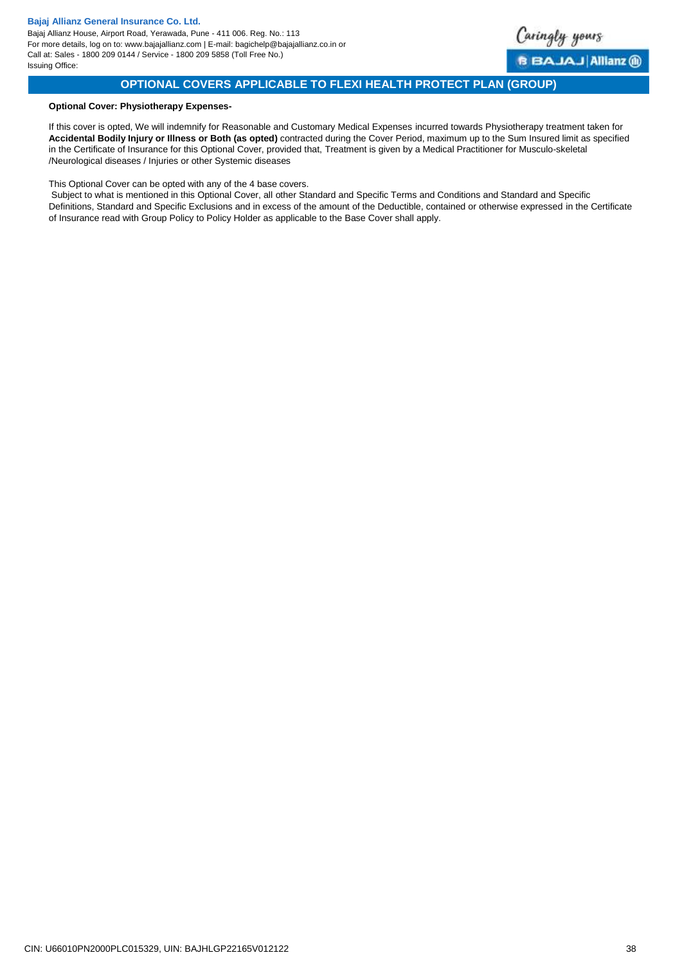<span id="page-37-0"></span>

# **OPTIONAL COVERS APPLICABLE TO FLEXI HEALTH PROTECT PLAN (GROUP)**

### **Optional Cover: Physiotherapy Expenses-**

If this cover is opted, We will indemnify for Reasonable and Customary Medical Expenses incurred towards Physiotherapy treatment taken for **Accidental Bodily Injury or Illness or Both (as opted)** contracted during the Cover Period, maximum up to the Sum Insured limit as specified in the Certificate of Insurance for this Optional Cover, provided that, Treatment is given by a Medical Practitioner for Musculo-skeletal /Neurological diseases / Injuries or other Systemic diseases

This Optional Cover can be opted with any of the 4 base covers.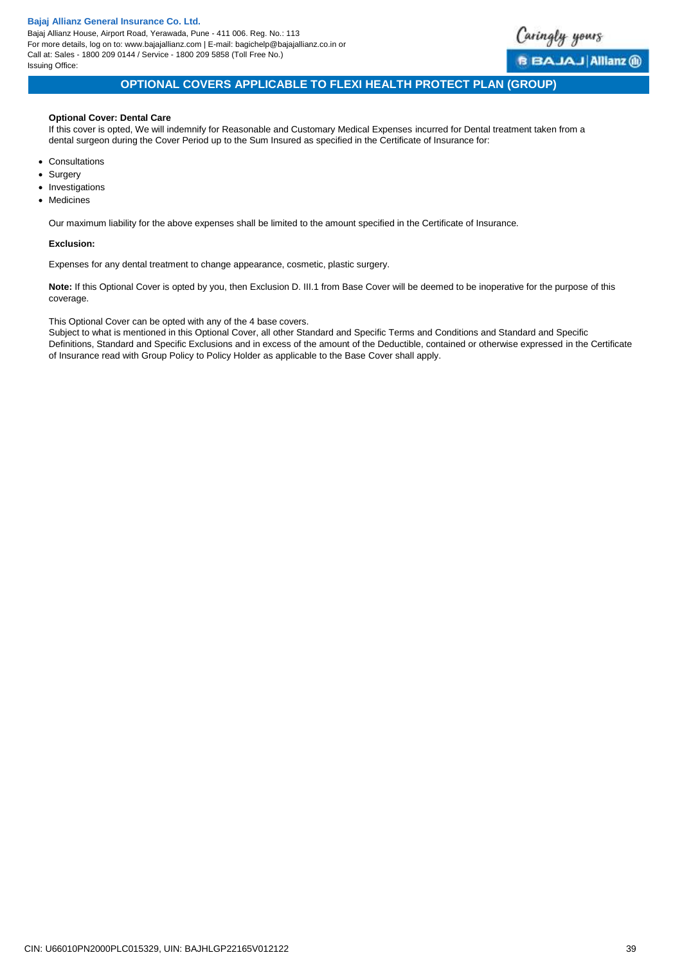Bajaj Allianz House, Airport Road, Yerawada, Pune - 411 006. Reg. No.: 113 For more details, log on to: www.bajajallianz.com | E-mail: bagichelp@bajajallianz.co.in or Call at: Sales - 1800 209 0144 / Service - 1800 209 5858 (Toll Free No.) Issuing Office:

<span id="page-38-0"></span>

# **OPTIONAL COVERS APPLICABLE TO FLEXI HEALTH PROTECT PLAN (GROUP)**

# **Optional Cover: Dental Care**

If this cover is opted, We will indemnify for Reasonable and Customary Medical Expenses incurred for Dental treatment taken from a dental surgeon during the Cover Period up to the Sum Insured as specified in the Certificate of Insurance for:

- Consultations
- Surgery
- Investigations
- Medicines

Our maximum liability for the above expenses shall be limited to the amount specified in the Certificate of Insurance.

### **Exclusion:**

Expenses for any dental treatment to change appearance, cosmetic, plastic surgery.

**Note:** If this Optional Cover is opted by you, then Exclusion D. III.1 from Base Cover will be deemed to be inoperative for the purpose of this coverage.

This Optional Cover can be opted with any of the 4 base covers.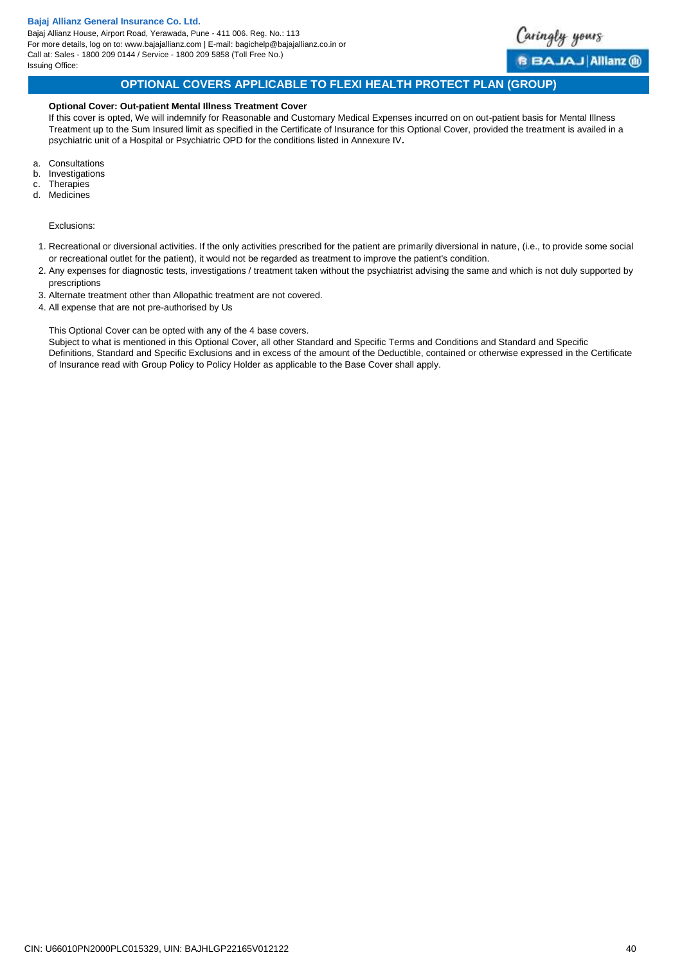

# **OPTIONAL COVERS APPLICABLE TO FLEXI HEALTH PROTECT PLAN (GROUP)**

### **Optional Cover: Out-patient Mental Illness Treatment Cover**

If this cover is opted, We will indemnify for Reasonable and Customary Medical Expenses incurred on on out-patient basis for Mental Illness Treatment up to the Sum Insured limit as specified in the Certificate of Insurance for this Optional Cover, provided the treatment is availed in a psychiatric unit of a Hospital or Psychiatric OPD for the conditions listed in Annexure IV**.** 

- a. Consultations
- **Investigations**
- c. Therapies d. Medicines

Exclusions:

- 1. Recreational or diversional activities. If the only activities prescribed for the patient are primarily diversional in nature, (i.e., to provide some social or recreational outlet for the patient), it would not be regarded as treatment to improve the patient's condition.
- 2. Any expenses for diagnostic tests, investigations / treatment taken without the psychiatrist advising the same and which is not duly supported by prescriptions
- 3. Alternate treatment other than Allopathic treatment are not covered.
- 4. All expense that are not pre-authorised by Us

<span id="page-39-0"></span>This Optional Cover can be opted with any of the 4 base covers.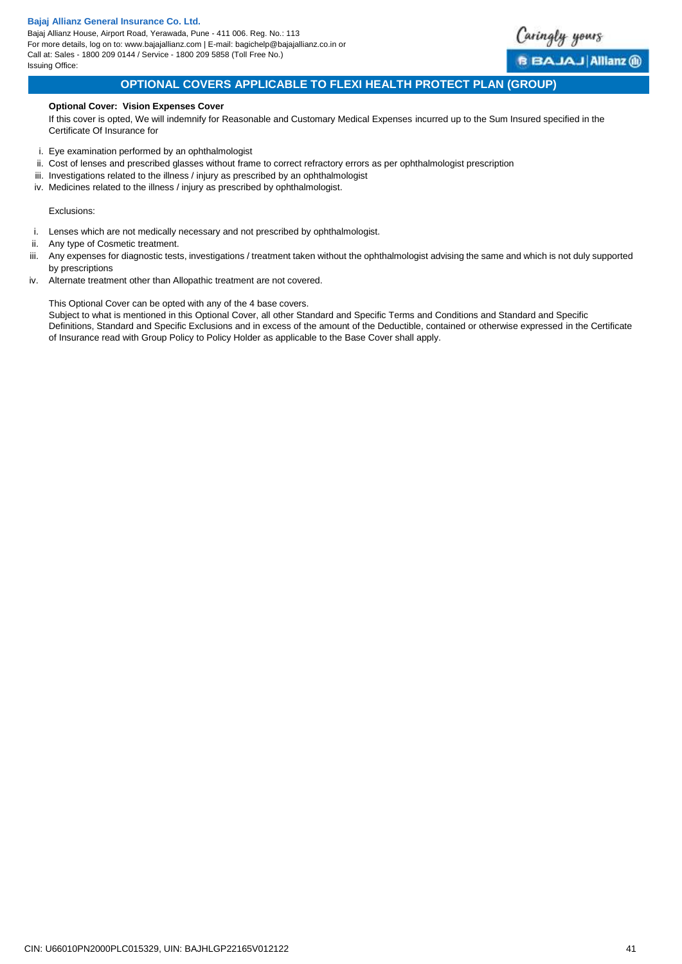Bajaj Allianz House, Airport Road, Yerawada, Pune - 411 006. Reg. No.: 113 For more details, log on to: www.bajajallianz.com | E-mail: bagichelp@bajajallianz.co.in or Call at: Sales - 1800 209 0144 / Service - 1800 209 5858 (Toll Free No.) Issuing Office:



<span id="page-40-0"></span>**BBAJAJAIIianz** @

# **OPTIONAL COVERS APPLICABLE TO FLEXI HEALTH PROTECT PLAN (GROUP)**

### **Optional Cover: Vision Expenses Cover**

If this cover is opted, We will indemnify for Reasonable and Customary Medical Expenses incurred up to the Sum Insured specified in the Certificate Of Insurance for

- i. Eye examination performed by an ophthalmologist
- ii. Cost of lenses and prescribed glasses without frame to correct refractory errors as per ophthalmologist prescription
- iii. Investigations related to the illness / injury as prescribed by an ophthalmologist
- iv. Medicines related to the illness / injury as prescribed by ophthalmologist.

#### Exclusions:

- i. Lenses which are not medically necessary and not prescribed by ophthalmologist.
- ii. Any type of Cosmetic treatment.
- iii. Any expenses for diagnostic tests, investigations / treatment taken without the ophthalmologist advising the same and which is not duly supported by prescriptions
- iv. Alternate treatment other than Allopathic treatment are not covered.

This Optional Cover can be opted with any of the 4 base covers.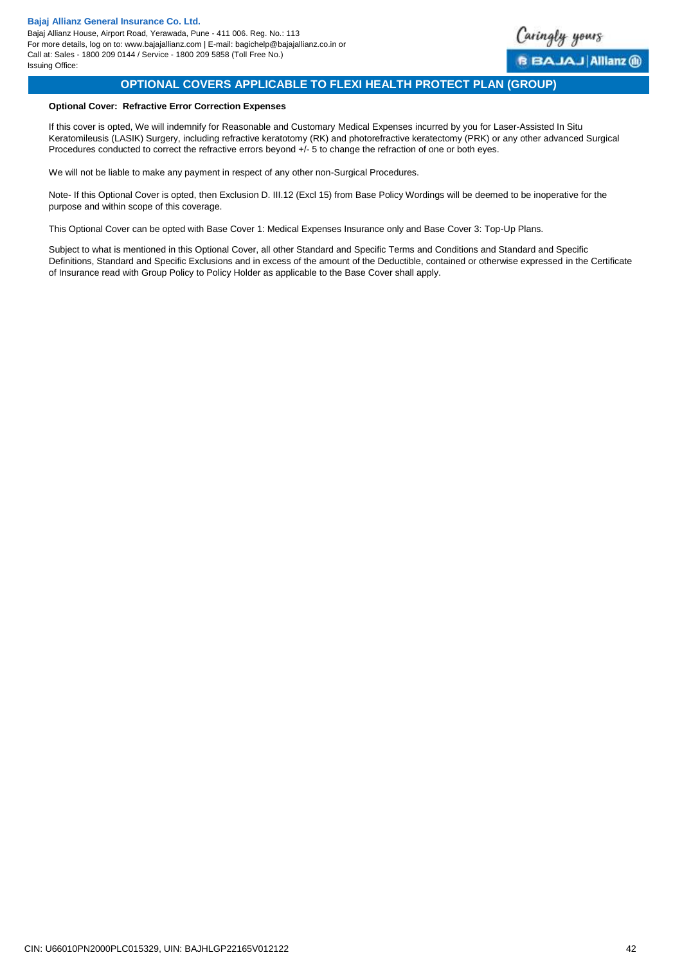<span id="page-41-0"></span>

# **OPTIONAL COVERS APPLICABLE TO FLEXI HEALTH PROTECT PLAN (GROUP)**

# **Optional Cover: Refractive Error Correction Expenses**

If this cover is opted, We will indemnify for Reasonable and Customary Medical Expenses incurred by you for Laser-Assisted In Situ Keratomileusis (LASIK) Surgery, including refractive keratotomy (RK) and photorefractive keratectomy (PRK) or any other advanced Surgical Procedures conducted to correct the refractive errors beyond +/- 5 to change the refraction of one or both eyes.

We will not be liable to make any payment in respect of any other non-Surgical Procedures.

Note- If this Optional Cover is opted, then Exclusion D. III.12 (Excl 15) from Base Policy Wordings will be deemed to be inoperative for the purpose and within scope of this coverage.

This Optional Cover can be opted with Base Cover 1: Medical Expenses Insurance only and Base Cover 3: Top-Up Plans.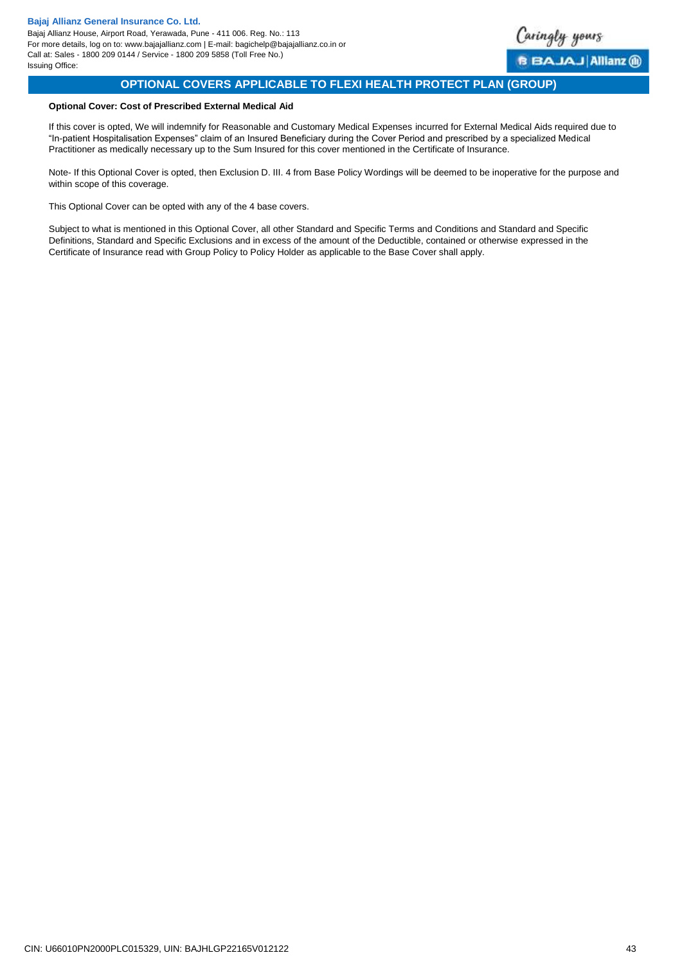<span id="page-42-0"></span>

# **OPTIONAL COVERS APPLICABLE TO FLEXI HEALTH PROTECT PLAN (GROUP)**

# **Optional Cover: Cost of Prescribed External Medical Aid**

If this cover is opted, We will indemnify for Reasonable and Customary Medical Expenses incurred for External Medical Aids required due to "In-patient Hospitalisation Expenses" claim of an Insured Beneficiary during the Cover Period and prescribed by a specialized Medical Practitioner as medically necessary up to the Sum Insured for this cover mentioned in the Certificate of Insurance.

Note- If this Optional Cover is opted, then Exclusion D. III. 4 from Base Policy Wordings will be deemed to be inoperative for the purpose and within scope of this coverage.

This Optional Cover can be opted with any of the 4 base covers.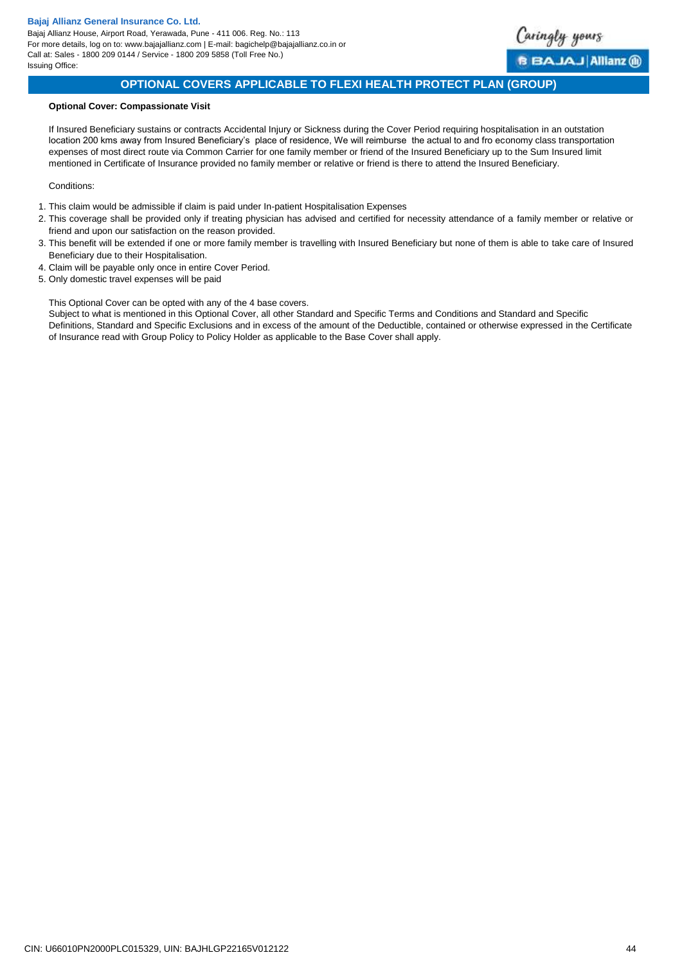Bajaj Allianz House, Airport Road, Yerawada, Pune - 411 006. Reg. No.: 113 For more details, log on to: www.bajajallianz.com | E-mail: bagichelp@bajajallianz.co.in or Call at: Sales - 1800 209 0144 / Service - 1800 209 5858 (Toll Free No.) Issuing Office:

<span id="page-43-0"></span>

# **OPTIONAL COVERS APPLICABLE TO FLEXI HEALTH PROTECT PLAN (GROUP)**

### **Optional Cover: Compassionate Visit**

If Insured Beneficiary sustains or contracts Accidental Injury or Sickness during the Cover Period requiring hospitalisation in an outstation location 200 kms away from Insured Beneficiary's place of residence, We will reimburse the actual to and fro economy class transportation expenses of most direct route via Common Carrier for one family member or friend of the Insured Beneficiary up to the Sum Insured limit mentioned in Certificate of Insurance provided no family member or relative or friend is there to attend the Insured Beneficiary.

### Conditions:

- 1. This claim would be admissible if claim is paid under In-patient Hospitalisation Expenses
- 2. This coverage shall be provided only if treating physician has advised and certified for necessity attendance of a family member or relative or friend and upon our satisfaction on the reason provided.
- 3. This benefit will be extended if one or more family member is travelling with Insured Beneficiary but none of them is able to take care of Insured Beneficiary due to their Hospitalisation.
- 4. Claim will be payable only once in entire Cover Period.
- 5. Only domestic travel expenses will be paid

This Optional Cover can be opted with any of the 4 base covers.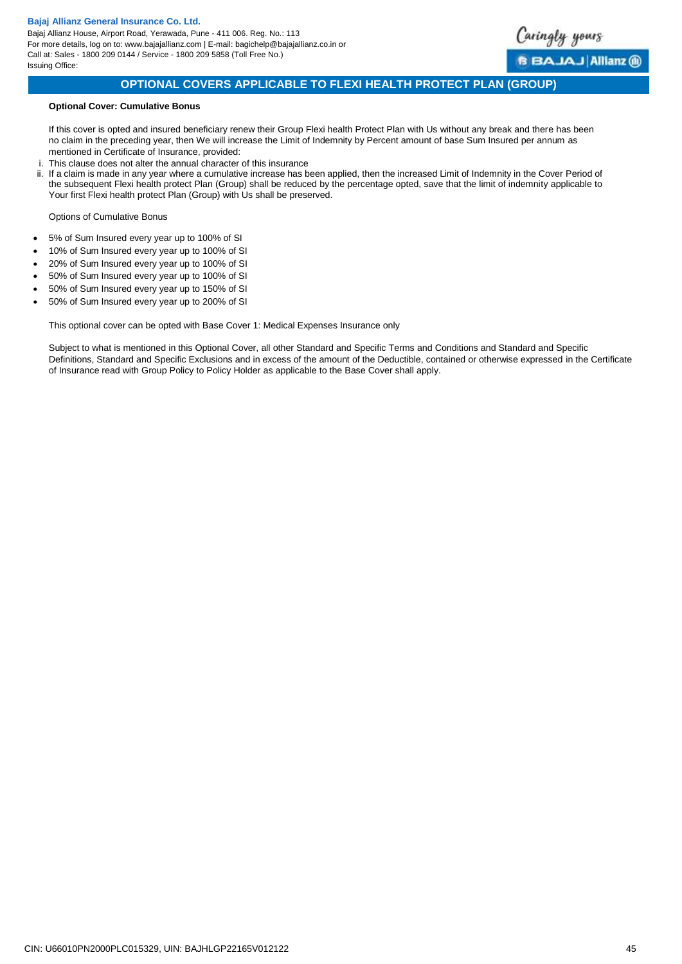

# **OPTIONAL COVERS APPLICABLE TO FLEXI HEALTH PROTECT PLAN (GROUP)**

### **Optional Cover: Cumulative Bonus**

If this cover is opted and insured beneficiary renew their Group Flexi health Protect Plan with Us without any break and there has been no claim in the preceding year, then We will increase the Limit of Indemnity by Percent amount of base Sum Insured per annum as mentioned in Certificate of Insurance, provided:

- i. This clause does not alter the annual character of this insurance
- ii. If a claim is made in any year where a cumulative increase has been applied, then the increased Limit of Indemnity in the Cover Period of the subsequent Flexi health protect Plan (Group) shall be reduced by the percentage opted, save that the limit of indemnity applicable to Your first Flexi health protect Plan (Group) with Us shall be preserved.

Options of Cumulative Bonus

- 5% of Sum Insured every year up to 100% of SI
- 10% of Sum Insured every year up to 100% of SI
- 20% of Sum Insured every year up to 100% of SI
- 50% of Sum Insured every year up to 100% of SI
- 50% of Sum Insured every year up to 150% of SI
- 50% of Sum Insured every year up to 200% of SI

<span id="page-44-0"></span>This optional cover can be opted with Base Cover 1: Medical Expenses Insurance only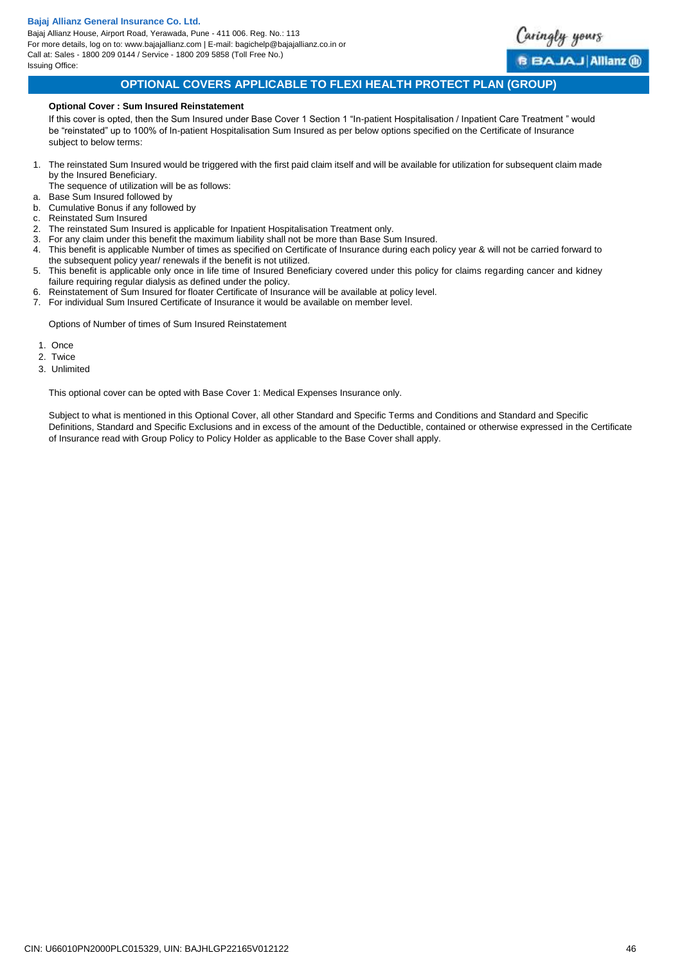Bajaj Allianz House, Airport Road, Yerawada, Pune - 411 006. Reg. No.: 113 For more details, log on to: www.bajajallianz.com | E-mail: bagichelp@bajajallianz.co.in or Call at: Sales - 1800 209 0144 / Service - 1800 209 5858 (Toll Free No.) Issuing Office:



# **OPTIONAL COVERS APPLICABLE TO FLEXI HEALTH PROTECT PLAN (GROUP)**

### **Optional Cover : Sum Insured Reinstatement**

If this cover is opted, then the Sum Insured under Base Cover 1 Section 1 "In-patient Hospitalisation / Inpatient Care Treatment " would be "reinstated" up to 100% of In-patient Hospitalisation Sum Insured as per below options specified on the Certificate of Insurance subject to below terms:

1. The reinstated Sum Insured would be triggered with the first paid claim itself and will be available for utilization for subsequent claim made by the Insured Beneficiary.

The sequence of utilization will be as follows:

- a. Base Sum Insured followed by b. Cumulative Bonus if any followed by
- c. Reinstated Sum Insured
- 2. The reinstated Sum Insured is applicable for Inpatient Hospitalisation Treatment only.
- 3. For any claim under this benefit the maximum liability shall not be more than Base Sum Insured.
- 4. This benefit is applicable Number of times as specified on Certificate of Insurance during each policy year & will not be carried forward to the subsequent policy year/ renewals if the benefit is not utilized.
- 5. This benefit is applicable only once in life time of Insured Beneficiary covered under this policy for claims regarding cancer and kidney failure requiring regular dialysis as defined under the policy.
- 6. Reinstatement of Sum Insured for floater Certificate of Insurance will be available at policy level.
- 7. For individual Sum Insured Certificate of Insurance it would be available on member level.

Options of Number of times of Sum Insured Reinstatement

- 1. Once
- 2. Twice
- 3. Unlimited
- 

<span id="page-45-0"></span>This optional cover can be opted with Base Cover 1: Medical Expenses Insurance only.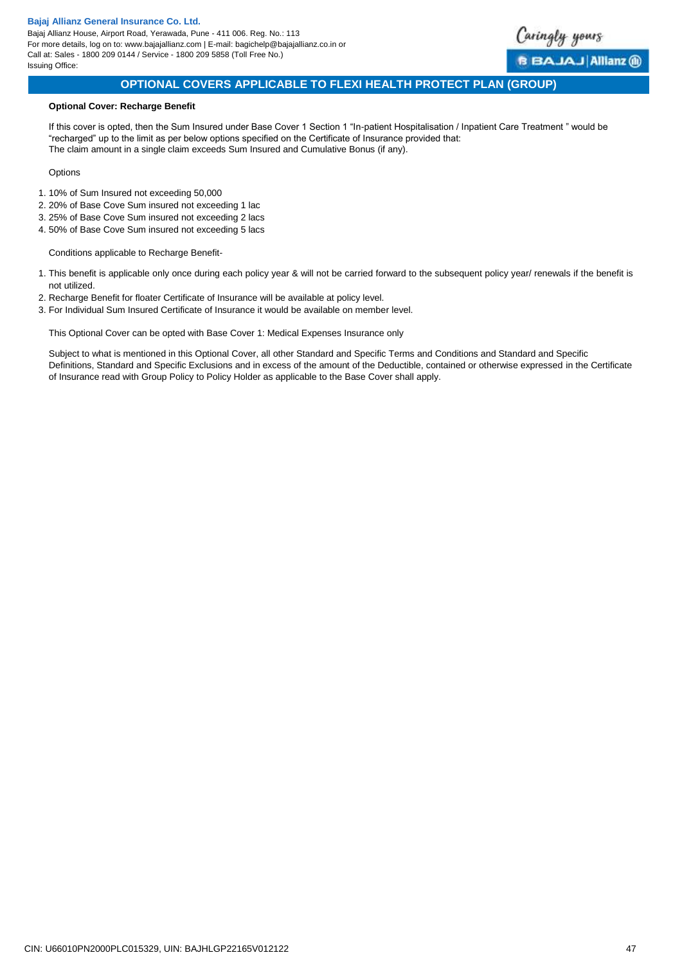Bajaj Allianz House, Airport Road, Yerawada, Pune - 411 006. Reg. No.: 113 For more details, log on to: www.bajajallianz.com | E-mail: bagichelp@bajajallianz.co.in or Call at: Sales - 1800 209 0144 / Service - 1800 209 5858 (Toll Free No.) Issuing Office:



<span id="page-46-0"></span>BAJAJ Allianz (ii)

# **OPTIONAL COVERS APPLICABLE TO FLEXI HEALTH PROTECT PLAN (GROUP)**

### **Optional Cover: Recharge Benefit**

If this cover is opted, then the Sum Insured under Base Cover 1 Section 1 "In-patient Hospitalisation / Inpatient Care Treatment " would be "recharged" up to the limit as per below options specified on the Certificate of Insurance provided that: The claim amount in a single claim exceeds Sum Insured and Cumulative Bonus (if any).

### **Options**

- 1. 10% of Sum Insured not exceeding 50,000
- 2. 20% of Base Cove Sum insured not exceeding 1 lac
- 3. 25% of Base Cove Sum insured not exceeding 2 lacs
- 4. 50% of Base Cove Sum insured not exceeding 5 lacs

Conditions applicable to Recharge Benefit-

- 1. This benefit is applicable only once during each policy year & will not be carried forward to the subsequent policy year/ renewals if the benefit is not utilized.
- 2. Recharge Benefit for floater Certificate of Insurance will be available at policy level.
- 3. For Individual Sum Insured Certificate of Insurance it would be available on member level.

This Optional Cover can be opted with Base Cover 1: Medical Expenses Insurance only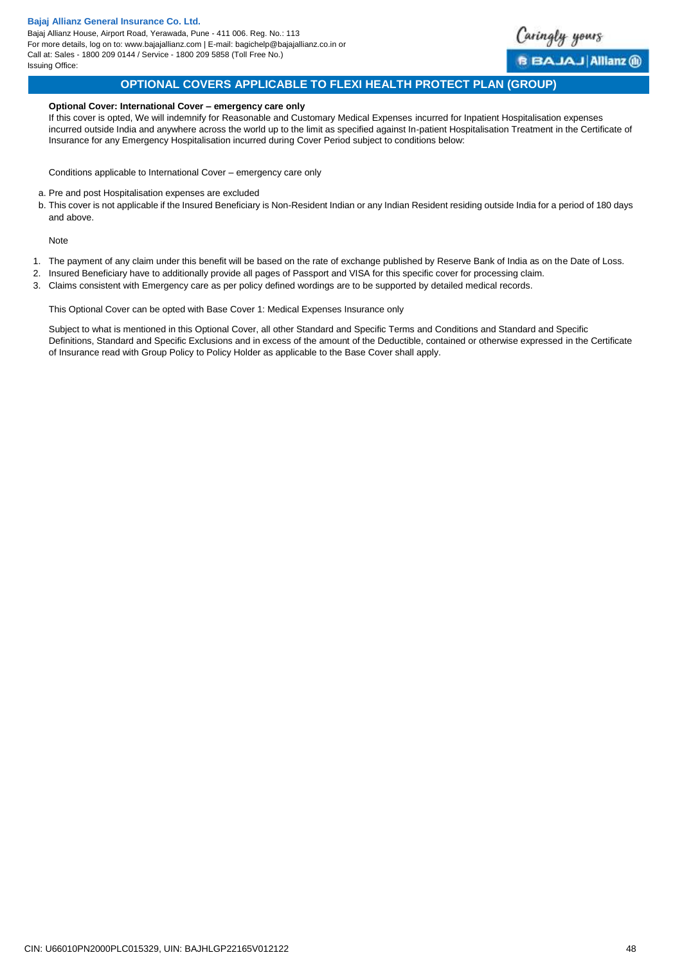Bajaj Allianz House, Airport Road, Yerawada, Pune - 411 006. Reg. No.: 113 For more details, log on to: www.bajajallianz.com | E-mail: bagichelp@bajajallianz.co.in or Call at: Sales - 1800 209 0144 / Service - 1800 209 5858 (Toll Free No.) Issuing Office:



# **OPTIONAL COVERS APPLICABLE TO FLEXI HEALTH PROTECT PLAN (GROUP)**

### **Optional Cover: International Cover – emergency care only**

If this cover is opted, We will indemnify for Reasonable and Customary Medical Expenses incurred for Inpatient Hospitalisation expenses incurred outside India and anywhere across the world up to the limit as specified against In-patient Hospitalisation Treatment in the Certificate of Insurance for any Emergency Hospitalisation incurred during Cover Period subject to conditions below:

Conditions applicable to International Cover – emergency care only

- a. Pre and post Hospitalisation expenses are excluded
- b. This cover is not applicable if the Insured Beneficiary is Non-Resident Indian or any Indian Resident residing outside India for a period of 180 days and above.

Note

- 1. The payment of any claim under this benefit will be based on the rate of exchange published by Reserve Bank of India as on the Date of Loss.
- 2. Insured Beneficiary have to additionally provide all pages of Passport and VISA for this specific cover for processing claim.
- 3. Claims consistent with Emergency care as per policy defined wordings are to be supported by detailed medical records.

<span id="page-47-0"></span>This Optional Cover can be opted with Base Cover 1: Medical Expenses Insurance only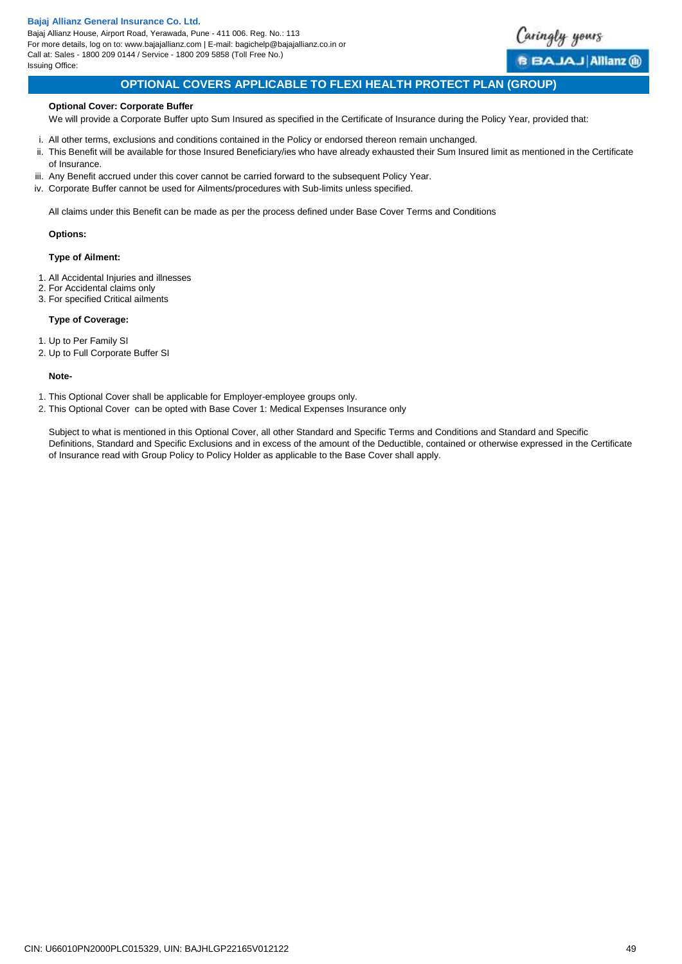Bajaj Allianz House, Airport Road, Yerawada, Pune - 411 006. Reg. No.: 113 For more details, log on to: www.bajajallianz.com | E-mail: bagichelp@bajajallianz.co.in or Call at: Sales - 1800 209 0144 / Service - 1800 209 5858 (Toll Free No.) Issuing Office:



# **OPTIONAL COVERS APPLICABLE TO FLEXI HEALTH PROTECT PLAN (GROUP)**

### **Optional Cover: Corporate Buffer**

We will provide a Corporate Buffer upto Sum Insured as specified in the Certificate of Insurance during the Policy Year, provided that:

- i. All other terms, exclusions and conditions contained in the Policy or endorsed thereon remain unchanged.
- ii. This Benefit will be available for those Insured Beneficiary/ies who have already exhausted their Sum Insured limit as mentioned in the Certificate of Insurance.
- iii. Any Benefit accrued under this cover cannot be carried forward to the subsequent Policy Year.
- iv. Corporate Buffer cannot be used for Ailments/procedures with Sub-limits unless specified.

All claims under this Benefit can be made as per the process defined under Base Cover Terms and Conditions

### **Options:**

### **Type of Ailment:**

- 1. All Accidental Injuries and illnesses
- 2. For Accidental claims only
- 3. For specified Critical ailments

### **Type of Coverage:**

- 1. Up to Per Family SI
- 2. Up to Full Corporate Buffer SI

#### **Note-**

- 1. This Optional Cover shall be applicable for Employer-employee groups only.
- <span id="page-48-0"></span>2. This Optional Cover can be opted with Base Cover 1: Medical Expenses Insurance only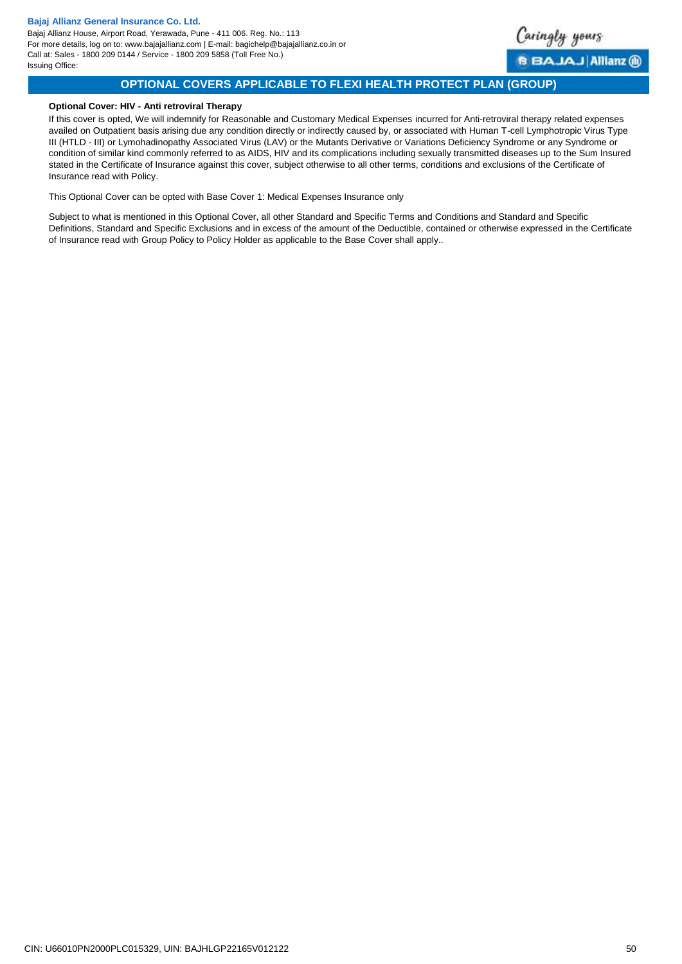Bajaj Allianz House, Airport Road, Yerawada, Pune - 411 006. Reg. No.: 113 For more details, log on to: www.bajajallianz.com | E-mail: bagichelp@bajajallianz.co.in or Call at: Sales - 1800 209 0144 / Service - 1800 209 5858 (Toll Free No.) Issuing Office:



# **OPTIONAL COVERS APPLICABLE TO FLEXI HEALTH PROTECT PLAN (GROUP)**

### **Optional Cover: HIV - Anti retroviral Therapy**

If this cover is opted, We will indemnify for Reasonable and Customary Medical Expenses incurred for Anti-retroviral therapy related expenses availed on Outpatient basis arising due any condition directly or indirectly caused by, or associated with Human T-cell Lymphotropic Virus Type III (HTLD - III) or Lymohadinopathy Associated Virus (LAV) or the Mutants Derivative or Variations Deficiency Syndrome or any Syndrome or condition of similar kind commonly referred to as AIDS, HIV and its complications including sexually transmitted diseases up to the Sum Insured stated in the Certificate of Insurance against this cover, subject otherwise to all other terms, conditions and exclusions of the Certificate of Insurance read with Policy.

<span id="page-49-0"></span>This Optional Cover can be opted with Base Cover 1: Medical Expenses Insurance only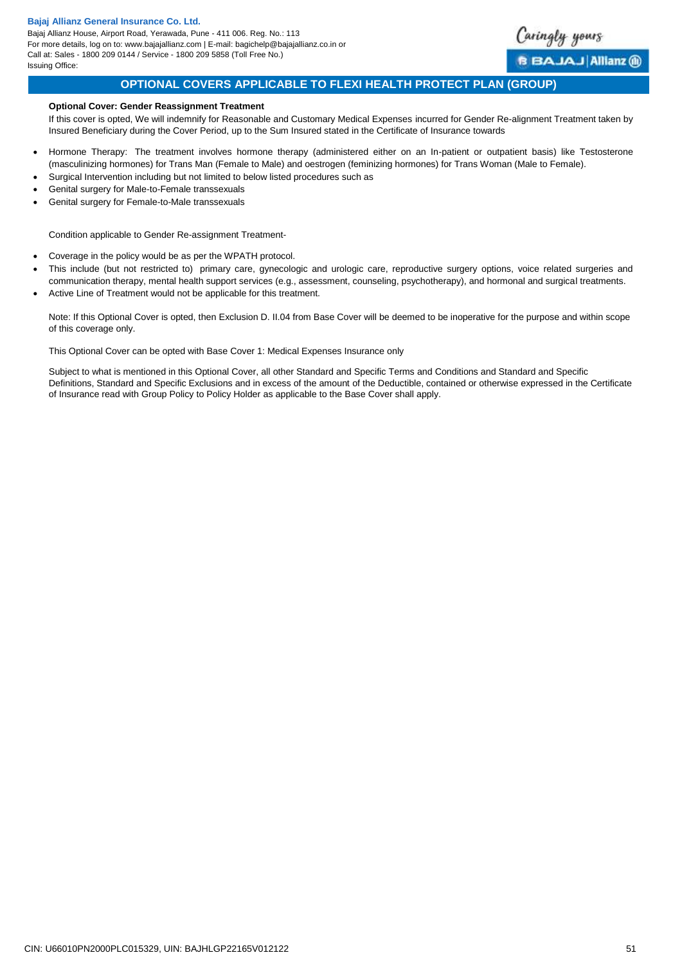Bajaj Allianz House, Airport Road, Yerawada, Pune - 411 006. Reg. No.: 113 For more details, log on to: www.bajajallianz.com | E-mail: bagichelp@bajajallianz.co.in or Call at: Sales - 1800 209 0144 / Service - 1800 209 5858 (Toll Free No.) Issuing Office:

<span id="page-50-0"></span>

# **OPTIONAL COVERS APPLICABLE TO FLEXI HEALTH PROTECT PLAN (GROUP)**

### **Optional Cover: Gender Reassignment Treatment**

If this cover is opted, We will indemnify for Reasonable and Customary Medical Expenses incurred for Gender Re-alignment Treatment taken by Insured Beneficiary during the Cover Period, up to the Sum Insured stated in the Certificate of Insurance towards

- Hormone Therapy: The treatment involves hormone therapy (administered either on an In-patient or outpatient basis) like Testosterone (masculinizing hormones) for Trans Man (Female to Male) and oestrogen (feminizing hormones) for Trans Woman (Male to Female).
- Surgical Intervention including but not limited to below listed procedures such as
- Genital surgery for Male-to-Female transsexuals
- Genital surgery for Female-to-Male transsexuals

Condition applicable to Gender Re-assignment Treatment-

- Coverage in the policy would be as per the WPATH protocol.
- This include (but not restricted to) primary care, gynecologic and urologic care, reproductive surgery options, voice related surgeries and communication therapy, mental health support services (e.g., assessment, counseling, psychotherapy), and hormonal and surgical treatments. Active Line of Treatment would not be applicable for this treatment.

Note: If this Optional Cover is opted, then Exclusion D. II.04 from Base Cover will be deemed to be inoperative for the purpose and within scope of this coverage only.

This Optional Cover can be opted with Base Cover 1: Medical Expenses Insurance only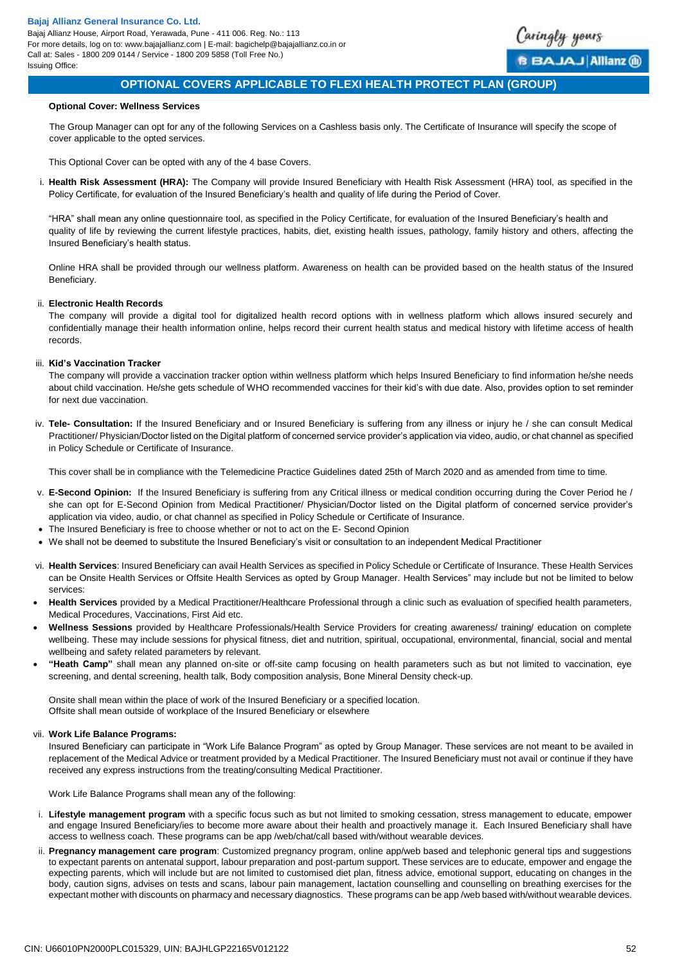

# **OPTIONAL COVERS APPLICABLE TO FLEXI HEALTH PROTECT PLAN (GROUP)**

### **Optional Cover: Wellness Services**

The Group Manager can opt for any of the following Services on a Cashless basis only. The Certificate of Insurance will specify the scope of cover applicable to the opted services.

This Optional Cover can be opted with any of the 4 base Covers.

i. **Health Risk Assessment (HRA):** The Company will provide Insured Beneficiary with Health Risk Assessment (HRA) tool, as specified in the Policy Certificate, for evaluation of the Insured Beneficiary's health and quality of life during the Period of Cover.

"HRA" shall mean any online questionnaire tool, as specified in the Policy Certificate, for evaluation of the Insured Beneficiary's health and quality of life by reviewing the current lifestyle practices, habits, diet, existing health issues, pathology, family history and others, affecting the Insured Beneficiary's health status.

Online HRA shall be provided through our wellness platform. Awareness on health can be provided based on the health status of the Insured Beneficiary.

#### ii. **Electronic Health Records**

The company will provide a digital tool for digitalized health record options with in wellness platform which allows insured securely and confidentially manage their health information online, helps record their current health status and medical history with lifetime access of health records.

#### iii. **Kid's Vaccination Tracker**

The company will provide a vaccination tracker option within wellness platform which helps Insured Beneficiary to find information he/she needs about child vaccination. He/she gets schedule of WHO recommended vaccines for their kid's with due date. Also, provides option to set reminder for next due vaccination.

iv. **Tele- Consultation:** If the Insured Beneficiary and or Insured Beneficiary is suffering from any illness or injury he / she can consult Medical Practitioner/ Physician/Doctor listed on the Digital platform of concerned service provider's application via video, audio, or chat channel as specified in Policy Schedule or Certificate of Insurance.

This cover shall be in compliance with the Telemedicine Practice Guidelines dated 25th of March 2020 and as amended from time to time.

- v. **E-Second Opinion:** If the Insured Beneficiary is suffering from any Critical illness or medical condition occurring during the Cover Period he / she can opt for E-Second Opinion from Medical Practitioner/ Physician/Doctor listed on the Digital platform of concerned service provider's application via video, audio, or chat channel as specified in Policy Schedule or Certificate of Insurance.
- The Insured Beneficiary is free to choose whether or not to act on the E- Second Opinion
- We shall not be deemed to substitute the Insured Beneficiary's visit or consultation to an independent Medical Practitioner
- vi. **Health Services**: Insured Beneficiary can avail Health Services as specified in Policy Schedule or Certificate of Insurance. These Health Services can be Onsite Health Services or Offsite Health Services as opted by Group Manager. Health Services" may include but not be limited to below services:
- **Health Services** provided by a Medical Practitioner/Healthcare Professional through a clinic such as evaluation of specified health parameters, Medical Procedures, Vaccinations, First Aid etc.
- **Wellness Sessions** provided by Healthcare Professionals/Health Service Providers for creating awareness/ training/ education on complete wellbeing. These may include sessions for physical fitness, diet and nutrition, spiritual, occupational, environmental, financial, social and mental wellbeing and safety related parameters by relevant.
- **"Heath Camp"** shall mean any planned on-site or off-site camp focusing on health parameters such as but not limited to vaccination, eye screening, and dental screening, health talk, Body composition analysis, Bone Mineral Density check-up.

Onsite shall mean within the place of work of the Insured Beneficiary or a specified location. Offsite shall mean outside of workplace of the Insured Beneficiary or elsewhere

### vii. **Work Life Balance Programs:**

Insured Beneficiary can participate in "Work Life Balance Program" as opted by Group Manager. These services are not meant to be availed in replacement of the Medical Advice or treatment provided by a Medical Practitioner. The Insured Beneficiary must not avail or continue if they have received any express instructions from the treating/consulting Medical Practitioner.

Work Life Balance Programs shall mean any of the following:

- i. **Lifestyle management program** with a specific focus such as but not limited to smoking cessation, stress management to educate, empower and engage Insured Beneficiary/ies to become more aware about their health and proactively manage it. Each Insured Beneficiary shall have access to wellness coach. These programs can be app /web/chat/call based with/without wearable devices.
- ii. **Pregnancy management care program**: Customized pregnancy program, online app/web based and telephonic general tips and suggestions to expectant parents on antenatal support, labour preparation and post-partum support. These services are to educate, empower and engage the expecting parents, which will include but are not limited to customised diet plan, fitness advice, emotional support, educating on changes in the body, caution signs, advises on tests and scans, labour pain management, lactation counselling and counselling on breathing exercises for the expectant mother with discounts on pharmacy and necessary diagnostics. These programs can be app /web based with/without wearable devices.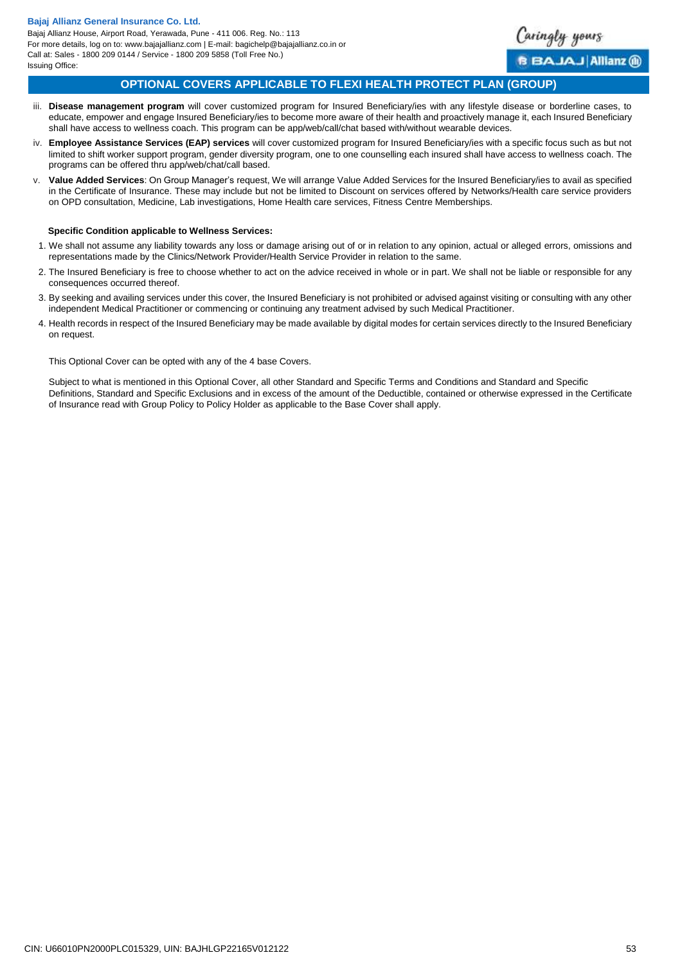

<span id="page-52-0"></span>BAJAJ Allianz (ii)

# **OPTIONAL COVERS APPLICABLE TO FLEXI HEALTH PROTECT PLAN (GROUP)**

- iii. **Disease management program** will cover customized program for Insured Beneficiary/ies with any lifestyle disease or borderline cases, to educate, empower and engage Insured Beneficiary/ies to become more aware of their health and proactively manage it, each Insured Beneficiary shall have access to wellness coach. This program can be app/web/call/chat based with/without wearable devices.
- iv. **Employee Assistance Services (EAP) services** will cover customized program for Insured Beneficiary/ies with a specific focus such as but not limited to shift worker support program, gender diversity program, one to one counselling each insured shall have access to wellness coach. The programs can be offered thru app/web/chat/call based.
- v. **Value Added Services**: On Group Manager's request, We will arrange Value Added Services for the Insured Beneficiary/ies to avail as specified in the Certificate of Insurance. These may include but not be limited to Discount on services offered by Networks/Health care service providers on OPD consultation, Medicine, Lab investigations, Home Health care services, Fitness Centre Memberships.

### **Specific Condition applicable to Wellness Services:**

- 1. We shall not assume any liability towards any loss or damage arising out of or in relation to any opinion, actual or alleged errors, omissions and representations made by the Clinics/Network Provider/Health Service Provider in relation to the same.
- 2. The Insured Beneficiary is free to choose whether to act on the advice received in whole or in part. We shall not be liable or responsible for any consequences occurred thereof.
- 3. By seeking and availing services under this cover, the Insured Beneficiary is not prohibited or advised against visiting or consulting with any other independent Medical Practitioner or commencing or continuing any treatment advised by such Medical Practitioner.
- 4. Health records in respect of the Insured Beneficiary may be made available by digital modes for certain services directly to the Insured Beneficiary on request.

This Optional Cover can be opted with any of the 4 base Covers.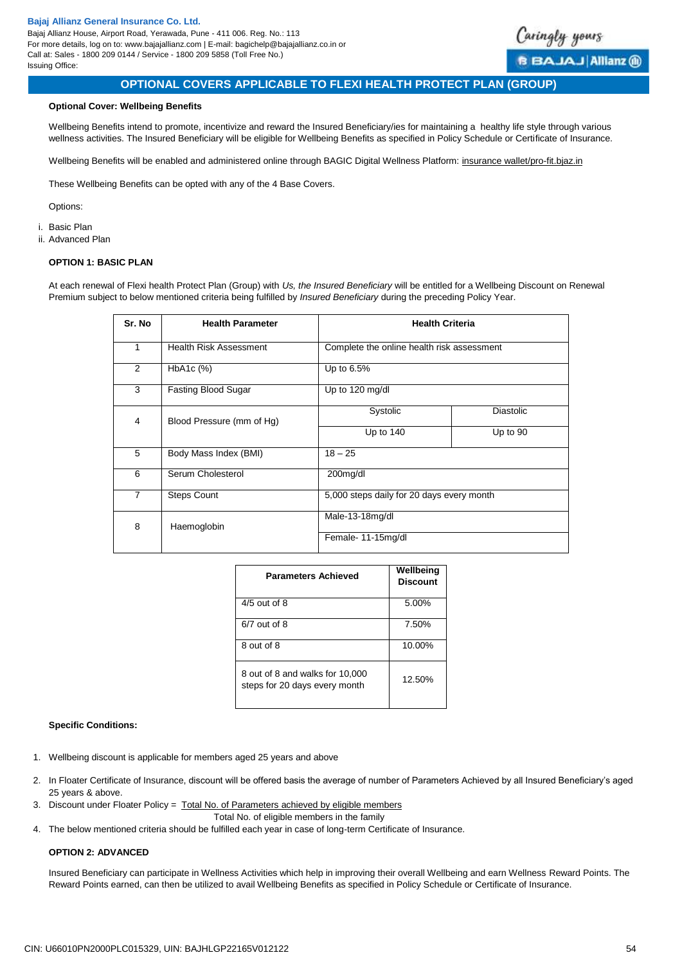

# **OPTIONAL COVERS APPLICABLE TO FLEXI HEALTH PROTECT PLAN (GROUP)**

### **Optional Cover: Wellbeing Benefits**

Wellbeing Benefits intend to promote, incentivize and reward the Insured Beneficiary/ies for maintaining a healthy life style through various wellness activities. The Insured Beneficiary will be eligible for Wellbeing Benefits as specified in Policy Schedule or Certificate of Insurance.

Wellbeing Benefits will be enabled and administered online through BAGIC Digital Wellness Platform: insurance wallet/pro-fit.biaz.in

These Wellbeing Benefits can be opted with any of the 4 Base Covers.

Options:

- i. Basic Plan
- ii. Advanced Plan

#### **OPTION 1: BASIC PLAN**

At each renewal of Flexi health Protect Plan (Group) with *Us, the Insured Beneficiary* will be entitled for a Wellbeing Discount on Renewal Premium subject to below mentioned criteria being fulfilled by *Insured Beneficiary* during the preceding Policy Year.

| Sr. No         | <b>Health Parameter</b>       | <b>Health Criteria</b>                     |                  |  |  |
|----------------|-------------------------------|--------------------------------------------|------------------|--|--|
| 1              | <b>Health Risk Assessment</b> | Complete the online health risk assessment |                  |  |  |
| 2              | $HbA1c$ (%)                   | Up to 6.5%                                 |                  |  |  |
| 3              | Fasting Blood Sugar           | Up to 120 mg/dl                            |                  |  |  |
| 4              | Blood Pressure (mm of Hg)     | Systolic                                   | <b>Diastolic</b> |  |  |
|                |                               | Up to 140                                  | Up to 90         |  |  |
| 5              | Body Mass Index (BMI)         | $18 - 25$                                  |                  |  |  |
| 6              | Serum Cholesterol             | 200mg/dl                                   |                  |  |  |
| $\overline{7}$ | <b>Steps Count</b>            | 5,000 steps daily for 20 days every month  |                  |  |  |
| 8              | Haemoglobin                   | Male-13-18mg/dl                            |                  |  |  |
|                |                               | Female-11-15mg/dl                          |                  |  |  |

| <b>Parameters Achieved</b>                                       | Wellbeing<br><b>Discount</b> |
|------------------------------------------------------------------|------------------------------|
| $4/5$ out of 8                                                   | 5.00%                        |
| $6/7$ out of $8$                                                 | 7.50%                        |
| 8 out of 8                                                       | 10.00%                       |
| 8 out of 8 and walks for 10,000<br>steps for 20 days every month | 12.50%                       |

### **Specific Conditions:**

- 1. Wellbeing discount is applicable for members aged 25 years and above
- 2. In Floater Certificate of Insurance, discount will be offered basis the average of number of Parameters Achieved by all Insured Beneficiary's aged 25 years & above.
- 3. Discount under Floater Policy = Total No. of Parameters achieved by eligible members
	- Total No. of eligible members in the family
- 4. The below mentioned criteria should be fulfilled each year in case of long-term Certificate of Insurance.

## **OPTION 2: ADVANCED**

Insured Beneficiary can participate in Wellness Activities which help in improving their overall Wellbeing and earn Wellness Reward Points. The Reward Points earned, can then be utilized to avail Wellbeing Benefits as specified in Policy Schedule or Certificate of Insurance.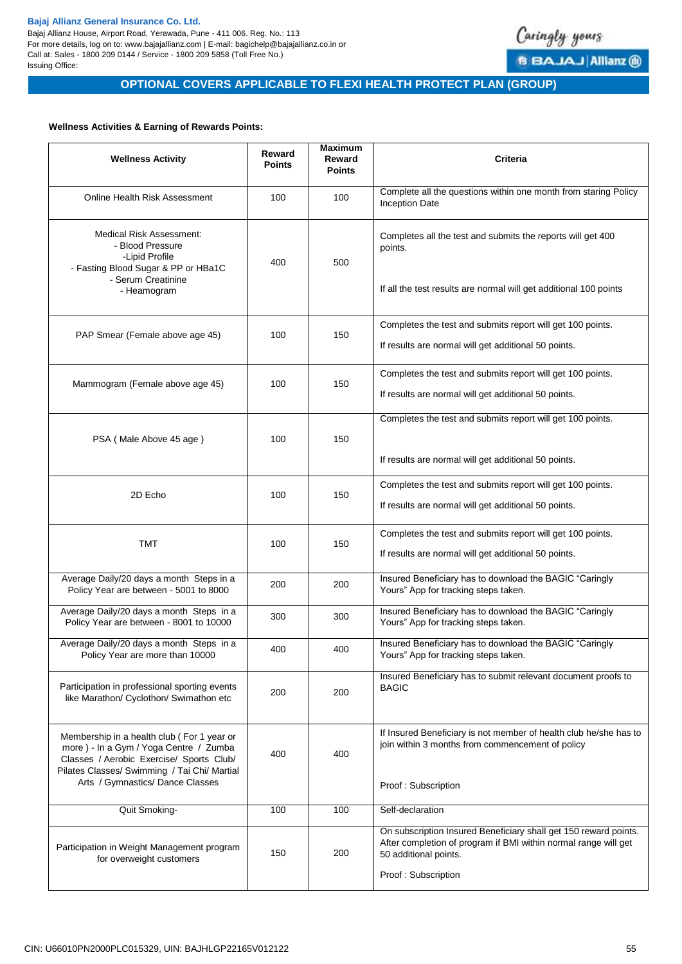Bajaj Allianz House, Airport Road, Yerawada, Pune - 411 006. Reg. No.: 113 For more details, log on to: www.bajajallianz.com | E-mail: bagichelp@bajajallianz.co.in or Call at: Sales - 1800 209 0144 / Service - 1800 209 5858 (Toll Free No.) Issuing Office:



# **OPTIONAL COVERS APPLICABLE TO FLEXI HEALTH PROTECT PLAN (GROUP)**

### **Wellness Activities & Earning of Rewards Points:**

| <b>Wellness Activity</b>                                                                                                                                                                                             | Reward<br><b>Points</b> | <b>Maximum</b><br>Reward<br><b>Points</b> | <b>Criteria</b>                                                                                                                                                                     |
|----------------------------------------------------------------------------------------------------------------------------------------------------------------------------------------------------------------------|-------------------------|-------------------------------------------|-------------------------------------------------------------------------------------------------------------------------------------------------------------------------------------|
| Online Health Risk Assessment                                                                                                                                                                                        | 100                     | 100                                       | Complete all the questions within one month from staring Policy<br><b>Inception Date</b>                                                                                            |
| Medical Risk Assessment:<br>- Blood Pressure<br>-Lipid Profile<br>- Fasting Blood Sugar & PP or HBa1C<br>- Serum Creatinine<br>- Heamogram                                                                           | 400                     | 500                                       | Completes all the test and submits the reports will get 400<br>points.<br>If all the test results are normal will get additional 100 points                                         |
| PAP Smear (Female above age 45)                                                                                                                                                                                      | 100                     | 150                                       | Completes the test and submits report will get 100 points.<br>If results are normal will get additional 50 points.                                                                  |
| Mammogram (Female above age 45)                                                                                                                                                                                      | 100                     | 150                                       | Completes the test and submits report will get 100 points.<br>If results are normal will get additional 50 points.                                                                  |
| PSA (Male Above 45 age)                                                                                                                                                                                              | 100                     | 150                                       | Completes the test and submits report will get 100 points.<br>If results are normal will get additional 50 points.                                                                  |
| 2D Echo                                                                                                                                                                                                              | 100                     | 150                                       | Completes the test and submits report will get 100 points.<br>If results are normal will get additional 50 points.                                                                  |
| <b>TMT</b>                                                                                                                                                                                                           | 100                     | 150                                       | Completes the test and submits report will get 100 points.<br>If results are normal will get additional 50 points.                                                                  |
| Average Daily/20 days a month Steps in a<br>Policy Year are between - 5001 to 8000                                                                                                                                   | 200                     | 200                                       | Insured Beneficiary has to download the BAGIC "Caringly<br>Yours" App for tracking steps taken.                                                                                     |
| Average Daily/20 days a month Steps in a<br>Policy Year are between - 8001 to 10000                                                                                                                                  | 300                     | 300                                       | Insured Beneficiary has to download the BAGIC "Caringly<br>Yours" App for tracking steps taken.                                                                                     |
| Average Daily/20 days a month Steps in a<br>Policy Year are more than 10000                                                                                                                                          | 400                     | 400                                       | Insured Beneficiary has to download the BAGIC "Caringly<br>Yours" App for tracking steps taken.                                                                                     |
| Participation in professional sporting events<br>like Marathon/ Cyclothon/ Swimathon etc                                                                                                                             | 200                     | 200                                       | Insured Beneficiary has to submit relevant document proofs to<br><b>BAGIC</b>                                                                                                       |
| Membership in a health club (For 1 year or<br>more) - In a Gym / Yoga Centre / Zumba<br>Classes / Aerobic Exercise/ Sports Club/<br>Pilates Classes/ Swimming / Tai Chi/ Martial<br>Arts / Gymnastics/ Dance Classes | 400                     | 400                                       | If Insured Beneficiary is not member of health club he/she has to<br>join within 3 months from commencement of policy<br>Proof: Subscription                                        |
| Quit Smoking-                                                                                                                                                                                                        | 100                     | 100                                       | Self-declaration                                                                                                                                                                    |
| Participation in Weight Management program<br>for overweight customers                                                                                                                                               | 150                     | 200                                       | On subscription Insured Beneficiary shall get 150 reward points.<br>After completion of program if BMI within normal range will get<br>50 additional points.<br>Proof: Subscription |